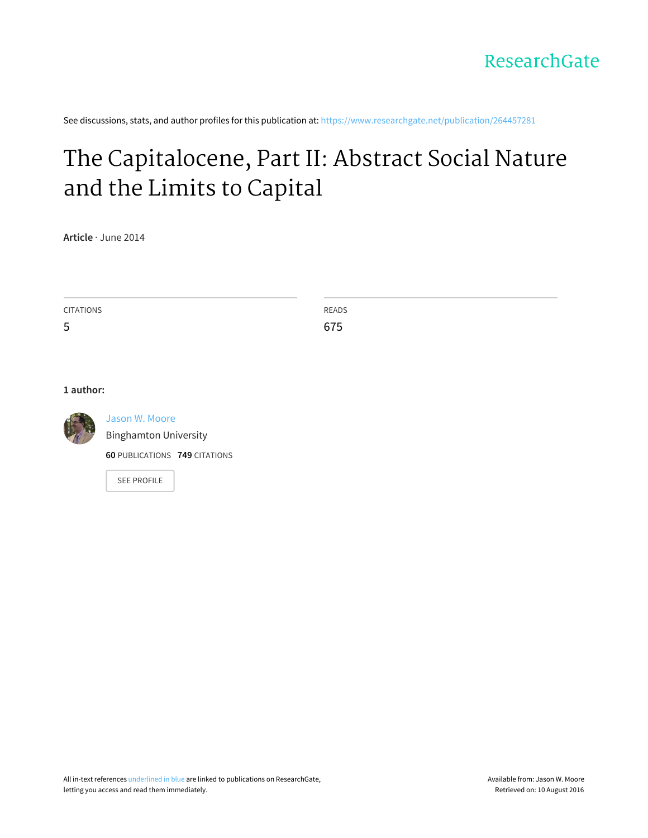

See discussions, stats, and author profiles for this publication at: [https://www.researchgate.net/publication/264457281](https://www.researchgate.net/publication/264457281_The_Capitalocene_Part_II_Abstract_Social_Nature_and_the_Limits_to_Capital?enrichId=rgreq-46f53ebb51901b2260ca349cb2451b6c-XXX&enrichSource=Y292ZXJQYWdlOzI2NDQ1NzI4MTtBUzoxMjY1NDMxNjY3MDk3NjBAMTQwNzE4MTY1MDM3NA%3D%3D&el=1_x_2)

# The [Capitalocene,](https://www.researchgate.net/publication/264457281_The_Capitalocene_Part_II_Abstract_Social_Nature_and_the_Limits_to_Capital?enrichId=rgreq-46f53ebb51901b2260ca349cb2451b6c-XXX&enrichSource=Y292ZXJQYWdlOzI2NDQ1NzI4MTtBUzoxMjY1NDMxNjY3MDk3NjBAMTQwNzE4MTY1MDM3NA%3D%3D&el=1_x_3) Part II: Abstract Social Nature and the Limits to Capital

**Article** · June 2014

| CITATIONS | <b>READS</b> |
|-----------|--------------|
| 5         | 675<br>כ ו ס |

**1 author:**



Jason W. [Moore](https://www.researchgate.net/profile/Jason_Moore3?enrichId=rgreq-46f53ebb51901b2260ca349cb2451b6c-XXX&enrichSource=Y292ZXJQYWdlOzI2NDQ1NzI4MTtBUzoxMjY1NDMxNjY3MDk3NjBAMTQwNzE4MTY1MDM3NA%3D%3D&el=1_x_5)

[Binghamton](https://www.researchgate.net/institution/Binghamton_University?enrichId=rgreq-46f53ebb51901b2260ca349cb2451b6c-XXX&enrichSource=Y292ZXJQYWdlOzI2NDQ1NzI4MTtBUzoxMjY1NDMxNjY3MDk3NjBAMTQwNzE4MTY1MDM3NA%3D%3D&el=1_x_6) University

**60** PUBLICATIONS **749** CITATIONS

SEE [PROFILE](https://www.researchgate.net/profile/Jason_Moore3?enrichId=rgreq-46f53ebb51901b2260ca349cb2451b6c-XXX&enrichSource=Y292ZXJQYWdlOzI2NDQ1NzI4MTtBUzoxMjY1NDMxNjY3MDk3NjBAMTQwNzE4MTY1MDM3NA%3D%3D&el=1_x_7)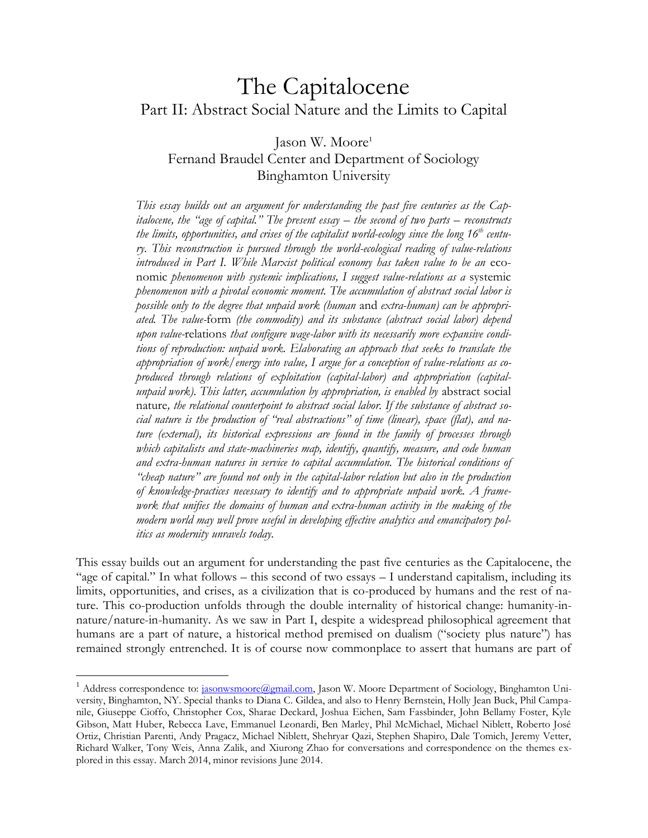# The Capitalocene Part II: Abstract Social Nature and the Limits to Capital

Jason W. Moore<sup>1</sup> Fernand Braudel Center and Department of Sociology Binghamton University

*This essay builds out an argument for understanding the past five centuries as the Capitalocene, the "age of capital." The present essay – the second of two parts – reconstructs the limits, opportunities, and crises of the capitalist world-ecology since the long 16th century. This reconstruction is pursued through the world-ecological reading of value-relations introduced in Part I. While Marxist political economy has taken value to be an* economic *phenomenon with systemic implications, I suggest value-relations as a* systemic *phenomenon with a pivotal economic moment. The accumulation of abstract social labor is possible only to the degree that unpaid work (human* and *extra-human) can be appropriated. The value-*form *(the commodity) and its substance (abstract social labor) depend upon value-*relations *that configure wage-labor with its necessarily more expansive conditions of reproduction: unpaid work. Elaborating an approach that seeks to translate the appropriation of work/energy into value, I argue for a conception of value-relations as coproduced through relations of exploitation (capital-labor) and appropriation (capitalunpaid work*). This latter, accumulation by appropriation, is enabled by abstract social nature*, the relational counterpoint to abstract social labor. If the substance of abstract social nature is the production of "real abstractions" of time (linear), space (flat), and nature (external), its historical expressions are found in the family of processes through which capitalists and state-machineries map, identify, quantify, measure, and code human and extra-human natures in service to capital accumulation. The historical conditions of "cheap nature" are found not only in the capital-labor relation but also in the production of knowledge-practices necessary to identify and to appropriate unpaid work. A framework that unifies the domains of human and extra-human activity in the making of the modern world may well prove useful in developing effective analytics and emancipatory politics as modernity unravels today.*

This essay builds out an argument for understanding the past five centuries as the Capitalocene, the "age of capital." In what follows – this second of two essays – I understand capitalism, including its limits, opportunities, and crises, as a civilization that is co-produced by humans and the rest of nature. This co-production unfolds through the double internality of historical change: humanity-innature/nature-in-humanity. As we saw in Part I, despite a widespread philosophical agreement that humans are a part of nature, a historical method premised on dualism ("society plus nature") has remained strongly entrenched. It is of course now commonplace to assert that humans are part of

<sup>&</sup>lt;sup>1</sup> Address correspondence to: [jasonwsmoore@gmail.com,](mailto:jasonwsmoore@gmail.com) Jason W. Moore Department of Sociology, Binghamton University, Binghamton, NY. Special thanks to Diana C. Gildea, and also to Henry Bernstein, Holly Jean Buck, Phil Campanile, Giuseppe Cioffo, Christopher Cox, Sharae Deckard, Joshua Eichen, Sam Fassbinder, John Bellamy Foster, Kyle Gibson, Matt Huber, Rebecca Lave, Emmanuel Leonardi, Ben Marley, Phil McMichael, Michael Niblett, Roberto José Ortiz, Christian Parenti, Andy Pragacz, Michael Niblett, Shehryar Qazi, Stephen Shapiro, Dale Tomich, Jeremy Vetter, Richard Walker, Tony Weis, Anna Zalik, and Xiurong Zhao for conversations and correspondence on the themes explored in this essay. March 2014, minor revisions June 2014.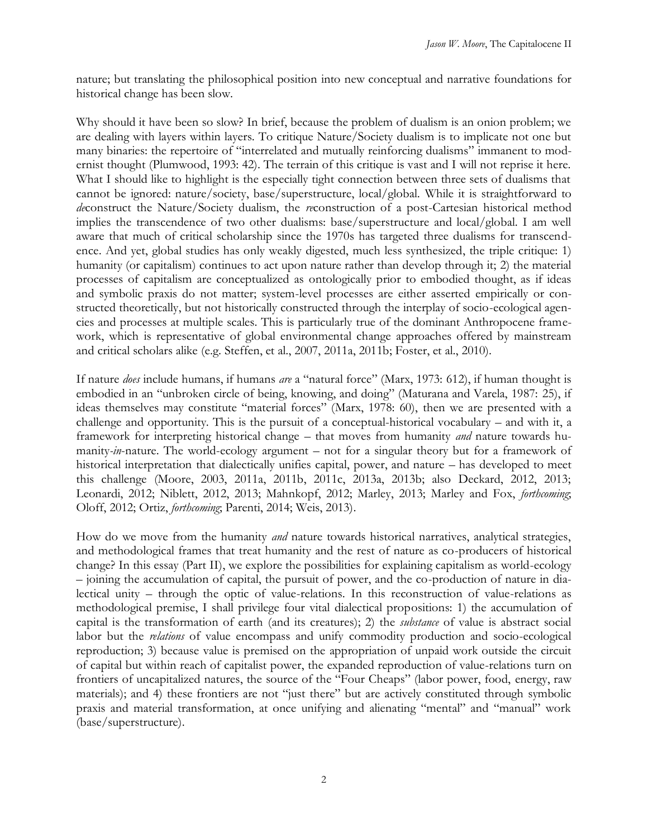nature; but translating the philosophical position into new conceptual and narrative foundations for historical change has been slow.

Why should it have been so slow? In brief, because the problem of dualism is an onion problem; we are dealing with layers within layers. To critique Nature/Society dualism is to implicate not one but many binaries: the repertoire of "interrelated and mutually reinforcing dualisms" immanent to modernist thought (Plumwood, 1993: 42). The terrain of this critique is vast and I will not reprise it here. What I should like to highlight is the especially tight connection between three sets of dualisms that cannot be ignored: nature/society, base/superstructure, local/global. While it is straightforward to *de*construct the Nature/Society dualism, the *re*construction of a post-Cartesian historical method implies the transcendence of two other dualisms: base/superstructure and local/global. I am well aware that much of critical scholarship since the 1970s has targeted three dualisms for transcendence. And yet, global studies has only weakly digested, much less synthesized, the triple critique: 1) humanity (or capitalism) continues to act upon nature rather than develop through it; 2) the material processes of capitalism are conceptualized as ontologically prior to embodied thought, as if ideas and symbolic praxis do not matter; system-level processes are either asserted empirically or constructed theoretically, but not historically constructed through the interplay of socio-ecological agencies and processes at multiple scales. This is particularly true of the dominant Anthropocene framework, which is representative of global environmental change approaches offered by mainstream and critical scholars alike (e.g. Steffen, et al., 2007, 2011a, 2011b; Foster, et al., 2010).

If nature *does* include humans, if humans *are* a "natural force" (Marx, 1973: 612), if human thought is embodied in an "unbroken circle of being, knowing, and doing" (Maturana and Varela, 1987: 25), if ideas themselves may constitute "material forces" (Marx, 1978: 60), then we are presented with a challenge and opportunity. This is the pursuit of a conceptual-historical vocabulary – and with it, a framework for interpreting historical change – that moves from humanity *and* nature towards humanity*-in*-nature. The world-ecology argument – not for a singular theory but for a framework of historical interpretation that dialectically unifies capital, power, and nature – has developed to meet this challenge (Moore, 2003, 2011a, 2011b, 2011c, 2013a, 2013b; also Deckard, 2012, 2013; Leonardi, 2012; Niblett, 2012, 2013; Mahnkopf, 2012; Marley, 2013; Marley and Fox, *forthcoming*; Oloff, 2012; Ortiz, *forthcoming*; Parenti, 2014; Weis, 2013).

How do we move from the humanity *and* nature towards historical narratives, analytical strategies, and methodological frames that treat humanity and the rest of nature as co-producers of historical change? In this essay (Part II), we explore the possibilities for explaining capitalism as world-ecology – joining the accumulation of capital, the pursuit of power, and the co-production of nature in dialectical unity – through the optic of value-relations. In this reconstruction of value-relations as methodological premise, I shall privilege four vital dialectical propositions: 1) the accumulation of capital is the transformation of earth (and its creatures); 2) the *substance* of value is abstract social labor but the *relations* of value encompass and unify commodity production and socio-ecological reproduction; 3) because value is premised on the appropriation of unpaid work outside the circuit of capital but within reach of capitalist power, the expanded reproduction of value-relations turn on frontiers of uncapitalized natures, the source of the "Four Cheaps" (labor power, food, energy, raw materials); and 4) these frontiers are not "just there" but are actively constituted through symbolic praxis and material transformation, at once unifying and alienating "mental" and "manual" work (base/superstructure).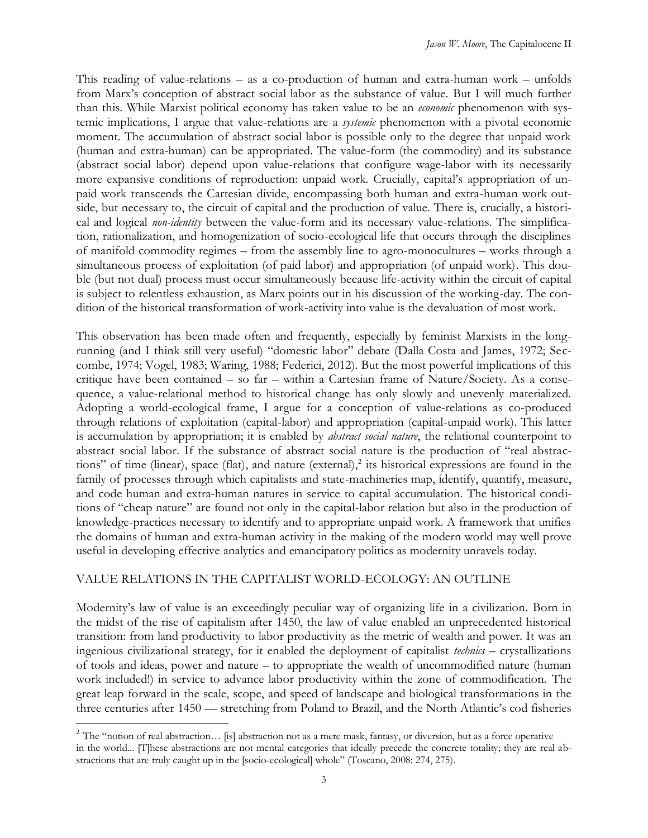This reading of value-relations – as a co-production of human and extra-human work – unfolds from Marx's conception of abstract social labor as the substance of value. But I will much further than this. While Marxist political economy has taken value to be an *economic* phenomenon with systemic implications, I argue that value-relations are a *systemic* phenomenon with a pivotal economic moment. The accumulation of abstract social labor is possible only to the degree that unpaid work (human and extra-human) can be appropriated. The value-form (the commodity) and its substance (abstract social labor) depend upon value-relations that configure wage-labor with its necessarily more expansive conditions of reproduction: unpaid work. Crucially, capital's appropriation of unpaid work transcends the Cartesian divide, encompassing both human and extra-human work outside, but necessary to, the circuit of capital and the production of value. There is, crucially, a historical and logical *non-identity* between the value-form and its necessary value-relations. The simplification, rationalization, and homogenization of socio-ecological life that occurs through the disciplines of manifold commodity regimes – from the assembly line to agro-monocultures – works through a simultaneous process of exploitation (of paid labor) and appropriation (of unpaid work). This double (but not dual) process must occur simultaneously because life-activity within the circuit of capital is subject to relentless exhaustion, as Marx points out in his discussion of the working-day. The condition of the historical transformation of work-activity into value is the devaluation of most work.

This observation has been made often and frequently, especially by feminist Marxists in the longrunning (and I think still very useful) "domestic labor" debate (Dalla Costa and James, 1972; Seccombe, 1974; Vogel, 1983; Waring, 1988; Federici, 2012). But the most powerful implications of this critique have been contained – so far – within a Cartesian frame of Nature/Society. As a consequence, a value-relational method to historical change has only slowly and unevenly materialized. Adopting a world-ecological frame, I argue for a conception of value-relations as co-produced through relations of exploitation (capital-labor) and appropriation (capital-unpaid work). This latter is accumulation by appropriation; it is enabled by *abstract social nature*, the relational counterpoint to abstract social labor. If the substance of abstract social nature is the production of "real abstractions" of time (linear), space (flat), and nature (external), $\lambda$  its historical expressions are found in the family of processes through which capitalists and state-machineries map, identify, quantify, measure, and code human and extra-human natures in service to capital accumulation. The historical conditions of "cheap nature" are found not only in the capital-labor relation but also in the production of knowledge-practices necessary to identify and to appropriate unpaid work. A framework that unifies the domains of human and extra-human activity in the making of the modern world may well prove useful in developing effective analytics and emancipatory politics as modernity unravels today.

# VALUE RELATIONS IN THE CAPITALIST WORLD-ECOLOGY: AN OUTLINE

 $\overline{a}$ 

Modernity's law of value is an exceedingly peculiar way of organizing life in a civilization. Born in the midst of the rise of capitalism after 1450, the law of value enabled an unprecedented historical transition: from land productivity to labor productivity as the metric of wealth and power. It was an ingenious civilizational strategy, for it enabled the deployment of capitalist *technics* – crystallizations of tools and ideas, power and nature – to appropriate the wealth of uncommodified nature (human work included!) in service to advance labor productivity within the zone of commodification. The great leap forward in the scale, scope, and speed of landscape and biological transformations in the three centuries after 1450 — stretching from Poland to Brazil, and the North Atlantic's cod fisheries

<sup>&</sup>lt;sup>2</sup> The "notion of real abstraction... [is] abstraction not as a mere mask, fantasy, or diversion, but as a force operative in the world... [T]hese abstractions are not mental categories that ideally precede the concrete totality; they are real abstractions that are truly caught up in the [socio-ecological] whole" (Toscano, 2008: 274, 275).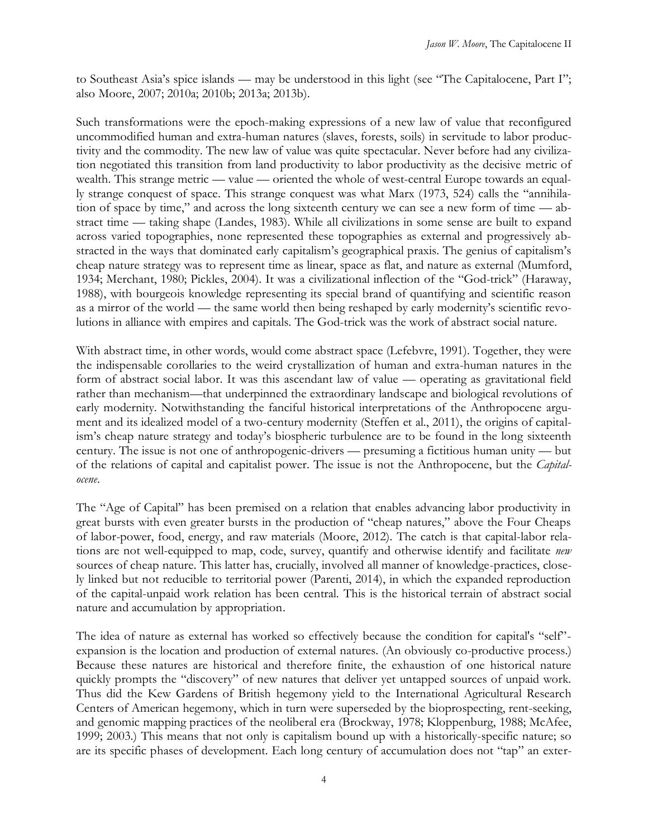to Southeast Asia's spice islands — may be understood in this light (see "The Capitalocene, Part I"; also Moore, 2007; 2010a; 2010b; 2013a; 2013b).

Such transformations were the epoch-making expressions of a new law of value that reconfigured uncommodified human and extra-human natures (slaves, forests, soils) in servitude to labor productivity and the commodity. The new law of value was quite spectacular. Never before had any civilization negotiated this transition from land productivity to labor productivity as the decisive metric of wealth. This strange metric — value — oriented the whole of west-central Europe towards an equally strange conquest of space. This strange conquest was what Marx (1973, 524) calls the "annihilation of space by time," and across the long sixteenth century we can see a new form of time — abstract time — taking shape (Landes, 1983). While all civilizations in some sense are built to expand across varied topographies, none represented these topographies as external and progressively abstracted in the ways that dominated early capitalism's geographical praxis. The genius of capitalism's cheap nature strategy was to represent time as linear, space as flat, and nature as external (Mumford, 1934; Merchant, 1980; Pickles, 2004). It was a civilizational inflection of the "God-trick" (Haraway, 1988), with bourgeois knowledge representing its special brand of quantifying and scientific reason as a mirror of the world — the same world then being reshaped by early modernity's scientific revolutions in alliance with empires and capitals. The God-trick was the work of abstract social nature.

With abstract time, in other words, would come abstract space (Lefebvre, 1991). Together, they were the indispensable corollaries to the weird crystallization of human and extra-human natures in the form of abstract social labor. It was this ascendant law of value — operating as gravitational field rather than mechanism—that underpinned the extraordinary landscape and biological revolutions of early modernity. Notwithstanding the fanciful historical interpretations of the Anthropocene argument and its idealized model of a two-century modernity (Steffen et al., 2011), the origins of capitalism's cheap nature strategy and today's biospheric turbulence are to be found in the long sixteenth century. The issue is not one of anthropogenic-drivers — presuming a fictitious human unity — but of the relations of capital and capitalist power. The issue is not the Anthropocene, but the *Capitalocene*.

The "Age of Capital" has been premised on a relation that enables advancing labor productivity in great bursts with even greater bursts in the production of "cheap natures," above the Four Cheaps of labor-power, food, energy, and raw materials (Moore, 2012). The catch is that capital-labor relations are not well-equipped to map, code, survey, quantify and otherwise identify and facilitate *new*  sources of cheap nature. This latter has, crucially, involved all manner of knowledge-practices, closely linked but not reducible to territorial power (Parenti, 2014), in which the expanded reproduction of the capital-unpaid work relation has been central. This is the historical terrain of abstract social nature and accumulation by appropriation.

The idea of nature as external has worked so effectively because the condition for capital's "self" expansion is the location and production of external natures. (An obviously co-productive process.) Because these natures are historical and therefore finite, the exhaustion of one historical nature quickly prompts the "discovery" of new natures that deliver yet untapped sources of unpaid work. Thus did the Kew Gardens of British hegemony yield to the International Agricultural Research Centers of American hegemony, which in turn were superseded by the bioprospecting, rent-seeking, and genomic mapping practices of the neoliberal era (Brockway, 1978; Kloppenburg, 1988; McAfee, 1999; 2003.) This means that not only is capitalism bound up with a historically-specific nature; so are its specific phases of development. Each long century of accumulation does not "tap" an exter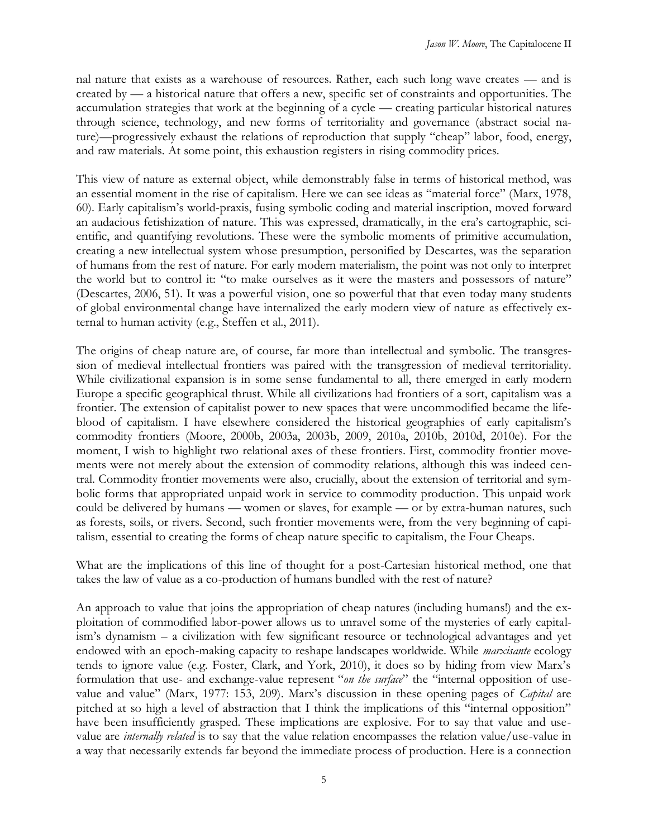nal nature that exists as a warehouse of resources. Rather, each such long wave creates — and is created by — a historical nature that offers a new, specific set of constraints and opportunities. The accumulation strategies that work at the beginning of a cycle — creating particular historical natures through science, technology, and new forms of territoriality and governance (abstract social nature)—progressively exhaust the relations of reproduction that supply "cheap" labor, food, energy, and raw materials. At some point, this exhaustion registers in rising commodity prices.

This view of nature as external object, while demonstrably false in terms of historical method, was an essential moment in the rise of capitalism. Here we can see ideas as "material force" (Marx, 1978, 60). Early capitalism's world-praxis, fusing symbolic coding and material inscription, moved forward an audacious fetishization of nature. This was expressed, dramatically, in the era's cartographic, scientific, and quantifying revolutions. These were the symbolic moments of primitive accumulation, creating a new intellectual system whose presumption, personified by Descartes, was the separation of humans from the rest of nature. For early modern materialism, the point was not only to interpret the world but to control it: "to make ourselves as it were the masters and possessors of nature" (Descartes, 2006, 51). It was a powerful vision, one so powerful that that even today many students of global environmental change have internalized the early modern view of nature as effectively external to human activity (e.g., Steffen et al., 2011).

The origins of cheap nature are, of course, far more than intellectual and symbolic. The transgression of medieval intellectual frontiers was paired with the transgression of medieval territoriality. While civilizational expansion is in some sense fundamental to all, there emerged in early modern Europe a specific geographical thrust. While all civilizations had frontiers of a sort, capitalism was a frontier. The extension of capitalist power to new spaces that were uncommodified became the lifeblood of capitalism. I have elsewhere considered the historical geographies of early capitalism's commodity frontiers (Moore, 2000b, 2003a, 2003b, 2009, 2010a, 2010b, 2010d, 2010e). For the moment, I wish to highlight two relational axes of these frontiers. First, commodity frontier movements were not merely about the extension of commodity relations, although this was indeed central. Commodity frontier movements were also, crucially, about the extension of territorial and symbolic forms that appropriated unpaid work in service to commodity production. This unpaid work could be delivered by humans — women or slaves, for example — or by extra-human natures, such as forests, soils, or rivers. Second, such frontier movements were, from the very beginning of capitalism, essential to creating the forms of cheap nature specific to capitalism, the Four Cheaps.

What are the implications of this line of thought for a post-Cartesian historical method, one that takes the law of value as a co-production of humans bundled with the rest of nature?

An approach to value that joins the appropriation of cheap natures (including humans!) and the exploitation of commodified labor-power allows us to unravel some of the mysteries of early capitalism's dynamism – a civilization with few significant resource or technological advantages and yet endowed with an epoch-making capacity to reshape landscapes worldwide. While *marxisante* ecology tends to ignore value (e.g. Foster, Clark, and York, 2010), it does so by hiding from view Marx's formulation that use- and exchange-value represent "*on the surface*" the "internal opposition of usevalue and value" (Marx, 1977: 153, 209). Marx's discussion in these opening pages of *Capital* are pitched at so high a level of abstraction that I think the implications of this "internal opposition" have been insufficiently grasped. These implications are explosive. For to say that value and usevalue are *internally related* is to say that the value relation encompasses the relation value/use-value in a way that necessarily extends far beyond the immediate process of production. Here is a connection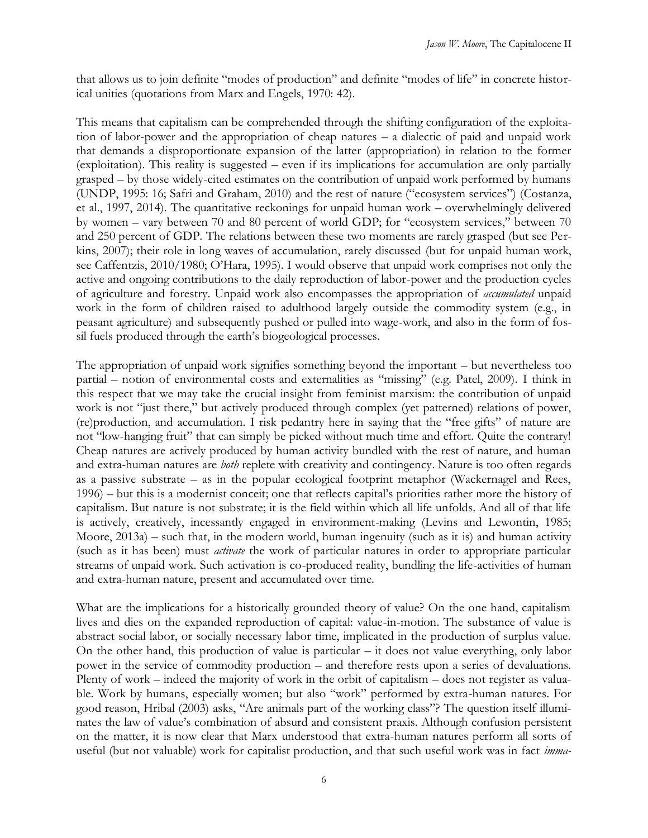that allows us to join definite "modes of production" and definite "modes of life" in concrete historical unities (quotations from Marx and Engels, 1970: 42).

This means that capitalism can be comprehended through the shifting configuration of the exploitation of labor-power and the appropriation of cheap natures – a dialectic of paid and unpaid work that demands a disproportionate expansion of the latter (appropriation) in relation to the former (exploitation). This reality is suggested – even if its implications for accumulation are only partially grasped – by those widely-cited estimates on the contribution of unpaid work performed by humans (UNDP, 1995: 16; Safri and Graham, 2010) and the rest of nature ("ecosystem services") (Costanza, et al., 1997, 2014). The quantitative reckonings for unpaid human work – overwhelmingly delivered by women – vary between 70 and 80 percent of world GDP; for "ecosystem services," between 70 and 250 percent of GDP. The relations between these two moments are rarely grasped (but see Perkins, 2007); their role in long waves of accumulation, rarely discussed (but for unpaid human work, see Caffentzis, 2010/1980; O'Hara, 1995). I would observe that unpaid work comprises not only the active and ongoing contributions to the daily reproduction of labor-power and the production cycles of agriculture and forestry. Unpaid work also encompasses the appropriation of *accumulated* unpaid work in the form of children raised to adulthood largely outside the commodity system (e.g., in peasant agriculture) and subsequently pushed or pulled into wage-work, and also in the form of fossil fuels produced through the earth's biogeological processes.

The appropriation of unpaid work signifies something beyond the important – but nevertheless too partial – notion of environmental costs and externalities as "missing" (e.g. Patel, 2009). I think in this respect that we may take the crucial insight from feminist marxism: the contribution of unpaid work is not "just there," but actively produced through complex (yet patterned) relations of power, (re)production, and accumulation. I risk pedantry here in saying that the "free gifts" of nature are not "low-hanging fruit" that can simply be picked without much time and effort. Quite the contrary! Cheap natures are actively produced by human activity bundled with the rest of nature, and human and extra-human natures are *both* replete with creativity and contingency. Nature is too often regards as a passive substrate – as in the popular ecological footprint metaphor (Wackernagel and Rees, 1996) – but this is a modernist conceit; one that reflects capital's priorities rather more the history of capitalism. But nature is not substrate; it is the field within which all life unfolds. And all of that life is actively, creatively, incessantly engaged in environment-making (Levins and Lewontin, 1985; Moore, 2013a) – such that, in the modern world, human ingenuity (such as it is) and human activity (such as it has been) must *activate* the work of particular natures in order to appropriate particular streams of unpaid work. Such activation is co-produced reality, bundling the life-activities of human and extra-human nature, present and accumulated over time.

What are the implications for a historically grounded theory of value? On the one hand, capitalism lives and dies on the expanded reproduction of capital: value-in-motion. The substance of value is abstract social labor, or socially necessary labor time, implicated in the production of surplus value. On the other hand, this production of value is particular – it does not value everything, only labor power in the service of commodity production – and therefore rests upon a series of devaluations. Plenty of work – indeed the majority of work in the orbit of capitalism – does not register as valuable. Work by humans, especially women; but also "work" performed by extra-human natures. For good reason, Hribal (2003) asks, "Are animals part of the working class"? The question itself illuminates the law of value's combination of absurd and consistent praxis. Although confusion persistent on the matter, it is now clear that Marx understood that extra-human natures perform all sorts of useful (but not valuable) work for capitalist production, and that such useful work was in fact *imma-*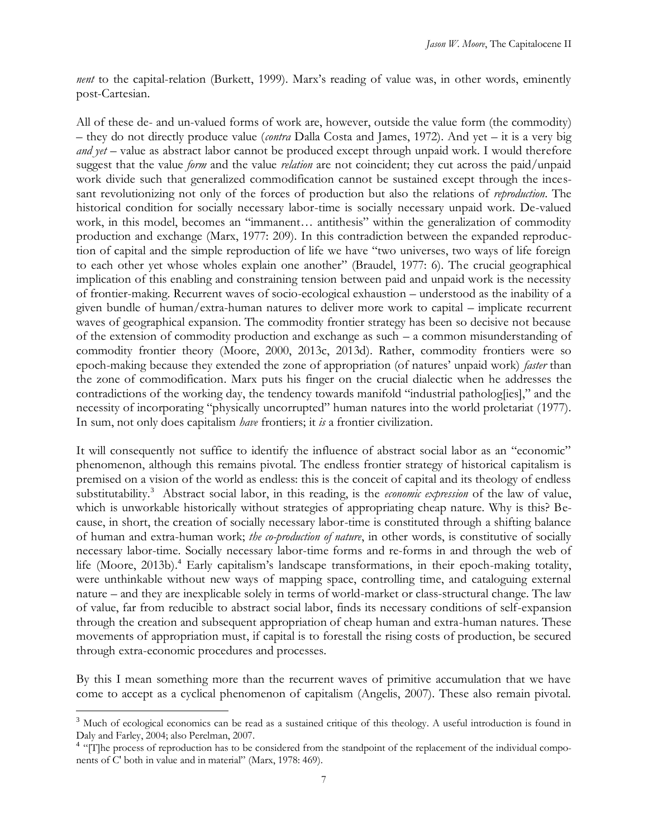*nent* to the capital-relation (Burkett, 1999). Marx's reading of value was, in other words, eminently post-Cartesian.

All of these de- and un-valued forms of work are, however, outside the value form (the commodity) – they do not directly produce value (*contra* Dalla Costa and James, 1972). And yet – it is a very big *and yet* – value as abstract labor cannot be produced except through unpaid work. I would therefore suggest that the value *form* and the value *relation* are not coincident; they cut across the paid/unpaid work divide such that generalized commodification cannot be sustained except through the incessant revolutionizing not only of the forces of production but also the relations of *reproduction*. The historical condition for socially necessary labor-time is socially necessary unpaid work. De-valued work, in this model, becomes an "immanent… antithesis" within the generalization of commodity production and exchange (Marx, 1977: 209). In this contradiction between the expanded reproduction of capital and the simple reproduction of life we have "two universes, two ways of life foreign to each other yet whose wholes explain one another" (Braudel, 1977: 6). The crucial geographical implication of this enabling and constraining tension between paid and unpaid work is the necessity of frontier-making. Recurrent waves of socio-ecological exhaustion – understood as the inability of a given bundle of human/extra-human natures to deliver more work to capital – implicate recurrent waves of geographical expansion. The commodity frontier strategy has been so decisive not because of the extension of commodity production and exchange as such – a common misunderstanding of commodity frontier theory (Moore, 2000, 2013c, 2013d). Rather, commodity frontiers were so epoch-making because they extended the zone of appropriation (of natures' unpaid work) *faster* than the zone of commodification. Marx puts his finger on the crucial dialectic when he addresses the contradictions of the working day, the tendency towards manifold "industrial patholog[ies]," and the necessity of incorporating "physically uncorrupted" human natures into the world proletariat (1977). In sum, not only does capitalism *have* frontiers; it *is* a frontier civilization.

It will consequently not suffice to identify the influence of abstract social labor as an "economic" phenomenon, although this remains pivotal. The endless frontier strategy of historical capitalism is premised on a vision of the world as endless: this is the conceit of capital and its theology of endless substitutability.<sup>3</sup> Abstract social labor, in this reading, is the *economic expression* of the law of value, which is unworkable historically without strategies of appropriating cheap nature. Why is this? Because, in short, the creation of socially necessary labor-time is constituted through a shifting balance of human and extra-human work; *the co-production of nature*, in other words, is constitutive of socially necessary labor-time. Socially necessary labor-time forms and re-forms in and through the web of life (Moore, 2013b).<sup>4</sup> Early capitalism's landscape transformations, in their epoch-making totality, were unthinkable without new ways of mapping space, controlling time, and cataloguing external nature – and they are inexplicable solely in terms of world-market or class-structural change. The law of value, far from reducible to abstract social labor, finds its necessary conditions of self-expansion through the creation and subsequent appropriation of cheap human and extra-human natures. These movements of appropriation must, if capital is to forestall the rising costs of production, be secured through extra-economic procedures and processes.

By this I mean something more than the recurrent waves of primitive accumulation that we have come to accept as a cyclical phenomenon of capitalism (Angelis, 2007). These also remain pivotal.

<sup>&</sup>lt;sup>3</sup> Much of ecological economics can be read as a sustained critique of this theology. A useful introduction is found in Daly and Farley, 2004; also Perelman, 2007.

<sup>&</sup>lt;sup>4</sup> "[T]he process of reproduction has to be considered from the standpoint of the replacement of the individual components of C' both in value and in material" (Marx, 1978: 469).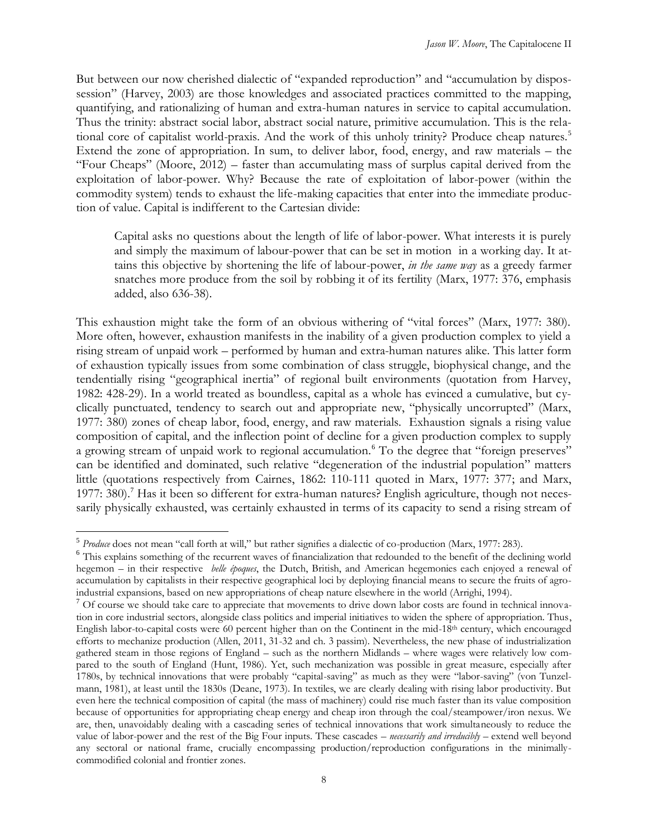But between our now cherished dialectic of "expanded reproduction" and "accumulation by dispossession" (Harvey, 2003) are those knowledges and associated practices committed to the mapping, quantifying, and rationalizing of human and extra-human natures in service to capital accumulation. Thus the trinity: abstract social labor, abstract social nature, primitive accumulation. This is the relational core of capitalist world-praxis. And the work of this unholy trinity? Produce cheap natures.<sup>5</sup> Extend the zone of appropriation. In sum, to deliver labor, food, energy, and raw materials – the "Four Cheaps" (Moore, 2012) – faster than accumulating mass of surplus capital derived from the exploitation of labor-power. Why? Because the rate of exploitation of labor-power (within the commodity system) tends to exhaust the life-making capacities that enter into the immediate production of value. Capital is indifferent to the Cartesian divide:

Capital asks no questions about the length of life of labor-power. What interests it is purely and simply the maximum of labour-power that can be set in motion in a working day. It attains this objective by shortening the life of labour-power, *in the same way* as a greedy farmer snatches more produce from the soil by robbing it of its fertility (Marx, 1977: 376, emphasis added, also 636-38).

This exhaustion might take the form of an obvious withering of "vital forces" (Marx, 1977: 380). More often, however, exhaustion manifests in the inability of a given production complex to yield a rising stream of unpaid work – performed by human and extra-human natures alike. This latter form of exhaustion typically issues from some combination of class struggle, biophysical change, and the tendentially rising "geographical inertia" of regional built environments (quotation from Harvey, 1982: 428-29). In a world treated as boundless, capital as a whole has evinced a cumulative, but cyclically punctuated, tendency to search out and appropriate new, "physically uncorrupted" (Marx, 1977: 380) zones of cheap labor, food, energy, and raw materials. Exhaustion signals a rising value composition of capital, and the inflection point of decline for a given production complex to supply a growing stream of unpaid work to regional accumulation.<sup>6</sup> To the degree that "foreign preserves" can be identified and dominated, such relative "degeneration of the industrial population" matters little (quotations respectively from Cairnes, 1862: 110-111 quoted in Marx, 1977: 377; and Marx, 1977: 380).<sup>7</sup> Has it been so different for extra-human natures? English agriculture, though not necessarily physically exhausted, was certainly exhausted in terms of its capacity to send a rising stream of

<sup>5</sup> *Produce* does not mean "call forth at will," but rather signifies a dialectic of co-production (Marx, 1977: 283).

<sup>&</sup>lt;sup>6</sup> This explains something of the recurrent waves of financialization that redounded to the benefit of the declining world hegemon – in their respective *belle époques*, the Dutch, British, and American hegemonies each enjoyed a renewal of accumulation by capitalists in their respective geographical loci by deploying financial means to secure the fruits of agroindustrial expansions, based on new appropriations of cheap nature elsewhere in the world (Arrighi, 1994).

 $7$  Of course we should take care to appreciate that movements to drive down labor costs are found in technical innovation in core industrial sectors, alongside class politics and imperial initiatives to widen the sphere of appropriation. Thus, English labor-to-capital costs were 60 percent higher than on the Continent in the mid-18th century, which encouraged efforts to mechanize production (Allen, 2011, 31-32 and ch. 3 passim). Nevertheless, the new phase of industrialization gathered steam in those regions of England – such as the northern Midlands – where wages were relatively low compared to the south of England (Hunt, 1986). Yet, such mechanization was possible in great measure, especially after 1780s, by technical innovations that were probably "capital-saving" as much as they were "labor-saving" (von Tunzelmann, 1981), at least until the 1830s (Deane, 1973). In textiles, we are clearly dealing with rising labor productivity. But even here the technical composition of capital (the mass of machinery) could rise much faster than its value composition because of opportunities for appropriating cheap energy and cheap iron through the coal/steampower/iron nexus. We are, then, unavoidably dealing with a cascading series of technical innovations that work simultaneously to reduce the value of labor-power and the rest of the Big Four inputs. These cascades – *necessarily and irreducibly* – extend well beyond any sectoral or national frame, crucially encompassing production/reproduction configurations in the minimallycommodified colonial and frontier zones.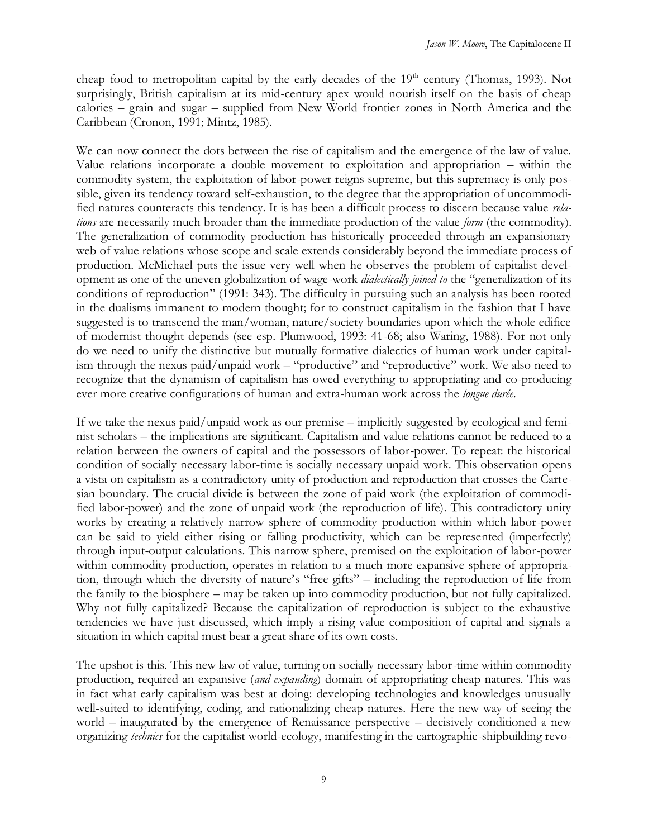cheap food to metropolitan capital by the early decades of the  $19<sup>th</sup>$  century (Thomas, 1993). Not surprisingly, British capitalism at its mid-century apex would nourish itself on the basis of cheap calories – grain and sugar – supplied from New World frontier zones in North America and the Caribbean (Cronon, 1991; Mintz, 1985).

We can now connect the dots between the rise of capitalism and the emergence of the law of value. Value relations incorporate a double movement to exploitation and appropriation – within the commodity system, the exploitation of labor-power reigns supreme, but this supremacy is only possible, given its tendency toward self-exhaustion, to the degree that the appropriation of uncommodified natures counteracts this tendency. It is has been a difficult process to discern because value *relations* are necessarily much broader than the immediate production of the value *form* (the commodity). The generalization of commodity production has historically proceeded through an expansionary web of value relations whose scope and scale extends considerably beyond the immediate process of production. McMichael puts the issue very well when he observes the problem of capitalist development as one of the uneven globalization of wage-work *dialectically joined to* the "generalization of its conditions of reproduction" (1991: 343). The difficulty in pursuing such an analysis has been rooted in the dualisms immanent to modern thought; for to construct capitalism in the fashion that I have suggested is to transcend the man/woman, nature/society boundaries upon which the whole edifice of modernist thought depends (see esp. Plumwood, 1993: 41-68; also Waring, 1988). For not only do we need to unify the distinctive but mutually formative dialectics of human work under capitalism through the nexus paid/unpaid work – "productive" and "reproductive" work. We also need to recognize that the dynamism of capitalism has owed everything to appropriating and co-producing ever more creative configurations of human and extra-human work across the *longue durée*.

If we take the nexus paid/unpaid work as our premise – implicitly suggested by ecological and feminist scholars – the implications are significant. Capitalism and value relations cannot be reduced to a relation between the owners of capital and the possessors of labor-power. To repeat: the historical condition of socially necessary labor-time is socially necessary unpaid work. This observation opens a vista on capitalism as a contradictory unity of production and reproduction that crosses the Cartesian boundary. The crucial divide is between the zone of paid work (the exploitation of commodified labor-power) and the zone of unpaid work (the reproduction of life). This contradictory unity works by creating a relatively narrow sphere of commodity production within which labor-power can be said to yield either rising or falling productivity, which can be represented (imperfectly) through input-output calculations. This narrow sphere, premised on the exploitation of labor-power within commodity production, operates in relation to a much more expansive sphere of appropriation, through which the diversity of nature's "free gifts" – including the reproduction of life from the family to the biosphere – may be taken up into commodity production, but not fully capitalized. Why not fully capitalized? Because the capitalization of reproduction is subject to the exhaustive tendencies we have just discussed, which imply a rising value composition of capital and signals a situation in which capital must bear a great share of its own costs.

The upshot is this. This new law of value, turning on socially necessary labor-time within commodity production, required an expansive (*and expanding*) domain of appropriating cheap natures. This was in fact what early capitalism was best at doing: developing technologies and knowledges unusually well-suited to identifying, coding, and rationalizing cheap natures. Here the new way of seeing the world – inaugurated by the emergence of Renaissance perspective – decisively conditioned a new organizing *technics* for the capitalist world-ecology, manifesting in the cartographic-shipbuilding revo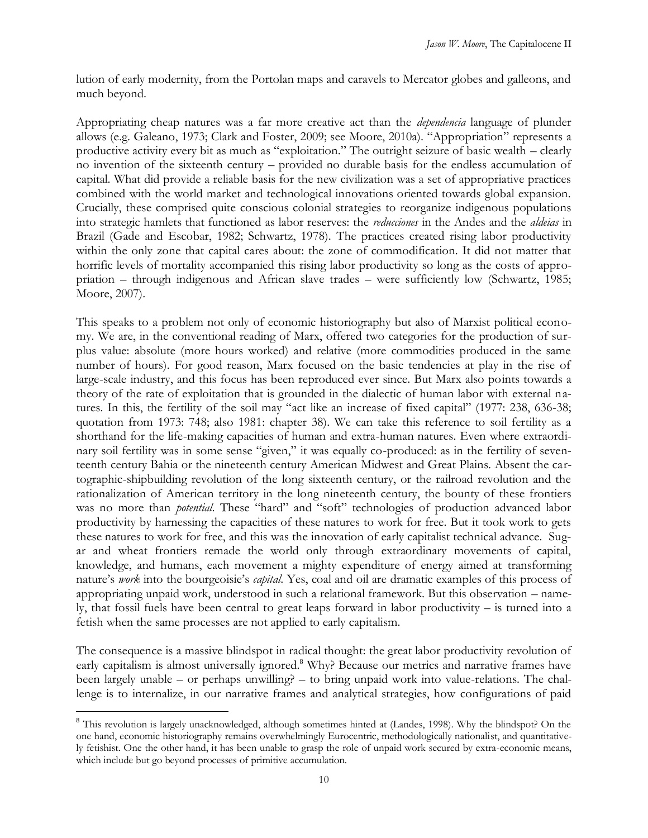lution of early modernity, from the Portolan maps and caravels to Mercator globes and galleons, and much beyond.

Appropriating cheap natures was a far more creative act than the *dependencia* language of plunder allows (e.g. Galeano, 1973; Clark and Foster, 2009; see Moore, 2010a). "Appropriation" represents a productive activity every bit as much as "exploitation." The outright seizure of basic wealth – clearly no invention of the sixteenth century – provided no durable basis for the endless accumulation of capital. What did provide a reliable basis for the new civilization was a set of appropriative practices combined with the world market and technological innovations oriented towards global expansion. Crucially, these comprised quite conscious colonial strategies to reorganize indigenous populations into strategic hamlets that functioned as labor reserves: the *reducciones* in the Andes and the *aldeias* in Brazil (Gade and Escobar, 1982; Schwartz, 1978). The practices created rising labor productivity within the only zone that capital cares about: the zone of commodification. It did not matter that horrific levels of mortality accompanied this rising labor productivity so long as the costs of appropriation – through indigenous and African slave trades – were sufficiently low (Schwartz, 1985; Moore, 2007).

This speaks to a problem not only of economic historiography but also of Marxist political economy. We are, in the conventional reading of Marx, offered two categories for the production of surplus value: absolute (more hours worked) and relative (more commodities produced in the same number of hours). For good reason, Marx focused on the basic tendencies at play in the rise of large-scale industry, and this focus has been reproduced ever since. But Marx also points towards a theory of the rate of exploitation that is grounded in the dialectic of human labor with external natures. In this, the fertility of the soil may "act like an increase of fixed capital" (1977: 238, 636-38; quotation from 1973: 748; also 1981: chapter 38). We can take this reference to soil fertility as a shorthand for the life-making capacities of human and extra-human natures. Even where extraordinary soil fertility was in some sense "given," it was equally co-produced: as in the fertility of seventeenth century Bahia or the nineteenth century American Midwest and Great Plains. Absent the cartographic-shipbuilding revolution of the long sixteenth century, or the railroad revolution and the rationalization of American territory in the long nineteenth century, the bounty of these frontiers was no more than *potential*. These "hard" and "soft" technologies of production advanced labor productivity by harnessing the capacities of these natures to work for free. But it took work to gets these natures to work for free, and this was the innovation of early capitalist technical advance. Sugar and wheat frontiers remade the world only through extraordinary movements of capital, knowledge, and humans, each movement a mighty expenditure of energy aimed at transforming nature's *work* into the bourgeoisie's *capital*. Yes, coal and oil are dramatic examples of this process of appropriating unpaid work, understood in such a relational framework. But this observation – namely, that fossil fuels have been central to great leaps forward in labor productivity – is turned into a fetish when the same processes are not applied to early capitalism.

The consequence is a massive blindspot in radical thought: the great labor productivity revolution of early capitalism is almost universally ignored.<sup>8</sup> Why? Because our metrics and narrative frames have been largely unable – or perhaps unwilling? – to bring unpaid work into value-relations. The challenge is to internalize, in our narrative frames and analytical strategies, how configurations of paid

<sup>&</sup>lt;sup>8</sup> This revolution is largely unacknowledged, although sometimes hinted at (Landes, 1998). Why the blindspot? On the one hand, economic historiography remains overwhelmingly Eurocentric, methodologically nationalist, and quantitatively fetishist. One the other hand, it has been unable to grasp the role of unpaid work secured by extra-economic means, which include but go beyond processes of primitive accumulation.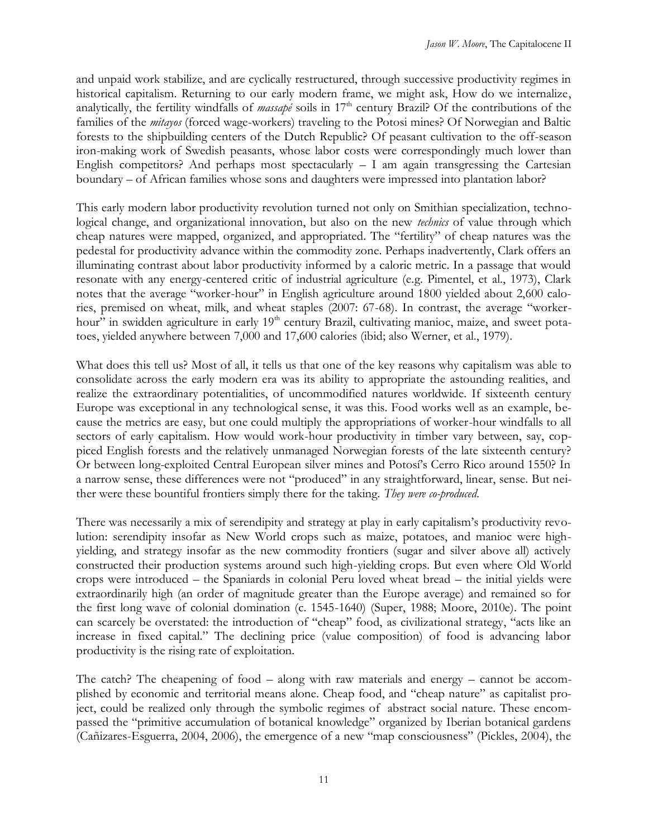and unpaid work stabilize, and are cyclically restructured, through successive productivity regimes in historical capitalism. Returning to our early modern frame, we might ask, How do we internalize, analytically, the fertility windfalls of *massapé* soils in 17<sup>th</sup> century Brazil? Of the contributions of the families of the *mitayos* (forced wage-workers) traveling to the Potosi mines? Of Norwegian and Baltic forests to the shipbuilding centers of the Dutch Republic? Of peasant cultivation to the off-season iron-making work of Swedish peasants, whose labor costs were correspondingly much lower than English competitors? And perhaps most spectacularly  $-$  I am again transgressing the Cartesian boundary – of African families whose sons and daughters were impressed into plantation labor?

This early modern labor productivity revolution turned not only on Smithian specialization, technological change, and organizational innovation, but also on the new *technics* of value through which cheap natures were mapped, organized, and appropriated. The "fertility" of cheap natures was the pedestal for productivity advance within the commodity zone. Perhaps inadvertently, Clark offers an illuminating contrast about labor productivity informed by a caloric metric. In a passage that would resonate with any energy-centered critic of industrial agriculture (e.g. Pimentel, et al., 1973), Clark notes that the average "worker-hour" in English agriculture around 1800 yielded about 2,600 calories, premised on wheat, milk, and wheat staples (2007: 67-68). In contrast, the average "workerhour" in swidden agriculture in early 19<sup>th</sup> century Brazil, cultivating manioc, maize, and sweet potatoes, yielded anywhere between 7,000 and 17,600 calories (ibid; also Werner, et al., 1979).

What does this tell us? Most of all, it tells us that one of the key reasons why capitalism was able to consolidate across the early modern era was its ability to appropriate the astounding realities, and realize the extraordinary potentialities, of uncommodified natures worldwide. If sixteenth century Europe was exceptional in any technological sense, it was this. Food works well as an example, because the metrics are easy, but one could multiply the appropriations of worker-hour windfalls to all sectors of early capitalism. How would work-hour productivity in timber vary between, say, coppiced English forests and the relatively unmanaged Norwegian forests of the late sixteenth century? Or between long-exploited Central European silver mines and Potosí's Cerro Rico around 1550? In a narrow sense, these differences were not "produced" in any straightforward, linear, sense. But neither were these bountiful frontiers simply there for the taking. *They were co-produced*.

There was necessarily a mix of serendipity and strategy at play in early capitalism's productivity revolution: serendipity insofar as New World crops such as maize, potatoes, and manioc were highyielding, and strategy insofar as the new commodity frontiers (sugar and silver above all) actively constructed their production systems around such high-yielding crops. But even where Old World crops were introduced – the Spaniards in colonial Peru loved wheat bread – the initial yields were extraordinarily high (an order of magnitude greater than the Europe average) and remained so for the first long wave of colonial domination (c. 1545-1640) (Super, 1988; Moore, 2010e). The point can scarcely be overstated: the introduction of "cheap" food, as civilizational strategy, "acts like an increase in fixed capital." The declining price (value composition) of food is advancing labor productivity is the rising rate of exploitation.

The catch? The cheapening of food – along with raw materials and energy – cannot be accomplished by economic and territorial means alone. Cheap food, and "cheap nature" as capitalist project, could be realized only through the symbolic regimes of abstract social nature. These encompassed the "primitive accumulation of botanical knowledge" organized by Iberian botanical gardens (Cañizares-Esguerra, 2004, 2006), the emergence of a new "map consciousness" (Pickles, 2004), the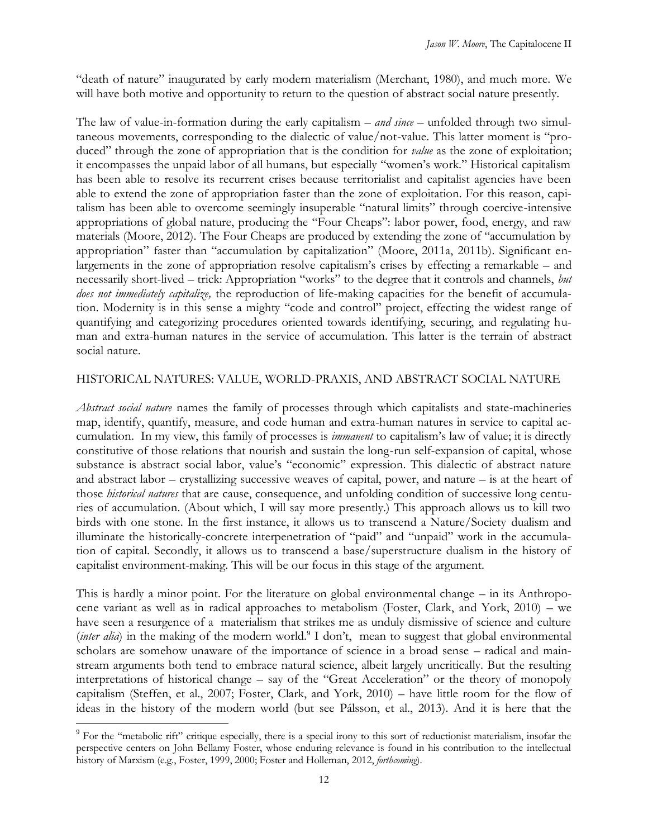"death of nature" inaugurated by early modern materialism (Merchant, 1980), and much more. We will have both motive and opportunity to return to the question of abstract social nature presently.

The law of value-in-formation during the early capitalism – *and since* – unfolded through two simultaneous movements, corresponding to the dialectic of value/not-value. This latter moment is "produced" through the zone of appropriation that is the condition for *value* as the zone of exploitation; it encompasses the unpaid labor of all humans, but especially "women's work." Historical capitalism has been able to resolve its recurrent crises because territorialist and capitalist agencies have been able to extend the zone of appropriation faster than the zone of exploitation. For this reason, capitalism has been able to overcome seemingly insuperable "natural limits" through coercive-intensive appropriations of global nature, producing the "Four Cheaps": labor power, food, energy, and raw materials (Moore, 2012). The Four Cheaps are produced by extending the zone of "accumulation by appropriation" faster than "accumulation by capitalization" (Moore, 2011a, 2011b). Significant enlargements in the zone of appropriation resolve capitalism's crises by effecting a remarkable – and necessarily short-lived – trick: Appropriation "works" to the degree that it controls and channels, *but does not immediately capitalize,* the reproduction of life-making capacities for the benefit of accumulation. Modernity is in this sense a mighty "code and control" project, effecting the widest range of quantifying and categorizing procedures oriented towards identifying, securing, and regulating human and extra-human natures in the service of accumulation. This latter is the terrain of abstract social nature.

#### HISTORICAL NATURES: VALUE, WORLD-PRAXIS, AND ABSTRACT SOCIAL NATURE

*Abstract social nature* names the family of processes through which capitalists and state-machineries map, identify, quantify, measure, and code human and extra-human natures in service to capital accumulation. In my view, this family of processes is *immanent* to capitalism's law of value; it is directly constitutive of those relations that nourish and sustain the long-run self-expansion of capital, whose substance is abstract social labor, value's "economic" expression. This dialectic of abstract nature and abstract labor – crystallizing successive weaves of capital, power, and nature – is at the heart of those *historical natures* that are cause, consequence, and unfolding condition of successive long centuries of accumulation. (About which, I will say more presently.) This approach allows us to kill two birds with one stone. In the first instance, it allows us to transcend a Nature/Society dualism and illuminate the historically-concrete interpenetration of "paid" and "unpaid" work in the accumulation of capital. Secondly, it allows us to transcend a base/superstructure dualism in the history of capitalist environment-making. This will be our focus in this stage of the argument.

This is hardly a minor point. For the literature on global environmental change – in its Anthropocene variant as well as in radical approaches to metabolism (Foster, Clark, and York, 2010) – we have seen a resurgence of a materialism that strikes me as unduly dismissive of science and culture (*inter alia*) in the making of the modern world.<sup>9</sup> I don't, mean to suggest that global environmental scholars are somehow unaware of the importance of science in a broad sense – radical and mainstream arguments both tend to embrace natural science, albeit largely uncritically. But the resulting interpretations of historical change – say of the "Great Acceleration" or the theory of monopoly capitalism (Steffen, et al., 2007; Foster, Clark, and York, 2010) – have little room for the flow of ideas in the history of the modern world (but see Pálsson, et al., 2013). And it is here that the

<sup>&</sup>lt;sup>9</sup> For the "metabolic rift" critique especially, there is a special irony to this sort of reductionist materialism, insofar the perspective centers on John Bellamy Foster, whose enduring relevance is found in his contribution to the intellectual history of Marxism (e.g., Foster, 1999, 2000; Foster and Holleman, 2012, *forthcoming*).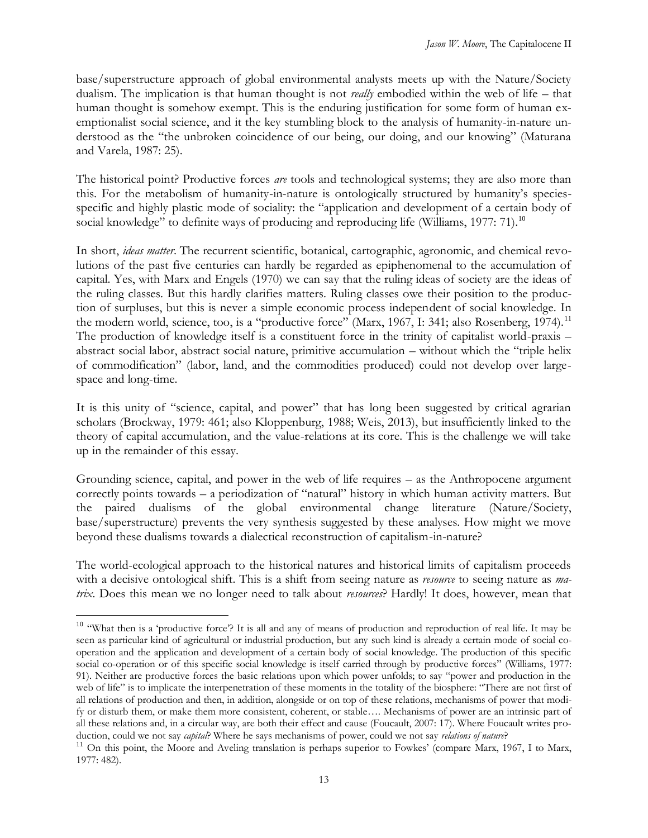base/superstructure approach of global environmental analysts meets up with the Nature/Society dualism. The implication is that human thought is not *really* embodied within the web of life – that human thought is somehow exempt. This is the enduring justification for some form of human exemptionalist social science, and it the key stumbling block to the analysis of humanity-in-nature understood as the "the unbroken coincidence of our being, our doing, and our knowing" (Maturana and Varela, 1987: 25).

The historical point? Productive forces *are* tools and technological systems; they are also more than this. For the metabolism of humanity-in-nature is ontologically structured by humanity's speciesspecific and highly plastic mode of sociality: the "application and development of a certain body of social knowledge" to definite ways of producing and reproducing life (Williams, 1977: 71).<sup>10</sup>

In short, *ideas matter*. The recurrent scientific, botanical, cartographic, agronomic, and chemical revolutions of the past five centuries can hardly be regarded as epiphenomenal to the accumulation of capital. Yes, with Marx and Engels (1970) we can say that the ruling ideas of society are the ideas of the ruling classes. But this hardly clarifies matters. Ruling classes owe their position to the production of surpluses, but this is never a simple economic process independent of social knowledge. In the modern world, science, too, is a "productive force" (Marx, 1967, I: 341; also Rosenberg, 1974).<sup>11</sup> The production of knowledge itself is a constituent force in the trinity of capitalist world-praxis – abstract social labor, abstract social nature, primitive accumulation – without which the "triple helix of commodification" (labor, land, and the commodities produced) could not develop over largespace and long-time.

It is this unity of "science, capital, and power" that has long been suggested by critical agrarian scholars (Brockway, 1979: 461; also Kloppenburg, 1988; Weis, 2013), but insufficiently linked to the theory of capital accumulation, and the value-relations at its core. This is the challenge we will take up in the remainder of this essay.

Grounding science, capital, and power in the web of life requires – as the Anthropocene argument correctly points towards – a periodization of "natural" history in which human activity matters. But the paired dualisms of the global environmental change literature (Nature/Society, base/superstructure) prevents the very synthesis suggested by these analyses. How might we move beyond these dualisms towards a dialectical reconstruction of capitalism-in-nature?

The world-ecological approach to the historical natures and historical limits of capitalism proceeds with a decisive ontological shift. This is a shift from seeing nature as *resource* to seeing nature as *matrix*. Does this mean we no longer need to talk about *resources*? Hardly! It does, however, mean that

<sup>&</sup>lt;sup>10</sup> "What then is a 'productive force'? It is all and any of means of production and reproduction of real life. It may be seen as particular kind of agricultural or industrial production, but any such kind is already a certain mode of social cooperation and the application and development of a certain body of social knowledge. The production of this specific social co-operation or of this specific social knowledge is itself carried through by productive forces" (Williams, 1977: 91). Neither are productive forces the basic relations upon which power unfolds; to say "power and production in the web of life" is to implicate the interpenetration of these moments in the totality of the biosphere: "There are not first of all relations of production and then, in addition, alongside or on top of these relations, mechanisms of power that modify or disturb them, or make them more consistent, coherent, or stable…. Mechanisms of power are an intrinsic part of all these relations and, in a circular way, are both their effect and cause (Foucault, 2007: 17). Where Foucault writes production, could we not say *capital*? Where he says mechanisms of power, could we not say *relations of nature*?

 $11$  On this point, the Moore and Aveling translation is perhaps superior to Fowkes' (compare Marx, 1967, I to Marx, 1977: 482).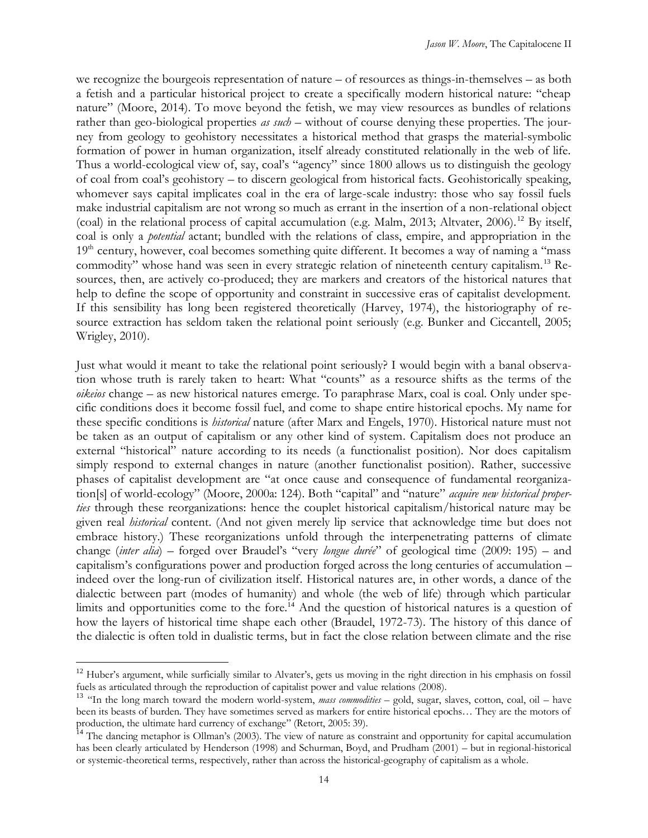we recognize the bourgeois representation of nature – of resources as things-in-themselves – as both a fetish and a particular historical project to create a specifically modern historical nature: "cheap nature" (Moore, 2014). To move beyond the fetish, we may view resources as bundles of relations rather than geo-biological properties *as such* – without of course denying these properties. The journey from geology to geohistory necessitates a historical method that grasps the material-symbolic formation of power in human organization, itself already constituted relationally in the web of life. Thus a world-ecological view of, say, coal's "agency" since 1800 allows us to distinguish the geology of coal from coal's geohistory – to discern geological from historical facts. Geohistorically speaking, whomever says capital implicates coal in the era of large-scale industry: those who say fossil fuels make industrial capitalism are not wrong so much as errant in the insertion of a non-relational object (coal) in the relational process of capital accumulation (e.g. Malm, 2013; Altvater, 2006).<sup>12</sup> By itself, coal is only a *potential* actant; bundled with the relations of class, empire, and appropriation in the  $19<sup>th</sup>$  century, however, coal becomes something quite different. It becomes a way of naming a "mass" commodity" whose hand was seen in every strategic relation of nineteenth century capitalism.<sup>13</sup> Resources, then, are actively co-produced; they are markers and creators of the historical natures that help to define the scope of opportunity and constraint in successive eras of capitalist development. If this sensibility has long been registered theoretically (Harvey, 1974), the historiography of resource extraction has seldom taken the relational point seriously (e.g. Bunker and Ciccantell, 2005; Wrigley, 2010).

Just what would it meant to take the relational point seriously? I would begin with a banal observation whose truth is rarely taken to heart: What "counts" as a resource shifts as the terms of the *oikeios* change – as new historical natures emerge. To paraphrase Marx, coal is coal. Only under specific conditions does it become fossil fuel, and come to shape entire historical epochs. My name for these specific conditions is *historical* nature (after Marx and Engels, 1970). Historical nature must not be taken as an output of capitalism or any other kind of system. Capitalism does not produce an external "historical" nature according to its needs (a functionalist position). Nor does capitalism simply respond to external changes in nature (another functionalist position). Rather, successive phases of capitalist development are "at once cause and consequence of fundamental reorganization[s] of world-ecology" (Moore, 2000a: 124). Both "capital" and "nature" *acquire new historical properties* through these reorganizations: hence the couplet historical capitalism/historical nature may be given real *historical* content. (And not given merely lip service that acknowledge time but does not embrace history.) These reorganizations unfold through the interpenetrating patterns of climate change (*inter alia*) – forged over Braudel's "very *longue durée*" of geological time (2009: 195) – and capitalism's configurations power and production forged across the long centuries of accumulation – indeed over the long-run of civilization itself. Historical natures are, in other words, a dance of the dialectic between part (modes of humanity) and whole (the web of life) through which particular limits and opportunities come to the fore.<sup>14</sup> And the question of historical natures is a question of how the layers of historical time shape each other (Braudel, 1972-73). The history of this dance of the dialectic is often told in dualistic terms, but in fact the close relation between climate and the rise

<sup>&</sup>lt;sup>12</sup> Huber's argument, while surficially similar to Alvater's, gets us moving in the right direction in his emphasis on fossil fuels as articulated through the reproduction of capitalist power and value relations (2008).

<sup>13</sup> "In the long march toward the modern world-system, *mass commodities* – gold, sugar, slaves, cotton, coal, oil – have been its beasts of burden. They have sometimes served as markers for entire historical epochs… They are the motors of production, the ultimate hard currency of exchange" (Retort, 2005: 39).

<sup>&</sup>lt;sup>14</sup> The dancing metaphor is Ollman's (2003). The view of nature as constraint and opportunity for capital accumulation has been clearly articulated by Henderson (1998) and Schurman, Boyd, and Prudham (2001) – but in regional-historical or systemic-theoretical terms, respectively, rather than across the historical-geography of capitalism as a whole.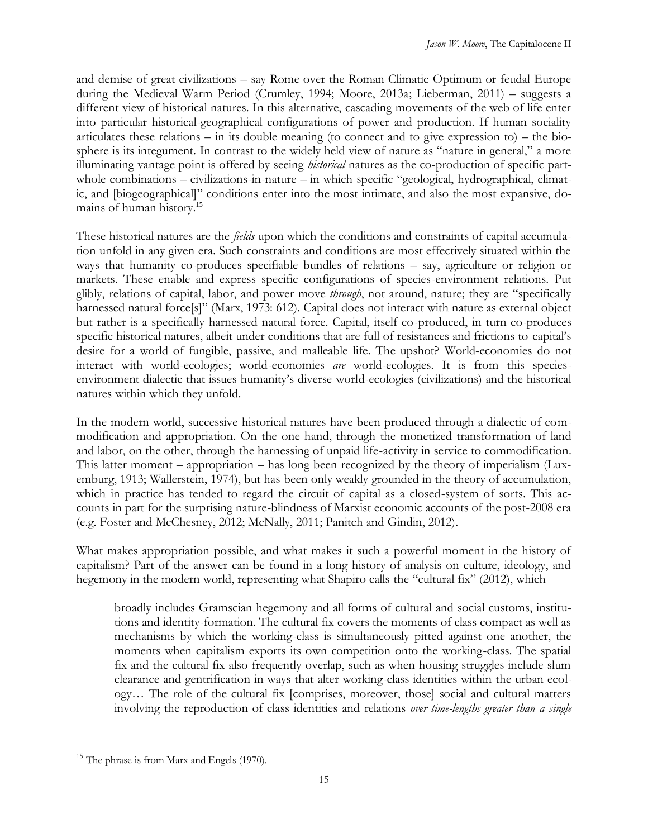and demise of great civilizations – say Rome over the Roman Climatic Optimum or feudal Europe during the Medieval Warm Period (Crumley, 1994; Moore, 2013a; Lieberman, 2011) – suggests a different view of historical natures. In this alternative, cascading movements of the web of life enter into particular historical-geographical configurations of power and production. If human sociality articulates these relations – in its double meaning (to connect and to give expression to) – the biosphere is its integument. In contrast to the widely held view of nature as "nature in general," a more illuminating vantage point is offered by seeing *historical* natures as the co-production of specific partwhole combinations – civilizations-in-nature – in which specific "geological, hydrographical, climatic, and [biogeographical]" conditions enter into the most intimate, and also the most expansive, domains of human history.<sup>15</sup>

These historical natures are the *fields* upon which the conditions and constraints of capital accumulation unfold in any given era. Such constraints and conditions are most effectively situated within the ways that humanity co-produces specifiable bundles of relations – say, agriculture or religion or markets. These enable and express specific configurations of species-environment relations. Put glibly, relations of capital, labor, and power move *through*, not around, nature; they are "specifically harnessed natural force[s]" (Marx, 1973: 612). Capital does not interact with nature as external object but rather is a specifically harnessed natural force. Capital, itself co-produced, in turn co-produces specific historical natures, albeit under conditions that are full of resistances and frictions to capital's desire for a world of fungible, passive, and malleable life. The upshot? World-economies do not interact with world-ecologies; world-economies *are* world-ecologies. It is from this speciesenvironment dialectic that issues humanity's diverse world-ecologies (civilizations) and the historical natures within which they unfold.

In the modern world, successive historical natures have been produced through a dialectic of commodification and appropriation. On the one hand, through the monetized transformation of land and labor, on the other, through the harnessing of unpaid life-activity in service to commodification. This latter moment – appropriation – has long been recognized by the theory of imperialism (Luxemburg, 1913; Wallerstein, 1974), but has been only weakly grounded in the theory of accumulation, which in practice has tended to regard the circuit of capital as a closed-system of sorts. This accounts in part for the surprising nature-blindness of Marxist economic accounts of the post-2008 era (e.g. Foster and McChesney, 2012; McNally, 2011; Panitch and Gindin, 2012).

What makes appropriation possible, and what makes it such a powerful moment in the history of capitalism? Part of the answer can be found in a long history of analysis on culture, ideology, and hegemony in the modern world, representing what Shapiro calls the "cultural fix" (2012), which

broadly includes Gramscian hegemony and all forms of cultural and social customs, institutions and identity-formation. The cultural fix covers the moments of class compact as well as mechanisms by which the working-class is simultaneously pitted against one another, the moments when capitalism exports its own competition onto the working-class. The spatial fix and the cultural fix also frequently overlap, such as when housing struggles include slum clearance and gentrification in ways that alter working-class identities within the urban ecology… The role of the cultural fix [comprises, moreover, those] social and cultural matters involving the reproduction of class identities and relations *over time-lengths greater than a single* 

 $\overline{a}$ <sup>15</sup> The phrase is from Marx and Engels (1970).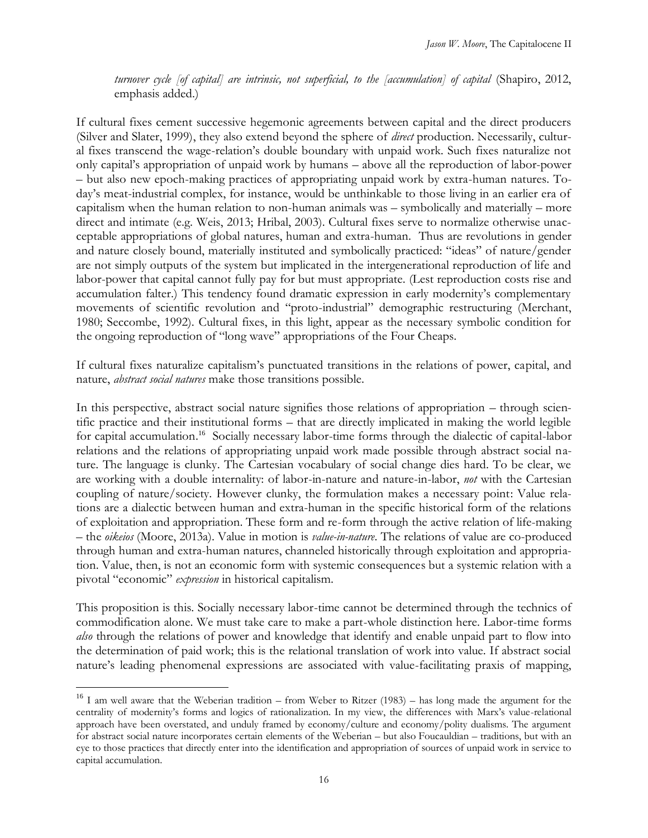*turnover cycle [of capital] are intrinsic, not superficial, to the [accumulation] of capital* (Shapiro, 2012, emphasis added.)

If cultural fixes cement successive hegemonic agreements between capital and the direct producers (Silver and Slater, 1999), they also extend beyond the sphere of *direct* production. Necessarily, cultural fixes transcend the wage-relation's double boundary with unpaid work. Such fixes naturalize not only capital's appropriation of unpaid work by humans – above all the reproduction of labor-power – but also new epoch-making practices of appropriating unpaid work by extra-human natures. Today's meat-industrial complex, for instance, would be unthinkable to those living in an earlier era of capitalism when the human relation to non-human animals was – symbolically and materially – more direct and intimate (e.g. Weis, 2013; Hribal, 2003). Cultural fixes serve to normalize otherwise unacceptable appropriations of global natures, human and extra-human. Thus are revolutions in gender and nature closely bound, materially instituted and symbolically practiced: "ideas" of nature/gender are not simply outputs of the system but implicated in the intergenerational reproduction of life and labor-power that capital cannot fully pay for but must appropriate. (Lest reproduction costs rise and accumulation falter.) This tendency found dramatic expression in early modernity's complementary movements of scientific revolution and "proto-industrial" demographic restructuring (Merchant, 1980; Seccombe, 1992). Cultural fixes, in this light, appear as the necessary symbolic condition for the ongoing reproduction of "long wave" appropriations of the Four Cheaps.

If cultural fixes naturalize capitalism's punctuated transitions in the relations of power, capital, and nature, *abstract social natures* make those transitions possible.

In this perspective, abstract social nature signifies those relations of appropriation – through scientific practice and their institutional forms – that are directly implicated in making the world legible for capital accumulation.<sup>16</sup> Socially necessary labor-time forms through the dialectic of capital-labor relations and the relations of appropriating unpaid work made possible through abstract social nature. The language is clunky. The Cartesian vocabulary of social change dies hard. To be clear, we are working with a double internality: of labor-in-nature and nature-in-labor, *not* with the Cartesian coupling of nature/society. However clunky, the formulation makes a necessary point: Value relations are a dialectic between human and extra-human in the specific historical form of the relations of exploitation and appropriation. These form and re-form through the active relation of life-making – the *oikeios* (Moore, 2013a). Value in motion is *value-in-nature*. The relations of value are co-produced through human and extra-human natures, channeled historically through exploitation and appropriation. Value, then, is not an economic form with systemic consequences but a systemic relation with a pivotal "economic" *expression* in historical capitalism.

This proposition is this. Socially necessary labor-time cannot be determined through the technics of commodification alone. We must take care to make a part-whole distinction here. Labor-time forms *also* through the relations of power and knowledge that identify and enable unpaid part to flow into the determination of paid work; this is the relational translation of work into value. If abstract social nature's leading phenomenal expressions are associated with value-facilitating praxis of mapping,

 $16$  I am well aware that the Weberian tradition – from Weber to Ritzer (1983) – has long made the argument for the centrality of modernity's forms and logics of rationalization. In my view, the differences with Marx's value-relational approach have been overstated, and unduly framed by economy/culture and economy/polity dualisms. The argument for abstract social nature incorporates certain elements of the Weberian – but also Foucauldian – traditions, but with an eye to those practices that directly enter into the identification and appropriation of sources of unpaid work in service to capital accumulation.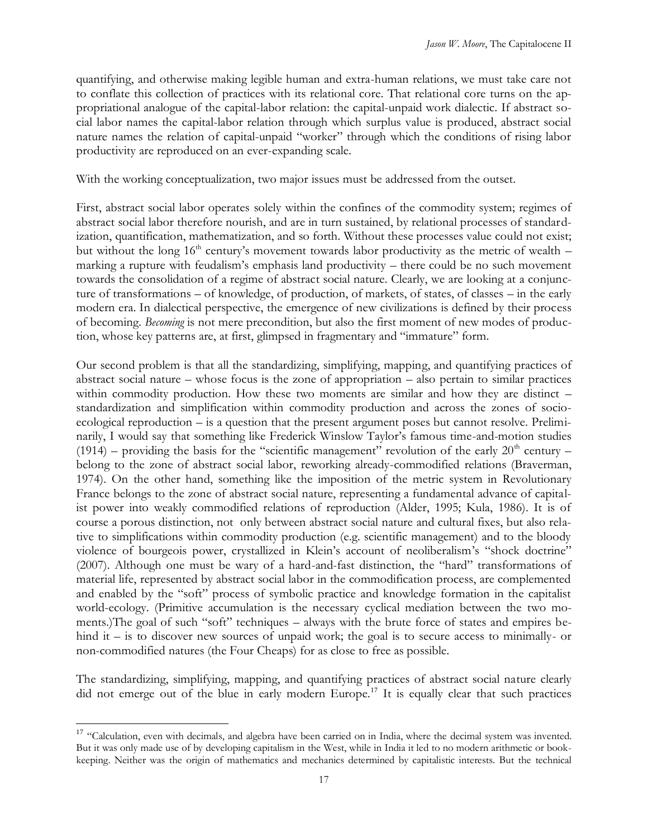quantifying, and otherwise making legible human and extra-human relations, we must take care not to conflate this collection of practices with its relational core. That relational core turns on the appropriational analogue of the capital-labor relation: the capital-unpaid work dialectic. If abstract social labor names the capital-labor relation through which surplus value is produced, abstract social nature names the relation of capital-unpaid "worker" through which the conditions of rising labor productivity are reproduced on an ever-expanding scale.

With the working conceptualization, two major issues must be addressed from the outset.

First, abstract social labor operates solely within the confines of the commodity system; regimes of abstract social labor therefore nourish, and are in turn sustained, by relational processes of standardization, quantification, mathematization, and so forth. Without these processes value could not exist; but without the long 16<sup>th</sup> century's movement towards labor productivity as the metric of wealth – marking a rupture with feudalism's emphasis land productivity – there could be no such movement towards the consolidation of a regime of abstract social nature. Clearly, we are looking at a conjuncture of transformations – of knowledge, of production, of markets, of states, of classes – in the early modern era. In dialectical perspective, the emergence of new civilizations is defined by their process of becoming. *Becoming* is not mere precondition, but also the first moment of new modes of production, whose key patterns are, at first, glimpsed in fragmentary and "immature" form.

Our second problem is that all the standardizing, simplifying, mapping, and quantifying practices of abstract social nature – whose focus is the zone of appropriation – also pertain to similar practices within commodity production. How these two moments are similar and how they are distinct – standardization and simplification within commodity production and across the zones of socioecological reproduction – is a question that the present argument poses but cannot resolve. Preliminarily, I would say that something like Frederick Winslow Taylor's famous time-and-motion studies (1914) – providing the basis for the "scientific management" revolution of the early  $20<sup>th</sup>$  century – belong to the zone of abstract social labor, reworking already-commodified relations (Braverman, 1974). On the other hand, something like the imposition of the metric system in Revolutionary France belongs to the zone of abstract social nature, representing a fundamental advance of capitalist power into weakly commodified relations of reproduction (Alder, 1995; Kula, 1986). It is of course a porous distinction, not only between abstract social nature and cultural fixes, but also relative to simplifications within commodity production (e.g. scientific management) and to the bloody violence of bourgeois power, crystallized in Klein's account of neoliberalism's "shock doctrine" (2007). Although one must be wary of a hard-and-fast distinction, the "hard" transformations of material life, represented by abstract social labor in the commodification process, are complemented and enabled by the "soft" process of symbolic practice and knowledge formation in the capitalist world-ecology. (Primitive accumulation is the necessary cyclical mediation between the two moments.)The goal of such "soft" techniques – always with the brute force of states and empires behind it – is to discover new sources of unpaid work; the goal is to secure access to minimally- or non-commodified natures (the Four Cheaps) for as close to free as possible.

The standardizing, simplifying, mapping, and quantifying practices of abstract social nature clearly did not emerge out of the blue in early modern Europe.<sup>17</sup> It is equally clear that such practices

<sup>&</sup>lt;sup>17</sup> "Calculation, even with decimals, and algebra have been carried on in India, where the decimal system was invented. But it was only made use of by developing capitalism in the West, while in India it led to no modern arithmetic or bookkeeping. Neither was the origin of mathematics and mechanics determined by capitalistic interests. But the technical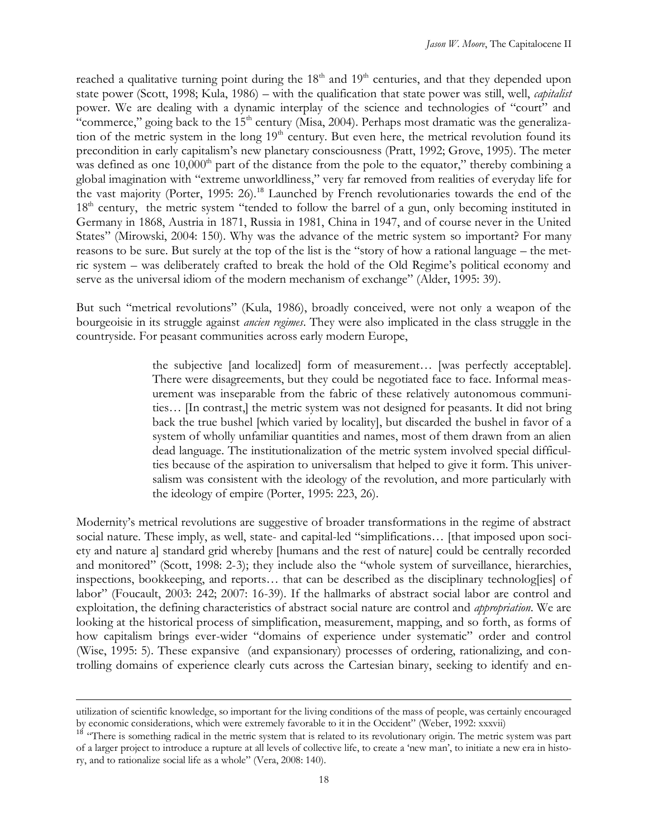reached a qualitative turning point during the 18<sup>th</sup> and 19<sup>th</sup> centuries, and that they depended upon state power (Scott, 1998; Kula, 1986) – with the qualification that state power was still, well, *capitalist*  power. We are dealing with a dynamic interplay of the science and technologies of "court" and "commerce," going back to the  $15<sup>th</sup>$  century (Misa, 2004). Perhaps most dramatic was the generalization of the metric system in the long 19<sup>th</sup> century. But even here, the metrical revolution found its precondition in early capitalism's new planetary consciousness (Pratt, 1992; Grove, 1995). The meter was defined as one 10,000<sup>th</sup> part of the distance from the pole to the equator," thereby combining a global imagination with "extreme unworldliness," very far removed from realities of everyday life for the vast majority (Porter, 1995: 26).<sup>18</sup> Launched by French revolutionaries towards the end of the 18<sup>th</sup> century, the metric system "tended to follow the barrel of a gun, only becoming instituted in Germany in 1868, Austria in 1871, Russia in 1981, China in 1947, and of course never in the United States" (Mirowski, 2004: 150). Why was the advance of the metric system so important? For many reasons to be sure. But surely at the top of the list is the "story of how a rational language – the metric system – was deliberately crafted to break the hold of the Old Regime's political economy and serve as the universal idiom of the modern mechanism of exchange" (Alder, 1995: 39).

But such "metrical revolutions" (Kula, 1986), broadly conceived, were not only a weapon of the bourgeoisie in its struggle against *ancien regimes*. They were also implicated in the class struggle in the countryside. For peasant communities across early modern Europe,

> the subjective [and localized] form of measurement… [was perfectly acceptable]. There were disagreements, but they could be negotiated face to face. Informal measurement was inseparable from the fabric of these relatively autonomous communities… [In contrast,] the metric system was not designed for peasants. It did not bring back the true bushel [which varied by locality], but discarded the bushel in favor of a system of wholly unfamiliar quantities and names, most of them drawn from an alien dead language. The institutionalization of the metric system involved special difficulties because of the aspiration to universalism that helped to give it form. This universalism was consistent with the ideology of the revolution, and more particularly with the ideology of empire (Porter, 1995: 223, 26).

Modernity's metrical revolutions are suggestive of broader transformations in the regime of abstract social nature. These imply, as well, state- and capital-led "simplifications… [that imposed upon society and nature a] standard grid whereby [humans and the rest of nature] could be centrally recorded and monitored" (Scott, 1998: 2-3); they include also the "whole system of surveillance, hierarchies, inspections, bookkeeping, and reports… that can be described as the disciplinary technolog[ies] of labor" (Foucault, 2003: 242; 2007: 16-39). If the hallmarks of abstract social labor are control and exploitation, the defining characteristics of abstract social nature are control and *appropriation*. We are looking at the historical process of simplification, measurement, mapping, and so forth, as forms of how capitalism brings ever-wider "domains of experience under systematic" order and control (Wise, 1995: 5). These expansive (and expansionary) processes of ordering, rationalizing, and controlling domains of experience clearly cuts across the Cartesian binary, seeking to identify and en-

utilization of scientific knowledge, so important for the living conditions of the mass of people, was certainly encouraged by economic considerations, which were extremely favorable to it in the Occident" (Weber, 1992: xxxvii)

<sup>&</sup>lt;sup>18</sup> "There is something radical in the metric system that is related to its revolutionary origin. The metric system was part of a larger project to introduce a rupture at all levels of collective life, to create a 'new man', to initiate a new era in history, and to rationalize social life as a whole" (Vera, 2008: 140).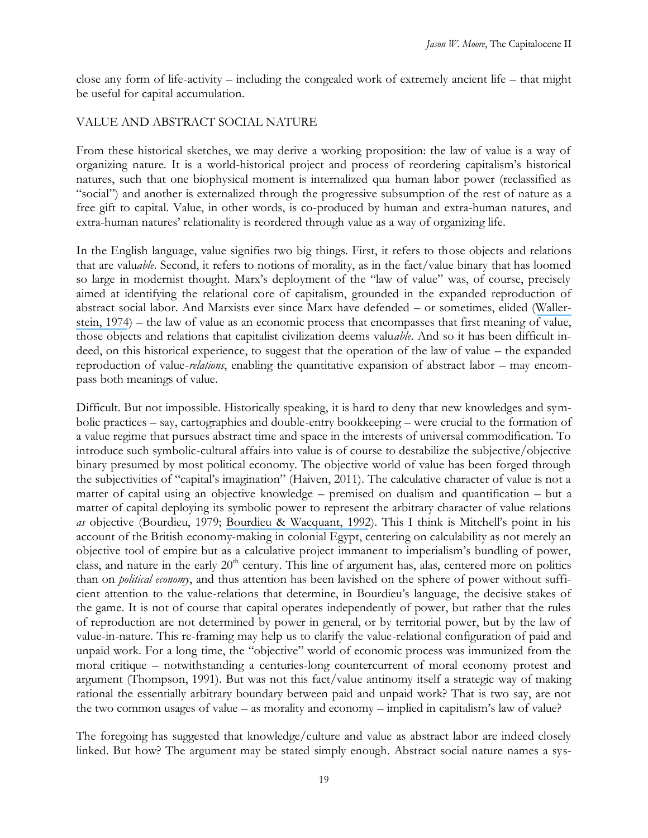close any form of life-activity – including the congealed work of extremely ancient life – that might be useful for capital accumulation.

#### VALUE AND ABSTRACT SOCIAL NATURE

From these historical sketches, we may derive a working proposition: the law of value is a way of organizing nature. It is a world-historical project and process of reordering capitalism's historical natures, such that one biophysical moment is internalized qua human labor power (reclassified as "social") and another is externalized through the progressive subsumption of the rest of nature as a free gift to capital. Value, in other words, is co-produced by human and extra-human natures, and extra-human natures' relationality is reordered through value as a way of organizing life.

In the English language, value signifies two big things. First, it refers to those objects and relations that are valu*able*. Second, it refers to notions of morality, as in the fact/value binary that has loomed so large in modernist thought. Marx's deployment of the "law of value" was, of course, precisely aimed at identifying the relational core of capitalism, grounded in the expanded reproduction of abstract social labor. And Marxists ever since Marx have defended – or sometimes, elided ([Waller](https://www.researchgate.net/publication/298993117_Islam_in_the_modern_world-system?el=1_x_8&enrichId=rgreq-46f53ebb51901b2260ca349cb2451b6c-XXX&enrichSource=Y292ZXJQYWdlOzI2NDQ1NzI4MTtBUzoxMjY1NDMxNjY3MDk3NjBAMTQwNzE4MTY1MDM3NA==)[stein, 1974](https://www.researchgate.net/publication/298993117_Islam_in_the_modern_world-system?el=1_x_8&enrichId=rgreq-46f53ebb51901b2260ca349cb2451b6c-XXX&enrichSource=Y292ZXJQYWdlOzI2NDQ1NzI4MTtBUzoxMjY1NDMxNjY3MDk3NjBAMTQwNzE4MTY1MDM3NA==)) – the law of value as an economic process that encompasses that first meaning of value, those objects and relations that capitalist civilization deems valu*able*. And so it has been difficult indeed, on this historical experience, to suggest that the operation of the law of value – the expanded reproduction of value-*relations*, enabling the quantitative expansion of abstract labor – may encompass both meanings of value.

Difficult. But not impossible. Historically speaking, it is hard to deny that new knowledges and symbolic practices – say, cartographies and double-entry bookkeeping – were crucial to the formation of a value regime that pursues abstract time and space in the interests of universal commodification. To introduce such symbolic-cultural affairs into value is of course to destabilize the subjective/objective binary presumed by most political economy. The objective world of value has been forged through the subjectivities of "capital's imagination" (Haiven, 2011). The calculative character of value is not a matter of capital using an objective knowledge – premised on dualism and quantification – but a matter of capital deploying its symbolic power to represent the arbitrary character of value relations *as* objective (Bourdieu, 1979; [Bourdieu & Wacquant, 1992](https://www.researchgate.net/publication/null?el=1_x_8&enrichId=rgreq-46f53ebb51901b2260ca349cb2451b6c-XXX&enrichSource=Y292ZXJQYWdlOzI2NDQ1NzI4MTtBUzoxMjY1NDMxNjY3MDk3NjBAMTQwNzE4MTY1MDM3NA==)). This I think is Mitchell's point in his account of the British economy-making in colonial Egypt, centering on calculability as not merely an objective tool of empire but as a calculative project immanent to imperialism's bundling of power, class, and nature in the early 20<sup>th</sup> century. This line of argument has, alas, centered more on politics than on *political economy*, and thus attention has been lavished on the sphere of power without sufficient attention to the value-relations that determine, in Bourdieu's language, the decisive stakes of the game. It is not of course that capital operates independently of power, but rather that the rules of reproduction are not determined by power in general, or by territorial power, but by the law of value-in-nature. This re-framing may help us to clarify the value-relational configuration of paid and unpaid work. For a long time, the "objective" world of economic process was immunized from the moral critique – notwithstanding a centuries-long countercurrent of moral economy protest and argument (Thompson, 1991). But was not this fact/value antinomy itself a strategic way of making rational the essentially arbitrary boundary between paid and unpaid work? That is two say, are not the two common usages of value – as morality and economy – implied in capitalism's law of value?

The foregoing has suggested that knowledge/culture and value as abstract labor are indeed closely linked. But how? The argument may be stated simply enough. Abstract social nature names a sys-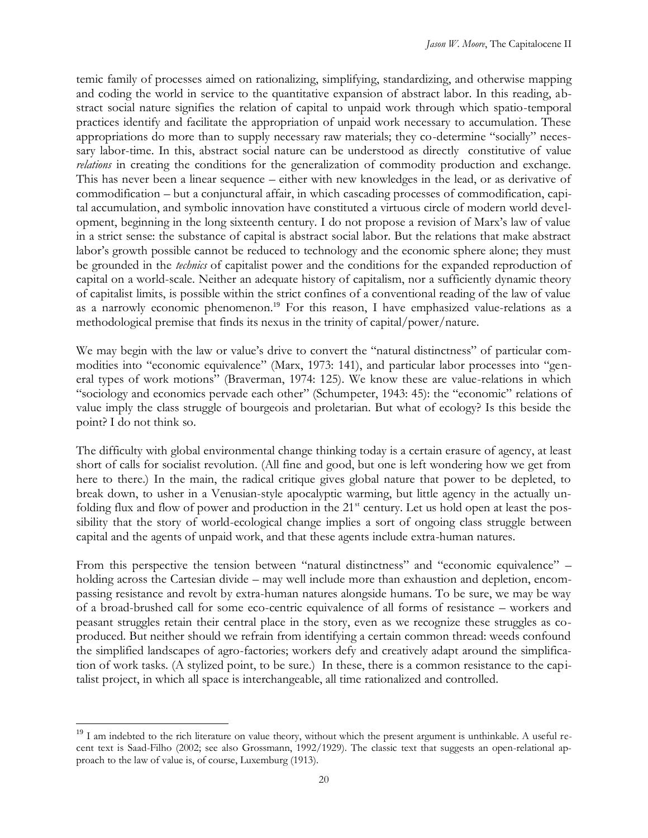temic family of processes aimed on rationalizing, simplifying, standardizing, and otherwise mapping and coding the world in service to the quantitative expansion of abstract labor. In this reading, abstract social nature signifies the relation of capital to unpaid work through which spatio-temporal practices identify and facilitate the appropriation of unpaid work necessary to accumulation. These appropriations do more than to supply necessary raw materials; they co-determine "socially" necessary labor-time. In this, abstract social nature can be understood as directly constitutive of value *relations* in creating the conditions for the generalization of commodity production and exchange. This has never been a linear sequence – either with new knowledges in the lead, or as derivative of commodification – but a conjunctural affair, in which cascading processes of commodification, capital accumulation, and symbolic innovation have constituted a virtuous circle of modern world development, beginning in the long sixteenth century. I do not propose a revision of Marx's law of value in a strict sense: the substance of capital is abstract social labor. But the relations that make abstract labor's growth possible cannot be reduced to technology and the economic sphere alone; they must be grounded in the *technics* of capitalist power and the conditions for the expanded reproduction of capital on a world-scale. Neither an adequate history of capitalism, nor a sufficiently dynamic theory of capitalist limits, is possible within the strict confines of a conventional reading of the law of value as a narrowly economic phenomenon.<sup>19</sup> For this reason, I have emphasized value-relations as a methodological premise that finds its nexus in the trinity of capital/power/nature.

We may begin with the law or value's drive to convert the "natural distinctness" of particular commodities into "economic equivalence" (Marx, 1973: 141), and particular labor processes into "general types of work motions" (Braverman, 1974: 125). We know these are value-relations in which "sociology and economics pervade each other" (Schumpeter, 1943: 45): the "economic" relations of value imply the class struggle of bourgeois and proletarian. But what of ecology? Is this beside the point? I do not think so.

The difficulty with global environmental change thinking today is a certain erasure of agency, at least short of calls for socialist revolution. (All fine and good, but one is left wondering how we get from here to there.) In the main, the radical critique gives global nature that power to be depleted, to break down, to usher in a Venusian-style apocalyptic warming, but little agency in the actually unfolding flux and flow of power and production in the 21<sup>st</sup> century. Let us hold open at least the possibility that the story of world-ecological change implies a sort of ongoing class struggle between capital and the agents of unpaid work, and that these agents include extra-human natures.

From this perspective the tension between "natural distinctness" and "economic equivalence" – holding across the Cartesian divide – may well include more than exhaustion and depletion, encompassing resistance and revolt by extra-human natures alongside humans. To be sure, we may be way of a broad-brushed call for some eco-centric equivalence of all forms of resistance – workers and peasant struggles retain their central place in the story, even as we recognize these struggles as coproduced. But neither should we refrain from identifying a certain common thread: weeds confound the simplified landscapes of agro-factories; workers defy and creatively adapt around the simplification of work tasks. (A stylized point, to be sure.) In these, there is a common resistance to the capitalist project, in which all space is interchangeable, all time rationalized and controlled.

 $19$  I am indebted to the rich literature on value theory, without which the present argument is unthinkable. A useful recent text is Saad-Filho (2002; see also Grossmann, 1992/1929). The classic text that suggests an open-relational approach to the law of value is, of course, Luxemburg (1913).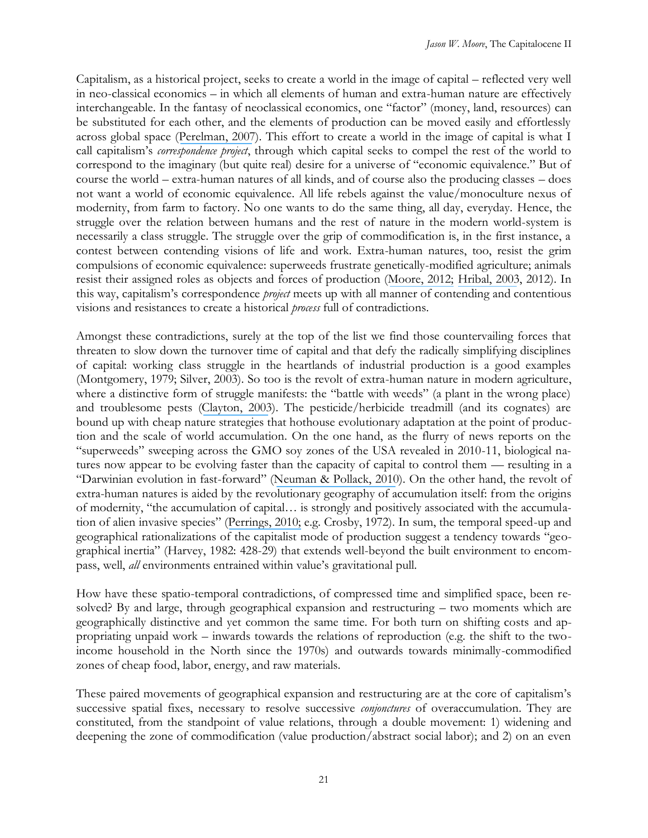Capitalism, as a historical project, seeks to create a world in the image of capital – reflected very well in neo-classical economics – in which all elements of human and extra-human nature are effectively interchangeable. In the fantasy of neoclassical economics, one "factor" (money, land, resources) can be substituted for each other, and the elements of production can be moved easily and effortlessly across global space ([Perelman, 2007](https://www.researchgate.net/publication/249017910_Scarcity_and_Environmental_Disaster_Why_Hotelling)). This effort to create a world in the image of capital is what I call capitalism's *correspondence project*, through which capital seeks to compel the rest of the world to correspond to the imaginary (but quite real) desire for a universe of "economic equivalence." But of course the world – extra-human natures of all kinds, and of course also the producing classes – does not want a world of economic equivalence. All life rebels against the value/monoculture nexus of modernity, from farm to factory. No one wants to do the same thing, all day, everyday. Hence, the struggle over the relation between humans and the rest of nature in the modern world-system is necessarily a class struggle. The struggle over the grip of commodification is, in the first instance, a contest between contending visions of life and work. Extra-human natures, too, resist the grim compulsions of economic equivalence: superweeds frustrate genetically-modified agriculture; animals resist their assigned roles as objects and forces of production ([Moore, 2012;](https://www.researchgate.net/publication/236660320_Cheap_Food_Bad_Money_Food_Frontiers_and_Financialization_in_the_Rise_and_Demise_of_Neoliberalism?el=1_x_8&enrichId=rgreq-46f53ebb51901b2260ca349cb2451b6c-XXX&enrichSource=Y292ZXJQYWdlOzI2NDQ1NzI4MTtBUzoxMjY1NDMxNjY3MDk3NjBAMTQwNzE4MTY1MDM3NA==) [Hribal, 2003](https://www.researchgate.net/publication/237316225_Animals_are_Part_of_the_Working_Class_A_Challenge_to_Labor_History?el=1_x_8&enrichId=rgreq-46f53ebb51901b2260ca349cb2451b6c-XXX&enrichSource=Y292ZXJQYWdlOzI2NDQ1NzI4MTtBUzoxMjY1NDMxNjY3MDk3NjBAMTQwNzE4MTY1MDM3NA==), 2012). In this way, capitalism's correspondence *project* meets up with all manner of contending and contentious visions and resistances to create a historical *process* full of contradictions.

Amongst these contradictions, surely at the top of the list we find those countervailing forces that threaten to slow down the turnover time of capital and that defy the radically simplifying disciplines of capital: working class struggle in the heartlands of industrial production is a good examples (Montgomery, 1979; Silver, 2003). So too is the revolt of extra-human nature in modern agriculture, where a distinctive form of struggle manifests: the "battle with weeds" (a plant in the wrong place) and troublesome pests ([Clayton, 2003](https://www.researchgate.net/publication/233541680_Weeds_People_and_Contested_Places?el=1_x_8&enrichId=rgreq-46f53ebb51901b2260ca349cb2451b6c-XXX&enrichSource=Y292ZXJQYWdlOzI2NDQ1NzI4MTtBUzoxMjY1NDMxNjY3MDk3NjBAMTQwNzE4MTY1MDM3NA==)). The pesticide/herbicide treadmill (and its cognates) are bound up with cheap nature strategies that hothouse evolutionary adaptation at the point of production and the scale of world accumulation. On the one hand, as the flurry of news reports on the "superweeds" sweeping across the GMO soy zones of the USA revealed in 2010-11, biological natures now appear to be evolving faster than the capacity of capital to control them — resulting in a "Darwinian evolution in fast-forward" ([Neuman & Pollack, 2010](https://www.researchgate.net/publication/265243314_Farmers_Cope_With_Roundup-Resistant_Weeds?el=1_x_8&enrichId=rgreq-46f53ebb51901b2260ca349cb2451b6c-XXX&enrichSource=Y292ZXJQYWdlOzI2NDQ1NzI4MTtBUzoxMjY1NDMxNjY3MDk3NjBAMTQwNzE4MTY1MDM3NA==)). On the other hand, the revolt of extra-human natures is aided by the revolutionary geography of accumulation itself: from the origins of modernity, "the accumulation of capital… is strongly and positively associated with the accumulation of alien invasive species" ([Perrings, 2010;](https://www.researchgate.net/publication/null?el=1_x_8&enrichId=rgreq-46f53ebb51901b2260ca349cb2451b6c-XXX&enrichSource=Y292ZXJQYWdlOzI2NDQ1NzI4MTtBUzoxMjY1NDMxNjY3MDk3NjBAMTQwNzE4MTY1MDM3NA==) e.g. Crosby, 1972). In sum, the temporal speed-up and geographical rationalizations of the capitalist mode of production suggest a tendency towards "geographical inertia" (Harvey, 1982: 428-29) that extends well-beyond the built environment to encompass, well, *all* environments entrained within value's gravitational pull.

How have these spatio-temporal contradictions, of compressed time and simplified space, been resolved? By and large, through geographical expansion and restructuring – two moments which are geographically distinctive and yet common the same time. For both turn on shifting costs and appropriating unpaid work – inwards towards the relations of reproduction (e.g. the shift to the twoincome household in the North since the 1970s) and outwards towards minimally-commodified zones of cheap food, labor, energy, and raw materials.

These paired movements of geographical expansion and restructuring are at the core of capitalism's successive spatial fixes, necessary to resolve successive *conjonctures* of overaccumulation. They are constituted, from the standpoint of value relations, through a double movement: 1) widening and deepening the zone of commodification (value production/abstract social labor); and 2) on an even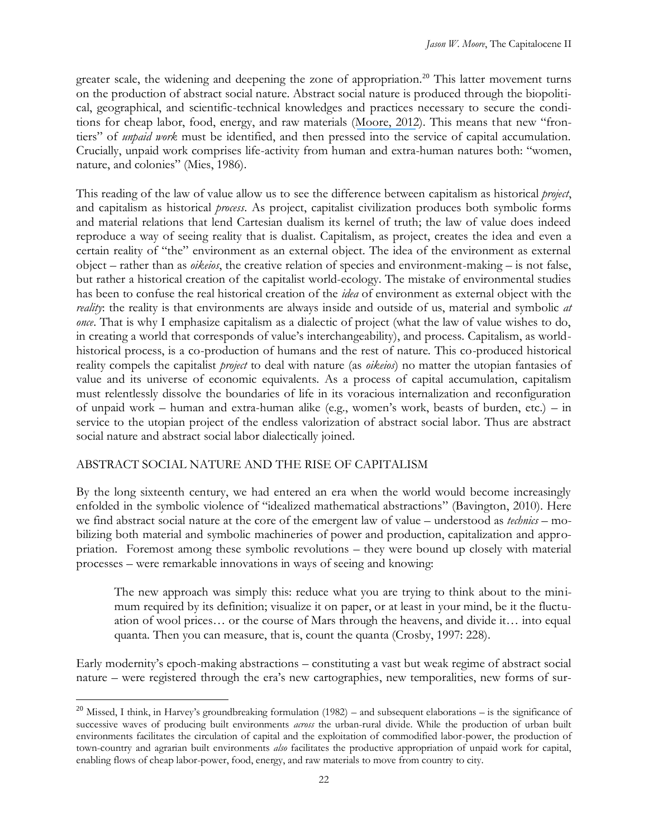greater scale, the widening and deepening the zone of appropriation.<sup>20</sup> This latter movement turns on the production of abstract social nature. Abstract social nature is produced through the biopolitical, geographical, and scientific-technical knowledges and practices necessary to secure the conditions for cheap labor, food, energy, and raw materials ([Moore, 2012](https://www.researchgate.net/publication/236660320_Cheap_Food_Bad_Money_Food_Frontiers_and_Financialization_in_the_Rise_and_Demise_of_Neoliberalism?el=1_x_8&enrichId=rgreq-46f53ebb51901b2260ca349cb2451b6c-XXX&enrichSource=Y292ZXJQYWdlOzI2NDQ1NzI4MTtBUzoxMjY1NDMxNjY3MDk3NjBAMTQwNzE4MTY1MDM3NA==)). This means that new "frontiers" of *unpaid work* must be identified, and then pressed into the service of capital accumulation. Crucially, unpaid work comprises life-activity from human and extra-human natures both: "women, nature, and colonies" (Mies, 1986).

This reading of the law of value allow us to see the difference between capitalism as historical *project*, and capitalism as historical *process*. As project, capitalist civilization produces both symbolic forms and material relations that lend Cartesian dualism its kernel of truth; the law of value does indeed reproduce a way of seeing reality that is dualist. Capitalism, as project, creates the idea and even a certain reality of "the" environment as an external object. The idea of the environment as external object – rather than as *oikeios*, the creative relation of species and environment-making – is not false, but rather a historical creation of the capitalist world-ecology. The mistake of environmental studies has been to confuse the real historical creation of the *idea* of environment as external object with the *reality*: the reality is that environments are always inside and outside of us, material and symbolic *at once*. That is why I emphasize capitalism as a dialectic of project (what the law of value wishes to do, in creating a world that corresponds of value's interchangeability), and process. Capitalism, as worldhistorical process, is a co-production of humans and the rest of nature. This co-produced historical reality compels the capitalist *project* to deal with nature (as *oikeios*) no matter the utopian fantasies of value and its universe of economic equivalents. As a process of capital accumulation, capitalism must relentlessly dissolve the boundaries of life in its voracious internalization and reconfiguration of unpaid work – human and extra-human alike (e.g., women's work, beasts of burden, etc.) – in service to the utopian project of the endless valorization of abstract social labor. Thus are abstract social nature and abstract social labor dialectically joined.

# ABSTRACT SOCIAL NATURE AND THE RISE OF CAPITALISM

 $\overline{a}$ 

By the long sixteenth century, we had entered an era when the world would become increasingly enfolded in the symbolic violence of "idealized mathematical abstractions" (Bavington, 2010). Here we find abstract social nature at the core of the emergent law of value – understood as *technics* – mobilizing both material and symbolic machineries of power and production, capitalization and appropriation. Foremost among these symbolic revolutions – they were bound up closely with material processes – were remarkable innovations in ways of seeing and knowing:

The new approach was simply this: reduce what you are trying to think about to the minimum required by its definition; visualize it on paper, or at least in your mind, be it the fluctuation of wool prices… or the course of Mars through the heavens, and divide it… into equal quanta. Then you can measure, that is, count the quanta (Crosby, 1997: 228).

Early modernity's epoch-making abstractions – constituting a vast but weak regime of abstract social nature – were registered through the era's new cartographies, new temporalities, new forms of sur-

 $20$  Missed, I think, in Harvey's groundbreaking formulation (1982) – and subsequent elaborations – is the significance of successive waves of producing built environments *across* the urban-rural divide. While the production of urban built environments facilitates the circulation of capital and the exploitation of commodified labor-power, the production of town-country and agrarian built environments *also* facilitates the productive appropriation of unpaid work for capital, enabling flows of cheap labor-power, food, energy, and raw materials to move from country to city.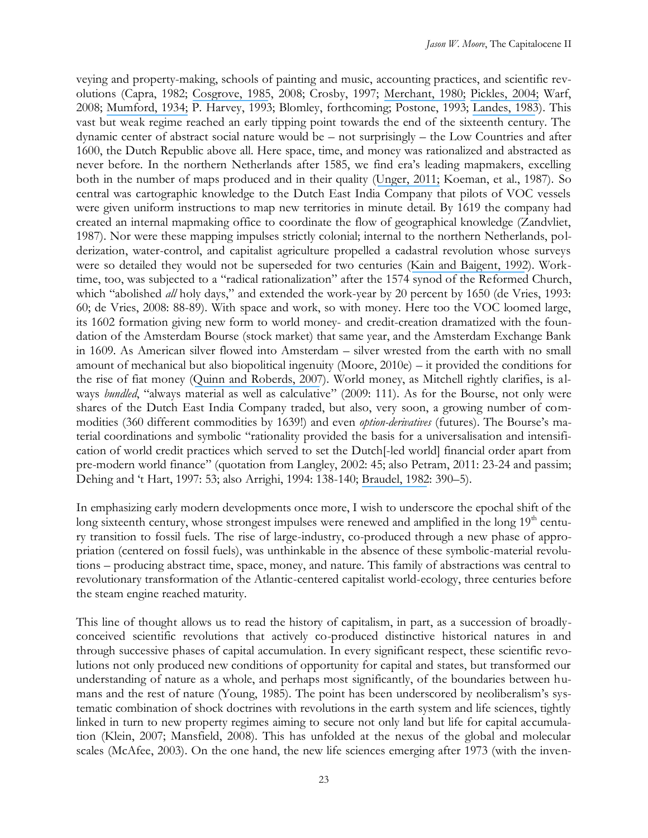veying and property-making, schools of painting and music, accounting practices, and scientific revolutions (Capra, 1982; [Cosgrove, 1985](https://www.researchgate.net/publication/271814115_Prospect_Perspective_and_the_Evolution_of_the_Landscape_Idea?el=1_x_8&enrichId=rgreq-46f53ebb51901b2260ca349cb2451b6c-XXX&enrichSource=Y292ZXJQYWdlOzI2NDQ1NzI4MTtBUzoxMjY1NDMxNjY3MDk3NjBAMTQwNzE4MTY1MDM3NA==), 2008; Crosby, 1997; [Merchant, 1980;](https://www.researchgate.net/publication/264799590_The_Death_of_Nature_Women_Ecology_and_the_Scientific_Revolution?el=1_x_8&enrichId=rgreq-46f53ebb51901b2260ca349cb2451b6c-XXX&enrichSource=Y292ZXJQYWdlOzI2NDQ1NzI4MTtBUzoxMjY1NDMxNjY3MDk3NjBAMTQwNzE4MTY1MDM3NA==) [Pickles, 2004;](https://www.researchgate.net/publication/266373822_A_History_of_Spaces_Cartographic_Reason_Mapping_and_the_Geo-Coded_World?el=1_x_8&enrichId=rgreq-46f53ebb51901b2260ca349cb2451b6c-XXX&enrichSource=Y292ZXJQYWdlOzI2NDQ1NzI4MTtBUzoxMjY1NDMxNjY3MDk3NjBAMTQwNzE4MTY1MDM3NA==) Warf, 2008; [Mumford, 1934;](https://www.researchgate.net/publication/null?el=1_x_8&enrichId=rgreq-46f53ebb51901b2260ca349cb2451b6c-XXX&enrichSource=Y292ZXJQYWdlOzI2NDQ1NzI4MTtBUzoxMjY1NDMxNjY3MDk3NjBAMTQwNzE4MTY1MDM3NA==) P. Harvey, 1993; Blomley, forthcoming; Postone, 1993; [Landes, 1983](https://www.researchgate.net/publication/259256977_Revolution_in_Time_Clocks_and_the_Making_of_the_Modern_World?el=1_x_8&enrichId=rgreq-46f53ebb51901b2260ca349cb2451b6c-XXX&enrichSource=Y292ZXJQYWdlOzI2NDQ1NzI4MTtBUzoxMjY1NDMxNjY3MDk3NjBAMTQwNzE4MTY1MDM3NA==)). This vast but weak regime reached an early tipping point towards the end of the sixteenth century. The dynamic center of abstract social nature would be – not surprisingly – the Low Countries and after 1600, the Dutch Republic above all. Here space, time, and money was rationalized and abstracted as never before. In the northern Netherlands after 1585, we find era's leading mapmakers, excelling both in the number of maps produced and in their quality ([Unger, 2011;](https://www.researchgate.net/publication/290284638_Dutch_nautical_sciences_in_the_golden_age_The_portuguese_influence?el=1_x_8&enrichId=rgreq-46f53ebb51901b2260ca349cb2451b6c-XXX&enrichSource=Y292ZXJQYWdlOzI2NDQ1NzI4MTtBUzoxMjY1NDMxNjY3MDk3NjBAMTQwNzE4MTY1MDM3NA==) Koeman, et al., 1987). So central was cartographic knowledge to the Dutch East India Company that pilots of VOC vessels were given uniform instructions to map new territories in minute detail. By 1619 the company had created an internal mapmaking office to coordinate the flow of geographical knowledge (Zandvliet, 1987). Nor were these mapping impulses strictly colonial; internal to the northern Netherlands, polderization, water-control, and capitalist agriculture propelled a cadastral revolution whose surveys were so detailed they would not be superseded for two centuries ([Kain and Baigent, 1992](https://www.researchgate.net/publication/247799135_The_Cadastral_Map_in_the_Service_of_the_State?el=1_x_8&enrichId=rgreq-46f53ebb51901b2260ca349cb2451b6c-XXX&enrichSource=Y292ZXJQYWdlOzI2NDQ1NzI4MTtBUzoxMjY1NDMxNjY3MDk3NjBAMTQwNzE4MTY1MDM3NA==)). Worktime, too, was subjected to a "radical rationalization" after the 1574 synod of the Reformed Church, which "abolished *all* holy days," and extended the work-year by 20 percent by 1650 (de Vries, 1993: 60; de Vries, 2008: 88-89). With space and work, so with money. Here too the VOC loomed large, its 1602 formation giving new form to world money- and credit-creation dramatized with the foundation of the Amsterdam Bourse (stock market) that same year, and the Amsterdam Exchange Bank in 1609. As American silver flowed into Amsterdam – silver wrested from the earth with no small amount of mechanical but also biopolitical ingenuity (Moore, 2010e) – it provided the conditions for the rise of fiat money ([Quinn and Roberds, 2007](https://www.researchgate.net/publication/null?el=1_x_8&enrichId=rgreq-46f53ebb51901b2260ca349cb2451b6c-XXX&enrichSource=Y292ZXJQYWdlOzI2NDQ1NzI4MTtBUzoxMjY1NDMxNjY3MDk3NjBAMTQwNzE4MTY1MDM3NA==)). World money, as Mitchell rightly clarifies, is always *bundled*, "always material as well as calculative" (2009: 111). As for the Bourse, not only were shares of the Dutch East India Company traded, but also, very soon, a growing number of commodities (360 different commodities by 1639!) and even *option-derivatives* (futures). The Bourse's material coordinations and symbolic "rationality provided the basis for a universalisation and intensification of world credit practices which served to set the Dutch[-led world] financial order apart from pre-modern world finance" (quotation from Langley, 2002: 45; also Petram, 2011: 23-24 and passim; Dehing and 't Hart, 1997: 53; also Arrighi, 1994: 138-140; [Braudel,](https://www.researchgate.net/publication/248065713_The_Wheels_of_Commerce?el=1_x_8&enrichId=rgreq-46f53ebb51901b2260ca349cb2451b6c-XXX&enrichSource=Y292ZXJQYWdlOzI2NDQ1NzI4MTtBUzoxMjY1NDMxNjY3MDk3NjBAMTQwNzE4MTY1MDM3NA==) 1982: 390–5).

In emphasizing early modern developments once more, I wish to underscore the epochal shift of the long sixteenth century, whose strongest impulses were renewed and amplified in the long  $19<sup>th</sup>$  century transition to fossil fuels. The rise of large-industry, co-produced through a new phase of appropriation (centered on fossil fuels), was unthinkable in the absence of these symbolic-material revolutions – producing abstract time, space, money, and nature. This family of abstractions was central to revolutionary transformation of the Atlantic-centered capitalist world-ecology, three centuries before the steam engine reached maturity.

This line of thought allows us to read the history of capitalism, in part, as a succession of broadlyconceived scientific revolutions that actively co-produced distinctive historical natures in and through successive phases of capital accumulation. In every significant respect, these scientific revolutions not only produced new conditions of opportunity for capital and states, but transformed our understanding of nature as a whole, and perhaps most significantly, of the boundaries between humans and the rest of nature (Young, 1985). The point has been underscored by neoliberalism's systematic combination of shock doctrines with revolutions in the earth system and life sciences, tightly linked in turn to new property regimes aiming to secure not only land but life for capital accumulation (Klein, 2007; Mansfield, 2008). This has unfolded at the nexus of the global and molecular scales (McAfee, 2003). On the one hand, the new life sciences emerging after 1973 (with the inven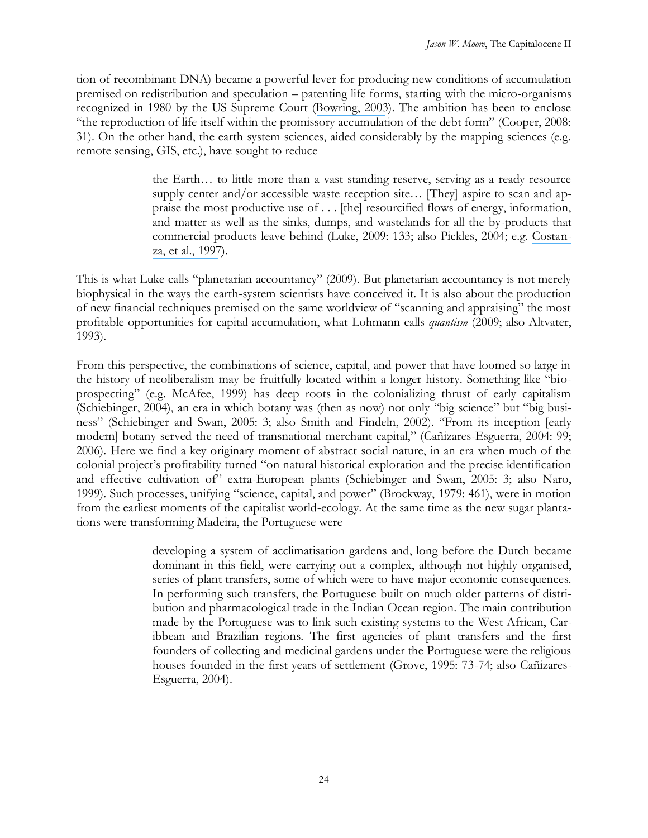tion of recombinant DNA) became a powerful lever for producing new conditions of accumulation premised on redistribution and speculation – patenting life forms, starting with the micro-organisms recognized in 1980 by the US Supreme Court ([Bowring, 2003](https://www.researchgate.net/publication/null?el=1_x_8&enrichId=rgreq-46f53ebb51901b2260ca349cb2451b6c-XXX&enrichSource=Y292ZXJQYWdlOzI2NDQ1NzI4MTtBUzoxMjY1NDMxNjY3MDk3NjBAMTQwNzE4MTY1MDM3NA==)). The ambition has been to enclose "the reproduction of life itself within the promissory accumulation of the debt form" (Cooper, 2008: 31). On the other hand, the earth system sciences, aided considerably by the mapping sciences (e.g. remote sensing, GIS, etc.), have sought to reduce

> the Earth… to little more than a vast standing reserve, serving as a ready resource supply center and/or accessible waste reception site… [They] aspire to scan and appraise the most productive use of . . . [the] resourcified flows of energy, information, and matter as well as the sinks, dumps, and wastelands for all the by-products that commercial products leave behind (Luke, 2009: 133; also Pickles, 2004; e.g. [Costan](https://www.researchgate.net/publication/284503481_The_value_of_the_world)[za, et al., 1997](https://www.researchgate.net/publication/284503481_The_value_of_the_world)).

This is what Luke calls "planetarian accountancy" (2009). But planetarian accountancy is not merely biophysical in the ways the earth-system scientists have conceived it. It is also about the production of new financial techniques premised on the same worldview of "scanning and appraising" the most profitable opportunities for capital accumulation, what Lohmann calls *quantism* (2009; also Altvater, 1993).

From this perspective, the combinations of science, capital, and power that have loomed so large in the history of neoliberalism may be fruitfully located within a longer history. Something like "bioprospecting" (e.g. McAfee, 1999) has deep roots in the colonializing thrust of early capitalism (Schiebinger, 2004), an era in which botany was (then as now) not only "big science" but "big business" (Schiebinger and Swan, 2005: 3; also Smith and Findeln, 2002). "From its inception [early modern] botany served the need of transnational merchant capital," (Cañizares-Esguerra, 2004: 99; 2006). Here we find a key originary moment of abstract social nature, in an era when much of the colonial project's profitability turned "on natural historical exploration and the precise identification and effective cultivation of" extra-European plants (Schiebinger and Swan, 2005: 3; also Naro, 1999). Such processes, unifying "science, capital, and power" (Brockway, 1979: 461), were in motion from the earliest moments of the capitalist world-ecology. At the same time as the new sugar plantations were transforming Madeira, the Portuguese were

> developing a system of acclimatisation gardens and, long before the Dutch became dominant in this field, were carrying out a complex, although not highly organised, series of plant transfers, some of which were to have major economic consequences. In performing such transfers, the Portuguese built on much older patterns of distribution and pharmacological trade in the Indian Ocean region. The main contribution made by the Portuguese was to link such existing systems to the West African, Caribbean and Brazilian regions. The first agencies of plant transfers and the first founders of collecting and medicinal gardens under the Portuguese were the religious houses founded in the first years of settlement (Grove, 1995: 73-74; also Cañizares-Esguerra, 2004).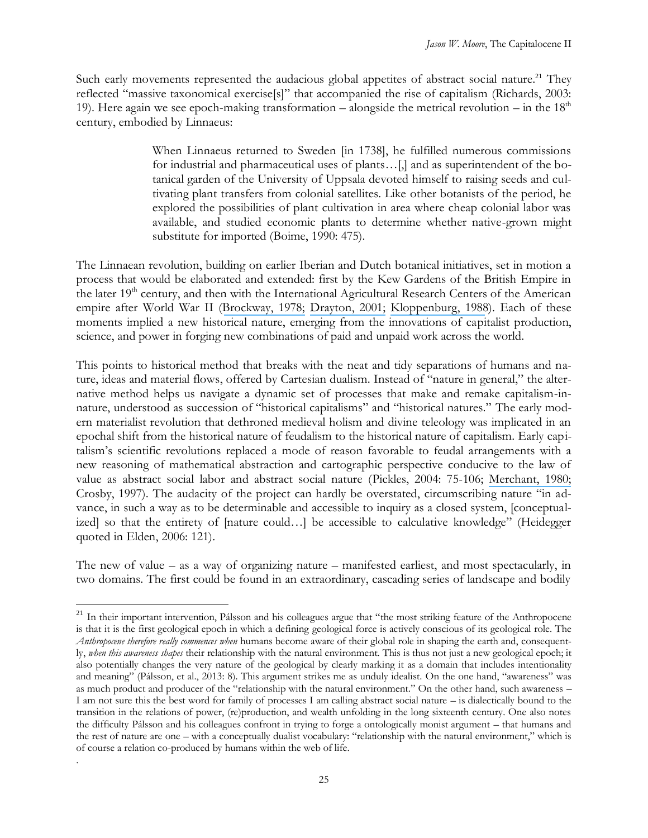Such early movements represented the audacious global appetites of abstract social nature.<sup>21</sup> They reflected "massive taxonomical exercise[s]" that accompanied the rise of capitalism (Richards, 2003: 19). Here again we see epoch-making transformation – alongside the metrical revolution – in the  $18<sup>th</sup>$ century, embodied by Linnaeus:

> When Linnaeus returned to Sweden [in 1738], he fulfilled numerous commissions for industrial and pharmaceutical uses of plants…[,] and as superintendent of the botanical garden of the University of Uppsala devoted himself to raising seeds and cultivating plant transfers from colonial satellites. Like other botanists of the period, he explored the possibilities of plant cultivation in area where cheap colonial labor was available, and studied economic plants to determine whether native-grown might substitute for imported (Boime, 1990: 475).

The Linnaean revolution, building on earlier Iberian and Dutch botanical initiatives, set in motion a process that would be elaborated and extended: first by the Kew Gardens of the British Empire in the later 19<sup>th</sup> century, and then with the International Agricultural Research Centers of the American empire after World War II ([Brockway, 1978;](https://www.researchgate.net/publication/227661734_Science_and_Colonial_Expansion_The_Role_of_the_British_Royal_Botanic_Gardens?el=1_x_8&enrichId=rgreq-46f53ebb51901b2260ca349cb2451b6c-XXX&enrichSource=Y292ZXJQYWdlOzI2NDQ1NzI4MTtBUzoxMjY1NDMxNjY3MDk3NjBAMTQwNzE4MTY1MDM3NA==) [Drayton, 2001;](https://www.researchgate.net/publication/270326615_Nature) [Kloppenburg, 1988](https://www.researchgate.net/publication/270009520_First_the_Seed_The_Political_Economy_of_Plant_Biotechnology_1492-2000?el=1_x_8&enrichId=rgreq-46f53ebb51901b2260ca349cb2451b6c-XXX&enrichSource=Y292ZXJQYWdlOzI2NDQ1NzI4MTtBUzoxMjY1NDMxNjY3MDk3NjBAMTQwNzE4MTY1MDM3NA==)). Each of these moments implied a new historical nature, emerging from the innovations of capitalist production, science, and power in forging new combinations of paid and unpaid work across the world.

This points to historical method that breaks with the neat and tidy separations of humans and nature, ideas and material flows, offered by Cartesian dualism. Instead of "nature in general," the alternative method helps us navigate a dynamic set of processes that make and remake capitalism-innature, understood as succession of "historical capitalisms" and "historical natures." The early modern materialist revolution that dethroned medieval holism and divine teleology was implicated in an epochal shift from the historical nature of feudalism to the historical nature of capitalism. Early capitalism's scientific revolutions replaced a mode of reason favorable to feudal arrangements with a new reasoning of mathematical abstraction and cartographic perspective conducive to the law of value as abstract social labor and abstract social nature (Pickles, 2004: 75-106; [Merchant, 1980;](https://www.researchgate.net/publication/264799590_The_Death_of_Nature_Women_Ecology_and_the_Scientific_Revolution?el=1_x_8&enrichId=rgreq-46f53ebb51901b2260ca349cb2451b6c-XXX&enrichSource=Y292ZXJQYWdlOzI2NDQ1NzI4MTtBUzoxMjY1NDMxNjY3MDk3NjBAMTQwNzE4MTY1MDM3NA==) Crosby, 1997). The audacity of the project can hardly be overstated, circumscribing nature "in advance, in such a way as to be determinable and accessible to inquiry as a closed system, [conceptualized] so that the entirety of [nature could…] be accessible to calculative knowledge" (Heidegger quoted in Elden, 2006: 121).

The new of value – as a way of organizing nature – manifested earliest, and most spectacularly, in two domains. The first could be found in an extraordinary, cascading series of landscape and bodily

<sup>&</sup>lt;sup>21</sup> In their important intervention, Pálsson and his colleagues argue that "the most striking feature of the Anthropocene is that it is the first geological epoch in which a defining geological force is actively conscious of its geological role. The *Anthropocene therefore really commences when* humans become aware of their global role in shaping the earth and, consequently, *when this awareness shapes* their relationship with the natural environment. This is thus not just a new geological epoch; it also potentially changes the very nature of the geological by clearly marking it as a domain that includes intentionality and meaning" (Pálsson, et al., 2013: 8). This argument strikes me as unduly idealist. On the one hand, "awareness" was as much product and producer of the "relationship with the natural environment." On the other hand, such awareness – I am not sure this the best word for family of processes I am calling abstract social nature – is dialectically bound to the transition in the relations of power, (re)production, and wealth unfolding in the long sixteenth century. One also notes the difficulty Pálsson and his colleagues confront in trying to forge a ontologically monist argument – that humans and the rest of nature are one – with a conceptually dualist vocabulary: "relationship with the natural environment," which is of course a relation co-produced by humans within the web of life. .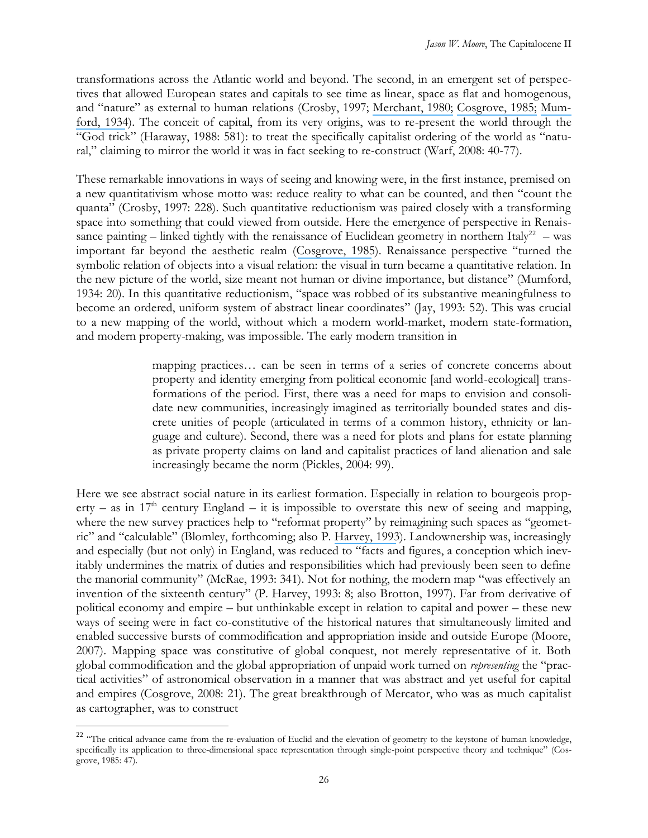transformations across the Atlantic world and beyond. The second, in an emergent set of perspectives that allowed European states and capitals to see time as linear, space as flat and homogenous, and "nature" as external to human relations (Crosby, 1997; [Merchant,](https://www.researchgate.net/publication/264799590_The_Death_of_Nature_Women_Ecology_and_the_Scientific_Revolution?el=1_x_8&enrichId=rgreq-46f53ebb51901b2260ca349cb2451b6c-XXX&enrichSource=Y292ZXJQYWdlOzI2NDQ1NzI4MTtBUzoxMjY1NDMxNjY3MDk3NjBAMTQwNzE4MTY1MDM3NA==) 1980; [Cosgrove,](https://www.researchgate.net/publication/271814115_Prospect_Perspective_and_the_Evolution_of_the_Landscape_Idea?el=1_x_8&enrichId=rgreq-46f53ebb51901b2260ca349cb2451b6c-XXX&enrichSource=Y292ZXJQYWdlOzI2NDQ1NzI4MTtBUzoxMjY1NDMxNjY3MDk3NjBAMTQwNzE4MTY1MDM3NA==) 1985; [Mum](https://www.researchgate.net/publication/null?el=1_x_8&enrichId=rgreq-46f53ebb51901b2260ca349cb2451b6c-XXX&enrichSource=Y292ZXJQYWdlOzI2NDQ1NzI4MTtBUzoxMjY1NDMxNjY3MDk3NjBAMTQwNzE4MTY1MDM3NA==)[ford, 1934](https://www.researchgate.net/publication/null?el=1_x_8&enrichId=rgreq-46f53ebb51901b2260ca349cb2451b6c-XXX&enrichSource=Y292ZXJQYWdlOzI2NDQ1NzI4MTtBUzoxMjY1NDMxNjY3MDk3NjBAMTQwNzE4MTY1MDM3NA==)). The conceit of capital, from its very origins, was to re-present the world through the "God trick" (Haraway, 1988: 581): to treat the specifically capitalist ordering of the world as "natural," claiming to mirror the world it was in fact seeking to re-construct (Warf, 2008: 40-77).

These remarkable innovations in ways of seeing and knowing were, in the first instance, premised on a new quantitativism whose motto was: reduce reality to what can be counted, and then "count the quanta" (Crosby, 1997: 228). Such quantitative reductionism was paired closely with a transforming space into something that could viewed from outside. Here the emergence of perspective in Renaissance painting  $-$  linked tightly with the renaissance of Euclidean geometry in northern Italy<sup>22</sup>  $-$  was important far beyond the aesthetic realm ([Cosgrove](https://www.researchgate.net/publication/271814115_Prospect_Perspective_and_the_Evolution_of_the_Landscape_Idea?el=1_x_8&enrichId=rgreq-46f53ebb51901b2260ca349cb2451b6c-XXX&enrichSource=Y292ZXJQYWdlOzI2NDQ1NzI4MTtBUzoxMjY1NDMxNjY3MDk3NjBAMTQwNzE4MTY1MDM3NA==), 1985). Renaissance perspective "turned the symbolic relation of objects into a visual relation: the visual in turn became a quantitative relation. In the new picture of the world, size meant not human or divine importance, but distance" (Mumford, 1934: 20). In this quantitative reductionism, "space was robbed of its substantive meaningfulness to become an ordered, uniform system of abstract linear coordinates" (Jay, 1993: 52). This was crucial to a new mapping of the world, without which a modern world-market, modern state-formation, and modern property-making, was impossible. The early modern transition in

> mapping practices… can be seen in terms of a series of concrete concerns about property and identity emerging from political economic [and world-ecological] transformations of the period. First, there was a need for maps to envision and consolidate new communities, increasingly imagined as territorially bounded states and discrete unities of people (articulated in terms of a common history, ethnicity or language and culture). Second, there was a need for plots and plans for estate planning as private property claims on land and capitalist practices of land alienation and sale increasingly became the norm (Pickles, 2004: 99).

Here we see abstract social nature in its earliest formation. Especially in relation to bourgeois property – as in  $17<sup>th</sup>$  century England – it is impossible to overstate this new of seeing and mapping, where the new survey practices help to "reformat property" by reimagining such spaces as "geometric" and "calculable" (Blomley, forthcoming; also P. [Harvey, 1993](https://www.researchgate.net/publication/274793211_Maps_in_Tudor_England?el=1_x_8&enrichId=rgreq-46f53ebb51901b2260ca349cb2451b6c-XXX&enrichSource=Y292ZXJQYWdlOzI2NDQ1NzI4MTtBUzoxMjY1NDMxNjY3MDk3NjBAMTQwNzE4MTY1MDM3NA==)). Landownership was, increasingly and especially (but not only) in England, was reduced to "facts and figures, a conception which inevitably undermines the matrix of duties and responsibilities which had previously been seen to define the manorial community" (McRae, 1993: 341). Not for nothing, the modern map "was effectively an invention of the sixteenth century" (P. Harvey, 1993: 8; also Brotton, 1997). Far from derivative of political economy and empire – but unthinkable except in relation to capital and power – these new ways of seeing were in fact co-constitutive of the historical natures that simultaneously limited and enabled successive bursts of commodification and appropriation inside and outside Europe (Moore, 2007). Mapping space was constitutive of global conquest, not merely representative of it. Both global commodification and the global appropriation of unpaid work turned on *representing* the "practical activities" of astronomical observation in a manner that was abstract and yet useful for capital and empires (Cosgrove, 2008: 21). The great breakthrough of Mercator, who was as much capitalist as cartographer, was to construct

<sup>&</sup>lt;sup>22</sup> "The critical advance came from the re-evaluation of Euclid and the elevation of geometry to the keystone of human knowledge, specifically its application to three-dimensional space representation through single-point perspective theory and technique" (Cosgrove, 1985: 47).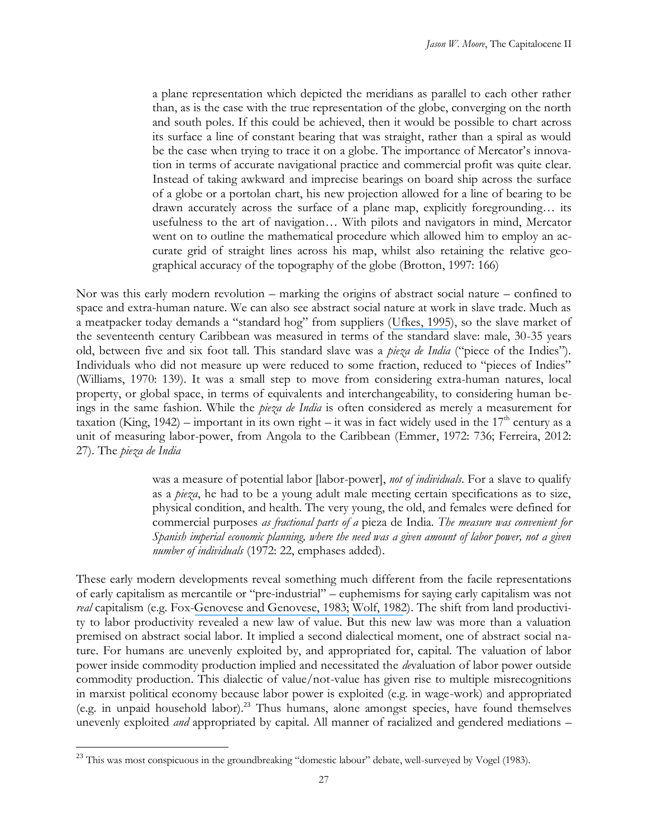a plane representation which depicted the meridians as parallel to each other rather than, as is the case with the true representation of the globe, converging on the north and south poles. If this could be achieved, then it would be possible to chart across its surface a line of constant bearing that was straight, rather than a spiral as would be the case when trying to trace it on a globe. The importance of Mercator's innovation in terms of accurate navigational practice and commercial profit was quite clear. Instead of taking awkward and imprecise bearings on board ship across the surface of a globe or a portolan chart, his new projection allowed for a line of bearing to be drawn accurately across the surface of a plane map, explicitly foregrounding… its usefulness to the art of navigation… With pilots and navigators in mind, Mercator went on to outline the mathematical procedure which allowed him to employ an accurate grid of straight lines across his map, whilst also retaining the relative geographical accuracy of the topography of the globe (Brotton, 1997: 166)

Nor was this early modern revolution – marking the origins of abstract social nature – confined to space and extra-human nature. We can also see abstract social nature at work in slave trade. Much as a meatpacker today demands a "standard hog" from suppliers ([Ufkes, 1995](https://www.researchgate.net/publication/238395686_Lean_and_mean_US_meat-packing_in_an_era_of_agro-industrial_restructuring?el=1_x_8&enrichId=rgreq-46f53ebb51901b2260ca349cb2451b6c-XXX&enrichSource=Y292ZXJQYWdlOzI2NDQ1NzI4MTtBUzoxMjY1NDMxNjY3MDk3NjBAMTQwNzE4MTY1MDM3NA==)), so the slave market of the seventeenth century Caribbean was measured in terms of the standard slave: male, 30-35 years old, between five and six foot tall. This standard slave was a *pieza de India* ("piece of the Indies"). Individuals who did not measure up were reduced to some fraction, reduced to "pieces of Indies" (Williams, 1970: 139). It was a small step to move from considering extra-human natures, local property, or global space, in terms of equivalents and interchangeability, to considering human beings in the same fashion. While the *pieza de India* is often considered as merely a measurement for taxation (King, 1942) – important in its own right – it was in fact widely used in the 17<sup>th</sup> century as a unit of measuring labor-power, from Angola to the Caribbean (Emmer, 1972: 736; Ferreira, 2012: 27). The *pieza de India*

> was a measure of potential labor [labor-power], *not of individuals*. For a slave to qualify as a *pieza*, he had to be a young adult male meeting certain specifications as to size, physical condition, and health. The very young, the old, and females were defined for commercial purposes *as fractional parts of a* pieza de India. *The measure was convenient for Spanish imperial economic planning, where the need was a given amount of labor power, not a given number of individuals* (1972: 22, emphases added).

These early modern developments reveal something much different from the facile representations of early capitalism as mercantile or "pre-industrial" – euphemisms for saying early capitalism was not *real* capitalism (e.g. Fox-[Genovese and Genovese, 1983;](https://www.researchgate.net/publication/269953051_Fruits_of_Merchant_Capital_Slavery_and_Bourgeois_Property_Relations_in_the_Rise_and_Expansion_of_Capitalism?el=1_x_8&enrichId=rgreq-46f53ebb51901b2260ca349cb2451b6c-XXX&enrichSource=Y292ZXJQYWdlOzI2NDQ1NzI4MTtBUzoxMjY1NDMxNjY3MDk3NjBAMTQwNzE4MTY1MDM3NA==) [Wolf, 1982](https://www.researchgate.net/publication/282004166_Europe_and_the_People_Without_History?el=1_x_8&enrichId=rgreq-46f53ebb51901b2260ca349cb2451b6c-XXX&enrichSource=Y292ZXJQYWdlOzI2NDQ1NzI4MTtBUzoxMjY1NDMxNjY3MDk3NjBAMTQwNzE4MTY1MDM3NA==)). The shift from land productivity to labor productivity revealed a new law of value. But this new law was more than a valuation premised on abstract social labor. It implied a second dialectical moment, one of abstract social nature. For humans are unevenly exploited by, and appropriated for, capital. The valuation of labor power inside commodity production implied and necessitated the *de*valuation of labor power outside commodity production. This dialectic of value/not-value has given rise to multiple misrecognitions in marxist political economy because labor power is exploited (e.g. in wage-work) and appropriated (e.g. in unpaid household labor).<sup>23</sup> Thus humans, alone amongst species, have found themselves unevenly exploited *and* appropriated by capital. All manner of racialized and gendered mediations –

<sup>&</sup>lt;sup>23</sup> This was most conspicuous in the groundbreaking "domestic labour" debate, well-surveyed by Vogel (1983).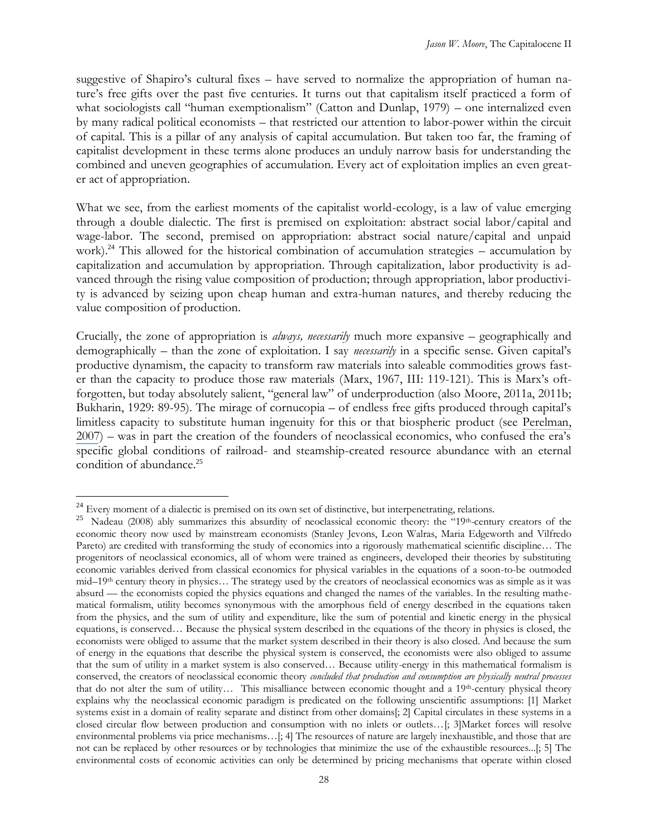suggestive of Shapiro's cultural fixes – have served to normalize the appropriation of human nature's free gifts over the past five centuries. It turns out that capitalism itself practiced a form of what sociologists call "human exemptionalism" (Catton and Dunlap, 1979) – one internalized even by many radical political economists – that restricted our attention to labor-power within the circuit of capital. This is a pillar of any analysis of capital accumulation. But taken too far, the framing of capitalist development in these terms alone produces an unduly narrow basis for understanding the combined and uneven geographies of accumulation. Every act of exploitation implies an even greater act of appropriation.

What we see, from the earliest moments of the capitalist world-ecology, is a law of value emerging through a double dialectic. The first is premised on exploitation: abstract social labor/capital and wage-labor. The second, premised on appropriation: abstract social nature/capital and unpaid work).<sup>24</sup> This allowed for the historical combination of accumulation strategies – accumulation by capitalization and accumulation by appropriation. Through capitalization, labor productivity is advanced through the rising value composition of production; through appropriation, labor productivity is advanced by seizing upon cheap human and extra-human natures, and thereby reducing the value composition of production.

Crucially, the zone of appropriation is *always, necessarily* much more expansive – geographically and demographically – than the zone of exploitation. I say *necessarily* in a specific sense. Given capital's productive dynamism, the capacity to transform raw materials into saleable commodities grows faster than the capacity to produce those raw materials (Marx, 1967, III: 119-121). This is Marx's oftforgotten, but today absolutely salient, "general law" of underproduction (also Moore, 2011a, 2011b; Bukharin, 1929: 89-95). The mirage of cornucopia – of endless free gifts produced through capital's limitless capacity to substitute human ingenuity for this or that biospheric product (see [Perelman,](https://www.researchgate.net/publication/249017910_Scarcity_and_Environmental_Disaster_Why_Hotelling) [2007](https://www.researchgate.net/publication/249017910_Scarcity_and_Environmental_Disaster_Why_Hotelling)) – was in part the creation of the founders of neoclassical economics, who confused the era's specific global conditions of railroad- and steamship-created resource abundance with an eternal condition of abundance.<sup>25</sup>

<sup>&</sup>lt;sup>24</sup> Every moment of a dialectic is premised on its own set of distinctive, but interpenetrating, relations.

<sup>&</sup>lt;sup>25</sup> Nadeau (2008) ably summarizes this absurdity of neoclassical economic theory: the "19th-century creators of the economic theory now used by mainstream economists (Stanley Jevons, Leon Walras, Maria Edgeworth and Vilfredo Pareto) are credited with transforming the study of economics into a rigorously mathematical scientific discipline… The progenitors of neoclassical economics, all of whom were trained as engineers, developed their theories by substituting economic variables derived from classical economics for physical variables in the equations of a soon-to-be outmoded mid–19th century theory in physics… The strategy used by the creators of neoclassical economics was as simple as it was absurd — the economists copied the physics equations and changed the names of the variables. In the resulting mathematical formalism, utility becomes synonymous with the amorphous field of energy described in the equations taken from the physics, and the sum of utility and expenditure, like the sum of potential and kinetic energy in the physical equations, is conserved… Because the physical system described in the equations of the theory in physics is closed, the economists were obliged to assume that the market system described in their theory is also closed. And because the sum of energy in the equations that describe the physical system is conserved, the economists were also obliged to assume that the sum of utility in a market system is also conserved… Because utility-energy in this mathematical formalism is conserved, the creators of neoclassical economic theory *concluded that production and consumption are physically neutral processes* that do not alter the sum of utility... This misalliance between economic thought and a 19th-century physical theory explains why the neoclassical economic paradigm is predicated on the following unscientific assumptions: [1] Market systems exist in a domain of reality separate and distinct from other domains[; 2] Capital circulates in these systems in a closed circular flow between production and consumption with no inlets or outlets…[; 3]Market forces will resolve environmental problems via price mechanisms…[; 4] The resources of nature are largely inexhaustible, and those that are not can be replaced by other resources or by technologies that minimize the use of the exhaustible resources...[; 5] The environmental costs of economic activities can only be determined by pricing mechanisms that operate within closed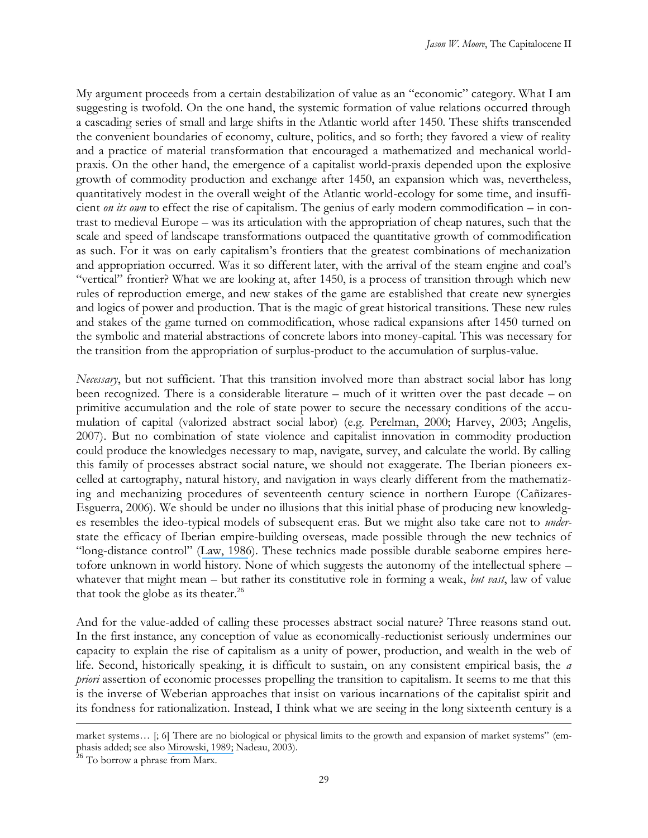My argument proceeds from a certain destabilization of value as an "economic" category. What I am suggesting is twofold. On the one hand, the systemic formation of value relations occurred through a cascading series of small and large shifts in the Atlantic world after 1450. These shifts transcended the convenient boundaries of economy, culture, politics, and so forth; they favored a view of reality and a practice of material transformation that encouraged a mathematized and mechanical worldpraxis. On the other hand, the emergence of a capitalist world-praxis depended upon the explosive growth of commodity production and exchange after 1450, an expansion which was, nevertheless, quantitatively modest in the overall weight of the Atlantic world-ecology for some time, and insufficient *on its own* to effect the rise of capitalism. The genius of early modern commodification – in contrast to medieval Europe – was its articulation with the appropriation of cheap natures, such that the scale and speed of landscape transformations outpaced the quantitative growth of commodification as such. For it was on early capitalism's frontiers that the greatest combinations of mechanization and appropriation occurred. Was it so different later, with the arrival of the steam engine and coal's "vertical" frontier? What we are looking at, after 1450, is a process of transition through which new rules of reproduction emerge, and new stakes of the game are established that create new synergies and logics of power and production. That is the magic of great historical transitions. These new rules and stakes of the game turned on commodification, whose radical expansions after 1450 turned on the symbolic and material abstractions of concrete labors into money-capital. This was necessary for the transition from the appropriation of surplus-product to the accumulation of surplus-value.

*Necessary*, but not sufficient. That this transition involved more than abstract social labor has long been recognized. There is a considerable literature – much of it written over the past decade – on primitive accumulation and the role of state power to secure the necessary conditions of the accumulation of capital (valorized abstract social labor) (e.g. [Perelman, 2000;](https://www.researchgate.net/publication/265099518_The_Invention_of_Capitalism?el=1_x_8&enrichId=rgreq-46f53ebb51901b2260ca349cb2451b6c-XXX&enrichSource=Y292ZXJQYWdlOzI2NDQ1NzI4MTtBUzoxMjY1NDMxNjY3MDk3NjBAMTQwNzE4MTY1MDM3NA==) Harvey, 2003; Angelis, 2007). But no combination of state violence and capitalist innovation in commodity production could produce the knowledges necessary to map, navigate, survey, and calculate the world. By calling this family of processes abstract social nature, we should not exaggerate. The Iberian pioneers excelled at cartography, natural history, and navigation in ways clearly different from the mathematizing and mechanizing procedures of seventeenth century science in northern Europe (Cañizares-Esguerra, 2006). We should be under no illusions that this initial phase of producing new knowledges resembles the ideo-typical models of subsequent eras. But we might also take care not to *under*state the efficacy of Iberian empire-building overseas, made possible through the new technics of "long-distance control" ([Law, 1986](https://www.researchgate.net/publication/251831833_On_the_Methods_of_Long_Distance_Control_Vessels_Navigation_and_the_Portuguese_Route_to_India?el=1_x_8&enrichId=rgreq-46f53ebb51901b2260ca349cb2451b6c-XXX&enrichSource=Y292ZXJQYWdlOzI2NDQ1NzI4MTtBUzoxMjY1NDMxNjY3MDk3NjBAMTQwNzE4MTY1MDM3NA==)). These technics made possible durable seaborne empires heretofore unknown in world history. None of which suggests the autonomy of the intellectual sphere – whatever that might mean – but rather its constitutive role in forming a weak, *but vast*, law of value that took the globe as its theater. $26$ 

And for the value-added of calling these processes abstract social nature? Three reasons stand out. In the first instance, any conception of value as economically-reductionist seriously undermines our capacity to explain the rise of capitalism as a unity of power, production, and wealth in the web of life. Second, historically speaking, it is difficult to sustain, on any consistent empirical basis, the *a priori* assertion of economic processes propelling the transition to capitalism. It seems to me that this is the inverse of Weberian approaches that insist on various incarnations of the capitalist spirit and its fondness for rationalization. Instead, I think what we are seeing in the long sixteenth century is a

market systems... [; 6] There are no biological or physical limits to the growth and expansion of market systems" (emphasis added; see also [Mirowski, 1989;](https://www.researchgate.net/publication/235361188_More_Heat_Than_Light_Economics_As_Social_Physics_Physics_As_Nature) Nadeau, 2003).

 $26$  To borrow a phrase from Marx.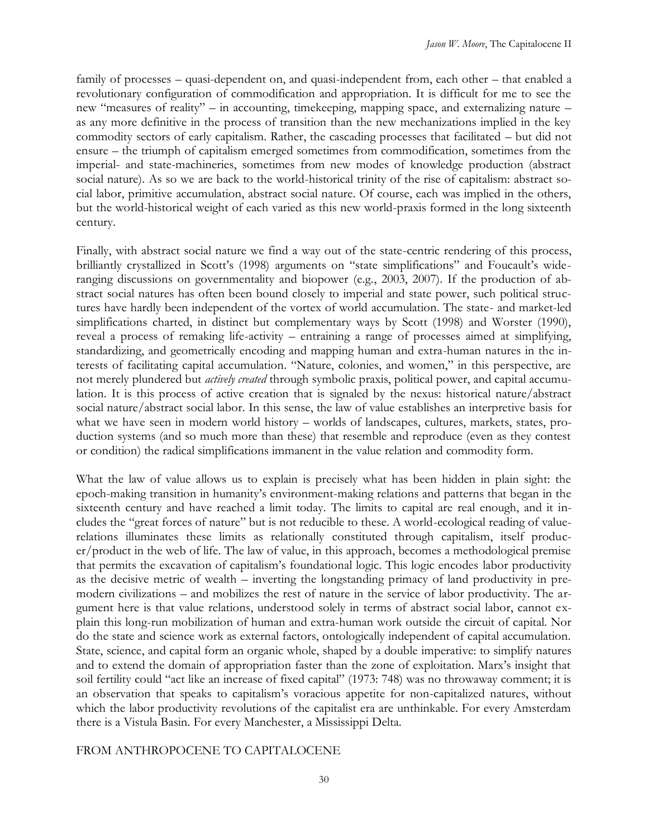family of processes – quasi-dependent on, and quasi-independent from, each other – that enabled a revolutionary configuration of commodification and appropriation. It is difficult for me to see the new "measures of reality" – in accounting, timekeeping, mapping space, and externalizing nature – as any more definitive in the process of transition than the new mechanizations implied in the key commodity sectors of early capitalism. Rather, the cascading processes that facilitated – but did not ensure – the triumph of capitalism emerged sometimes from commodification, sometimes from the imperial- and state-machineries, sometimes from new modes of knowledge production (abstract social nature). As so we are back to the world-historical trinity of the rise of capitalism: abstract social labor, primitive accumulation, abstract social nature. Of course, each was implied in the others, but the world-historical weight of each varied as this new world-praxis formed in the long sixteenth century.

Finally, with abstract social nature we find a way out of the state-centric rendering of this process, brilliantly crystallized in Scott's (1998) arguments on "state simplifications" and Foucault's wideranging discussions on governmentality and biopower (e.g., 2003, 2007). If the production of abstract social natures has often been bound closely to imperial and state power, such political structures have hardly been independent of the vortex of world accumulation. The state- and market-led simplifications charted, in distinct but complementary ways by Scott (1998) and Worster (1990), reveal a process of remaking life-activity – entraining a range of processes aimed at simplifying, standardizing, and geometrically encoding and mapping human and extra-human natures in the interests of facilitating capital accumulation. "Nature, colonies, and women," in this perspective, are not merely plundered but *actively created* through symbolic praxis, political power, and capital accumulation. It is this process of active creation that is signaled by the nexus: historical nature/abstract social nature/abstract social labor. In this sense, the law of value establishes an interpretive basis for what we have seen in modern world history – worlds of landscapes, cultures, markets, states, production systems (and so much more than these) that resemble and reproduce (even as they contest or condition) the radical simplifications immanent in the value relation and commodity form.

What the law of value allows us to explain is precisely what has been hidden in plain sight: the epoch-making transition in humanity's environment-making relations and patterns that began in the sixteenth century and have reached a limit today. The limits to capital are real enough, and it includes the "great forces of nature" but is not reducible to these. A world-ecological reading of valuerelations illuminates these limits as relationally constituted through capitalism, itself producer/product in the web of life. The law of value, in this approach, becomes a methodological premise that permits the excavation of capitalism's foundational logic. This logic encodes labor productivity as the decisive metric of wealth – inverting the longstanding primacy of land productivity in premodern civilizations – and mobilizes the rest of nature in the service of labor productivity. The argument here is that value relations, understood solely in terms of abstract social labor, cannot explain this long-run mobilization of human and extra-human work outside the circuit of capital. Nor do the state and science work as external factors, ontologically independent of capital accumulation. State, science, and capital form an organic whole, shaped by a double imperative: to simplify natures and to extend the domain of appropriation faster than the zone of exploitation. Marx's insight that soil fertility could "act like an increase of fixed capital" (1973: 748) was no throwaway comment; it is an observation that speaks to capitalism's voracious appetite for non-capitalized natures, without which the labor productivity revolutions of the capitalist era are unthinkable. For every Amsterdam there is a Vistula Basin. For every Manchester, a Mississippi Delta.

# FROM ANTHROPOCENE TO CAPITALOCENE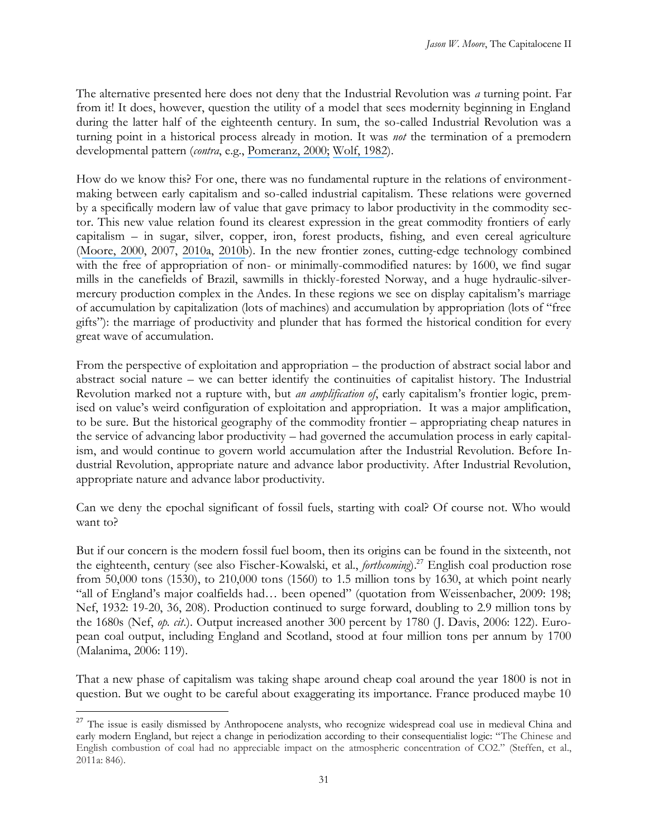The alternative presented here does not deny that the Industrial Revolution was *a* turning point. Far from it! It does, however, question the utility of a model that sees modernity beginning in England during the latter half of the eighteenth century. In sum, the so-called Industrial Revolution was a turning point in a historical process already in motion. It was *not* the termination of a premodern developmental pattern (*contra*, e.g., [Pomeranz, 2000;](https://www.researchgate.net/publication/228046546_The_Great_Divergence_China_Europe_and_the_Making_of_the_Modern_World_Economy?el=1_x_8&enrichId=rgreq-46f53ebb51901b2260ca349cb2451b6c-XXX&enrichSource=Y292ZXJQYWdlOzI2NDQ1NzI4MTtBUzoxMjY1NDMxNjY3MDk3NjBAMTQwNzE4MTY1MDM3NA==) [Wolf, 1982](https://www.researchgate.net/publication/282004166_Europe_and_the_People_Without_History?el=1_x_8&enrichId=rgreq-46f53ebb51901b2260ca349cb2451b6c-XXX&enrichSource=Y292ZXJQYWdlOzI2NDQ1NzI4MTtBUzoxMjY1NDMxNjY3MDk3NjBAMTQwNzE4MTY1MDM3NA==)).

How do we know this? For one, there was no fundamental rupture in the relations of environmentmaking between early capitalism and so-called industrial capitalism. These relations were governed by a specifically modern law of value that gave primacy to labor productivity in the commodity sector. This new value relation found its clearest expression in the great commodity frontiers of early capitalism – in sugar, silver, copper, iron, forest products, fishing, and even cereal agriculture ([Moore, 2000](https://www.researchgate.net/publication/236661518_Sugar_and_the_Expansion_of_the_Early_Modern_World-Economy_Commodity_Frontiers_Ecological_Transformation_and_Industrialization?el=1_x_8&enrichId=rgreq-46f53ebb51901b2260ca349cb2451b6c-XXX&enrichSource=Y292ZXJQYWdlOzI2NDQ1NzI4MTtBUzoxMjY1NDMxNjY3MDk3NjBAMTQwNzE4MTY1MDM3NA==), 2007, [2010a](https://www.researchgate.net/publication/228984853_), [2010b](https://www.researchgate.net/publication/227679852_Amsterdam_Is_Standing_on_Norway_Part_II_The_Global_North_Atlantic_in_the_Ecological_Revolution_of_the_Long_Seventeenth_Century?el=1_x_8&enrichId=rgreq-46f53ebb51901b2260ca349cb2451b6c-XXX&enrichSource=Y292ZXJQYWdlOzI2NDQ1NzI4MTtBUzoxMjY1NDMxNjY3MDk3NjBAMTQwNzE4MTY1MDM3NA==)). In the new frontier zones, cutting-edge technology combined with the free of appropriation of non- or minimally-commodified natures: by 1600, we find sugar mills in the canefields of Brazil, sawmills in thickly-forested Norway, and a huge hydraulic-silvermercury production complex in the Andes. In these regions we see on display capitalism's marriage of accumulation by capitalization (lots of machines) and accumulation by appropriation (lots of "free gifts"): the marriage of productivity and plunder that has formed the historical condition for every great wave of accumulation.

From the perspective of exploitation and appropriation – the production of abstract social labor and abstract social nature – we can better identify the continuities of capitalist history. The Industrial Revolution marked not a rupture with, but *an amplification of*, early capitalism's frontier logic, premised on value's weird configuration of exploitation and appropriation. It was a major amplification, to be sure. But the historical geography of the commodity frontier – appropriating cheap natures in the service of advancing labor productivity – had governed the accumulation process in early capitalism, and would continue to govern world accumulation after the Industrial Revolution. Before Industrial Revolution, appropriate nature and advance labor productivity. After Industrial Revolution, appropriate nature and advance labor productivity.

Can we deny the epochal significant of fossil fuels, starting with coal? Of course not. Who would want to?

But if our concern is the modern fossil fuel boom, then its origins can be found in the sixteenth, not the eighteenth, century (see also Fischer-Kowalski, et al., *forthcoming*).<sup>27</sup> English coal production rose from 50,000 tons (1530), to 210,000 tons (1560) to 1.5 million tons by 1630, at which point nearly "all of England's major coalfields had… been opened" (quotation from Weissenbacher, 2009: 198; Nef, 1932: 19-20, 36, 208). Production continued to surge forward, doubling to 2.9 million tons by the 1680s (Nef, *op. cit*.). Output increased another 300 percent by 1780 (J. Davis, 2006: 122). European coal output, including England and Scotland, stood at four million tons per annum by 1700 (Malanima, 2006: 119).

That a new phase of capitalism was taking shape around cheap coal around the year 1800 is not in question. But we ought to be careful about exaggerating its importance. France produced maybe 10

<sup>&</sup>lt;sup>27</sup> The issue is easily dismissed by Anthropocene analysts, who recognize widespread coal use in medieval China and early modern England, but reject a change in periodization according to their consequentialist logic: "The Chinese and English combustion of coal had no appreciable impact on the atmospheric concentration of CO2." (Steffen, et al., 2011a: 846).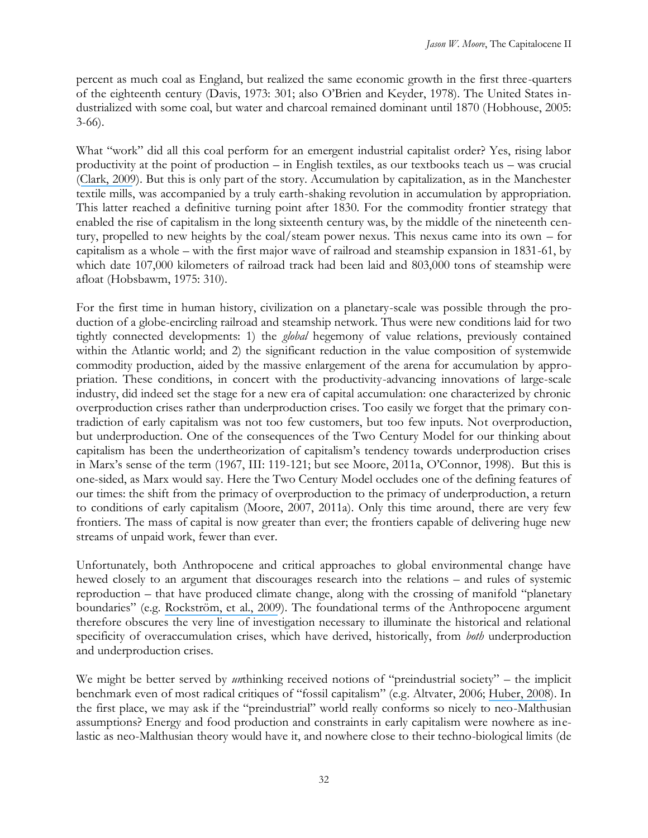percent as much coal as England, but realized the same economic growth in the first three-quarters of the eighteenth century (Davis, 1973: 301; also O'Brien and Keyder, 1978). The United States industrialized with some coal, but water and charcoal remained dominant until 1870 (Hobhouse, 2005: 3-66).

What "work" did all this coal perform for an emergent industrial capitalist order? Yes, rising labor productivity at the point of production – in English textiles, as our textbooks teach us – was crucial ([Clark, 2009](https://www.researchgate.net/publication/249815756_Ecological_Imperialism_and_the_Global_Metabolic_RiftUnequal_Exchange_and_the_GuanoNitrates_Trade?el=1_x_8&enrichId=rgreq-46f53ebb51901b2260ca349cb2451b6c-XXX&enrichSource=Y292ZXJQYWdlOzI2NDQ1NzI4MTtBUzoxMjY1NDMxNjY3MDk3NjBAMTQwNzE4MTY1MDM3NA==)). But this is only part of the story. Accumulation by capitalization, as in the Manchester textile mills, was accompanied by a truly earth-shaking revolution in accumulation by appropriation. This latter reached a definitive turning point after 1830. For the commodity frontier strategy that enabled the rise of capitalism in the long sixteenth century was, by the middle of the nineteenth century, propelled to new heights by the coal/steam power nexus. This nexus came into its own – for capitalism as a whole – with the first major wave of railroad and steamship expansion in 1831-61, by which date 107,000 kilometers of railroad track had been laid and 803,000 tons of steamship were afloat (Hobsbawm, 1975: 310).

For the first time in human history, civilization on a planetary-scale was possible through the production of a globe-encircling railroad and steamship network. Thus were new conditions laid for two tightly connected developments: 1) the *global* hegemony of value relations, previously contained within the Atlantic world; and 2) the significant reduction in the value composition of systemwide commodity production, aided by the massive enlargement of the arena for accumulation by appropriation. These conditions, in concert with the productivity-advancing innovations of large-scale industry, did indeed set the stage for a new era of capital accumulation: one characterized by chronic overproduction crises rather than underproduction crises. Too easily we forget that the primary contradiction of early capitalism was not too few customers, but too few inputs. Not overproduction, but underproduction. One of the consequences of the Two Century Model for our thinking about capitalism has been the undertheorization of capitalism's tendency towards underproduction crises in Marx's sense of the term (1967, III: 119-121; but see Moore, 2011a, O'Connor, 1998). But this is one-sided, as Marx would say. Here the Two Century Model occludes one of the defining features of our times: the shift from the primacy of overproduction to the primacy of underproduction, a return to conditions of early capitalism (Moore, 2007, 2011a). Only this time around, there are very few frontiers. The mass of capital is now greater than ever; the frontiers capable of delivering huge new streams of unpaid work, fewer than ever.

Unfortunately, both Anthropocene and critical approaches to global environmental change have hewed closely to an argument that discourages research into the relations – and rules of systemic reproduction – that have produced climate change, along with the crossing of manifold "planetary boundaries" (e.g. [Rockström, et al., 2009](https://www.researchgate.net/publication/259689568_Planetary_Boundaries?el=1_x_8&enrichId=rgreq-46f53ebb51901b2260ca349cb2451b6c-XXX&enrichSource=Y292ZXJQYWdlOzI2NDQ1NzI4MTtBUzoxMjY1NDMxNjY3MDk3NjBAMTQwNzE4MTY1MDM3NA==)). The foundational terms of the Anthropocene argument therefore obscures the very line of investigation necessary to illuminate the historical and relational specificity of overaccumulation crises, which have derived, historically, from *both* underproduction and underproduction crises.

We might be better served by *un*thinking received notions of "preindustrial society" – the implicit benchmark even of most radical critiques of "fossil capitalism" (e.g. Altvater, 2006; [Huber, 2008](https://www.researchgate.net/publication/248434116_Energizing_Historical_Materialism_Fossil_Fuels_Space_and_the_Capitalist_Mode_of_Production?el=1_x_8&enrichId=rgreq-46f53ebb51901b2260ca349cb2451b6c-XXX&enrichSource=Y292ZXJQYWdlOzI2NDQ1NzI4MTtBUzoxMjY1NDMxNjY3MDk3NjBAMTQwNzE4MTY1MDM3NA==)). In the first place, we may ask if the "preindustrial" world really conforms so nicely to neo-Malthusian assumptions? Energy and food production and constraints in early capitalism were nowhere as inelastic as neo-Malthusian theory would have it, and nowhere close to their techno-biological limits (de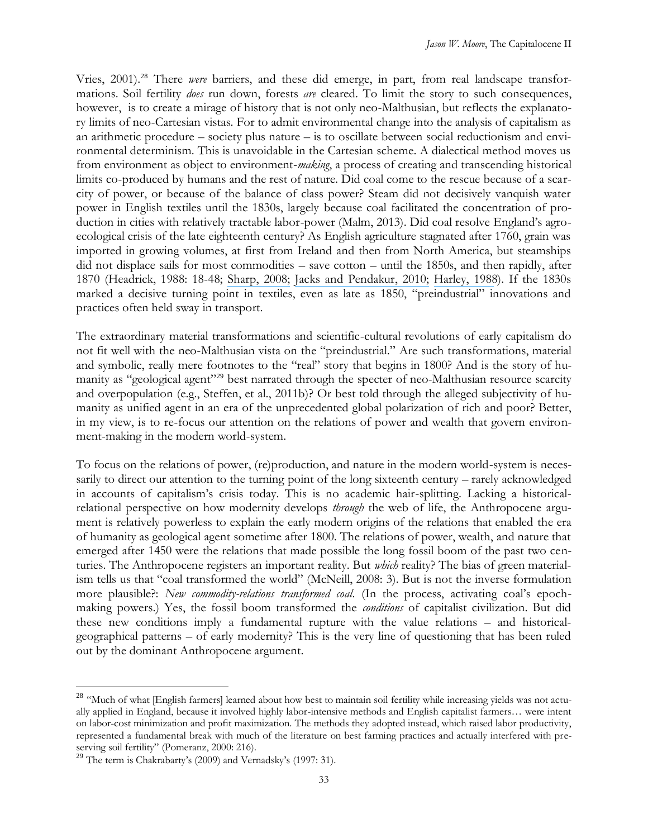Vries, 2001).<sup>28</sup> There *were* barriers, and these did emerge, in part, from real landscape transformations. Soil fertility *does* run down, forests *are* cleared. To limit the story to such consequences, however, is to create a mirage of history that is not only neo-Malthusian, but reflects the explanatory limits of neo-Cartesian vistas. For to admit environmental change into the analysis of capitalism as an arithmetic procedure – society plus nature – is to oscillate between social reductionism and environmental determinism. This is unavoidable in the Cartesian scheme. A dialectical method moves us from environment as object to environment-*making*, a process of creating and transcending historical limits co-produced by humans and the rest of nature. Did coal come to the rescue because of a scarcity of power, or because of the balance of class power? Steam did not decisively vanquish water power in English textiles until the 1830s, largely because coal facilitated the concentration of production in cities with relatively tractable labor-power (Malm, 2013). Did coal resolve England's agroecological crisis of the late eighteenth century? As English agriculture stagnated after 1760, grain was imported in growing volumes, at first from Ireland and then from North America, but steamships did not displace sails for most commodities – save cotton – until the 1850s, and then rapidly, after 1870 (Headrick, 1988: 18-48; [Sharp, 2008;](https://www.researchgate.net/publication/null?el=1_x_8&enrichId=rgreq-46f53ebb51901b2260ca349cb2451b6c-XXX&enrichSource=Y292ZXJQYWdlOzI2NDQ1NzI4MTtBUzoxMjY1NDMxNjY3MDk3NjBAMTQwNzE4MTY1MDM3NA==) [Jacks and Pendakur, 2010;](https://www.researchgate.net/publication/null?el=1_x_8&enrichId=rgreq-46f53ebb51901b2260ca349cb2451b6c-XXX&enrichSource=Y292ZXJQYWdlOzI2NDQ1NzI4MTtBUzoxMjY1NDMxNjY3MDk3NjBAMTQwNzE4MTY1MDM3NA==) [Harley, 1988](https://www.researchgate.net/publication/240143960_Ocean_Freight_Rates_and_Productivity_1740-1913?el=1_x_8&enrichId=rgreq-46f53ebb51901b2260ca349cb2451b6c-XXX&enrichSource=Y292ZXJQYWdlOzI2NDQ1NzI4MTtBUzoxMjY1NDMxNjY3MDk3NjBAMTQwNzE4MTY1MDM3NA==)). If the 1830s marked a decisive turning point in textiles, even as late as 1850, "preindustrial" innovations and practices often held sway in transport.

The extraordinary material transformations and scientific-cultural revolutions of early capitalism do not fit well with the neo-Malthusian vista on the "preindustrial." Are such transformations, material and symbolic, really mere footnotes to the "real" story that begins in 1800? And is the story of humanity as "geological agent"<sup>29</sup> best narrated through the specter of neo-Malthusian resource scarcity and overpopulation (e.g., Steffen, et al., 2011b)? Or best told through the alleged subjectivity of humanity as unified agent in an era of the unprecedented global polarization of rich and poor? Better, in my view, is to re-focus our attention on the relations of power and wealth that govern environment-making in the modern world-system.

To focus on the relations of power, (re)production, and nature in the modern world-system is necessarily to direct our attention to the turning point of the long sixteenth century – rarely acknowledged in accounts of capitalism's crisis today. This is no academic hair-splitting. Lacking a historicalrelational perspective on how modernity develops *through* the web of life, the Anthropocene argument is relatively powerless to explain the early modern origins of the relations that enabled the era of humanity as geological agent sometime after 1800. The relations of power, wealth, and nature that emerged after 1450 were the relations that made possible the long fossil boom of the past two centuries. The Anthropocene registers an important reality. But *which* reality? The bias of green materialism tells us that "coal transformed the world" (McNeill, 2008: 3). But is not the inverse formulation more plausible?: *New commodity-relations transformed coal*. (In the process, activating coal's epochmaking powers.) Yes, the fossil boom transformed the *conditions* of capitalist civilization. But did these new conditions imply a fundamental rupture with the value relations – and historicalgeographical patterns – of early modernity? This is the very line of questioning that has been ruled out by the dominant Anthropocene argument.

<sup>&</sup>lt;sup>28</sup> "Much of what [English farmers] learned about how best to maintain soil fertility while increasing yields was not actually applied in England, because it involved highly labor-intensive methods and English capitalist farmers… were intent on labor-cost minimization and profit maximization. The methods they adopted instead, which raised labor productivity, represented a fundamental break with much of the literature on best farming practices and actually interfered with preserving soil fertility" (Pomeranz, 2000: 216).

<sup>&</sup>lt;sup>29</sup> The term is Chakrabarty's (2009) and Vernadsky's (1997: 31).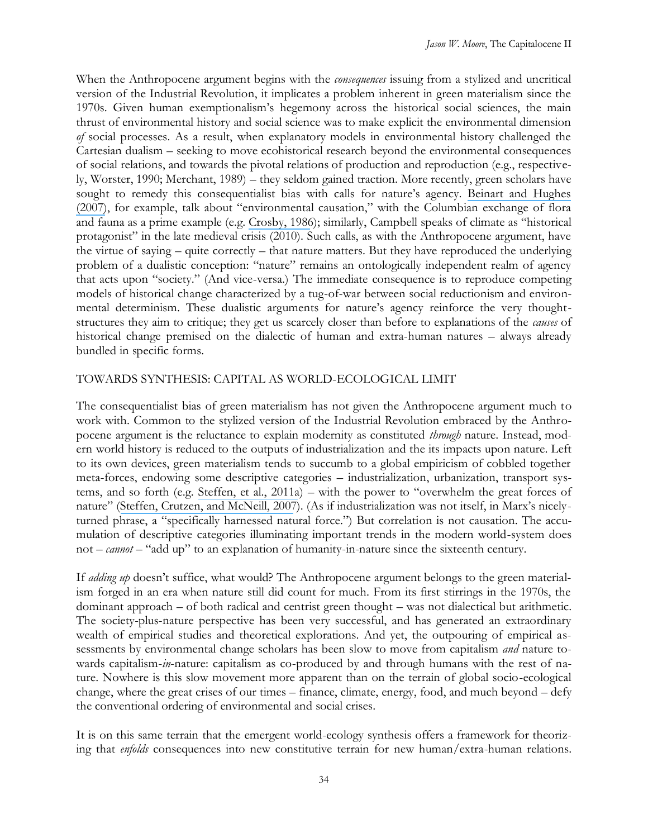When the Anthropocene argument begins with the *consequences* issuing from a stylized and uncritical version of the Industrial Revolution, it implicates a problem inherent in green materialism since the 1970s. Given human exemptionalism's hegemony across the historical social sciences, the main thrust of environmental history and social science was to make explicit the environmental dimension *of* social processes. As a result, when explanatory models in environmental history challenged the Cartesian dualism – seeking to move ecohistorical research beyond the environmental consequences of social relations, and towards the pivotal relations of production and reproduction (e.g., respectively, Worster, 1990; Merchant, 1989) – they seldom gained traction. More recently, green scholars have sought to remedy this consequentialist bias with calls for nature's agency. [Beinart and Hughes](https://www.researchgate.net/publication/null?el=1_x_8&enrichId=rgreq-46f53ebb51901b2260ca349cb2451b6c-XXX&enrichSource=Y292ZXJQYWdlOzI2NDQ1NzI4MTtBUzoxMjY1NDMxNjY3MDk3NjBAMTQwNzE4MTY1MDM3NA==)  [\(2007\)](https://www.researchgate.net/publication/null?el=1_x_8&enrichId=rgreq-46f53ebb51901b2260ca349cb2451b6c-XXX&enrichSource=Y292ZXJQYWdlOzI2NDQ1NzI4MTtBUzoxMjY1NDMxNjY3MDk3NjBAMTQwNzE4MTY1MDM3NA==), for example, talk about "environmental causation," with the Columbian exchange of flora and fauna as a prime example (e.g. [Crosby, 1986](https://www.researchgate.net/publication/269520237_Ecological_Imperialism?el=1_x_8&enrichId=rgreq-46f53ebb51901b2260ca349cb2451b6c-XXX&enrichSource=Y292ZXJQYWdlOzI2NDQ1NzI4MTtBUzoxMjY1NDMxNjY3MDk3NjBAMTQwNzE4MTY1MDM3NA==)); similarly, Campbell speaks of climate as "historical protagonist" in the late medieval crisis (2010). Such calls, as with the Anthropocene argument, have the virtue of saying – quite correctly – that nature matters. But they have reproduced the underlying problem of a dualistic conception: "nature" remains an ontologically independent realm of agency that acts upon "society." (And vice-versa.) The immediate consequence is to reproduce competing models of historical change characterized by a tug-of-war between social reductionism and environmental determinism. These dualistic arguments for nature's agency reinforce the very thoughtstructures they aim to critique; they get us scarcely closer than before to explanations of the *causes* of historical change premised on the dialectic of human and extra-human natures – always already bundled in specific forms.

#### TOWARDS SYNTHESIS: CAPITAL AS WORLD-ECOLOGICAL LIMIT

The consequentialist bias of green materialism has not given the Anthropocene argument much to work with. Common to the stylized version of the Industrial Revolution embraced by the Anthropocene argument is the reluctance to explain modernity as constituted *through* nature. Instead, modern world history is reduced to the outputs of industrialization and the its impacts upon nature. Left to its own devices, green materialism tends to succumb to a global empiricism of cobbled together meta-forces, endowing some descriptive categories – industrialization, urbanization, transport systems, and so forth (e.g. [Steffen, et al., 2011a](https://www.researchgate.net/publication/null?el=1_x_8&enrichId=rgreq-46f53ebb51901b2260ca349cb2451b6c-XXX&enrichSource=Y292ZXJQYWdlOzI2NDQ1NzI4MTtBUzoxMjY1NDMxNjY3MDk3NjBAMTQwNzE4MTY1MDM3NA==)) – with the power to "overwhelm the great forces of nature" ([Steffen, Crutzen, and McNeill, 2007](https://www.researchgate.net/publication/null?el=1_x_8&enrichId=rgreq-46f53ebb51901b2260ca349cb2451b6c-XXX&enrichSource=Y292ZXJQYWdlOzI2NDQ1NzI4MTtBUzoxMjY1NDMxNjY3MDk3NjBAMTQwNzE4MTY1MDM3NA==)). (As if industrialization was not itself, in Marx's nicelyturned phrase, a "specifically harnessed natural force.") But correlation is not causation. The accumulation of descriptive categories illuminating important trends in the modern world-system does not – *cannot* – "add up" to an explanation of humanity-in-nature since the sixteenth century.

If *adding up* doesn't suffice, what would? The Anthropocene argument belongs to the green materialism forged in an era when nature still did count for much. From its first stirrings in the 1970s, the dominant approach – of both radical and centrist green thought – was not dialectical but arithmetic. The society-plus-nature perspective has been very successful, and has generated an extraordinary wealth of empirical studies and theoretical explorations. And yet, the outpouring of empirical assessments by environmental change scholars has been slow to move from capitalism *and* nature towards capitalism-*in*-nature: capitalism as co-produced by and through humans with the rest of nature. Nowhere is this slow movement more apparent than on the terrain of global socio-ecological change, where the great crises of our times – finance, climate, energy, food, and much beyond – defy the conventional ordering of environmental and social crises.

It is on this same terrain that the emergent world-ecology synthesis offers a framework for theorizing that *enfolds* consequences into new constitutive terrain for new human/extra-human relations.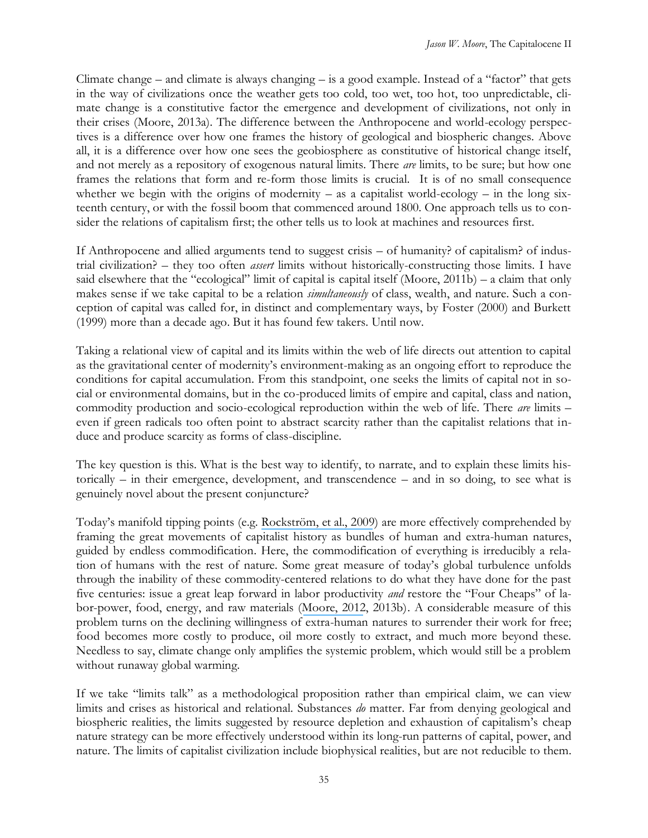Climate change – and climate is always changing – is a good example. Instead of a "factor" that gets in the way of civilizations once the weather gets too cold, too wet, too hot, too unpredictable, climate change is a constitutive factor the emergence and development of civilizations, not only in their crises (Moore, 2013a). The difference between the Anthropocene and world-ecology perspectives is a difference over how one frames the history of geological and biospheric changes. Above all, it is a difference over how one sees the geobiosphere as constitutive of historical change itself, and not merely as a repository of exogenous natural limits. There *are* limits, to be sure; but how one frames the relations that form and re-form those limits is crucial. It is of no small consequence whether we begin with the origins of modernity – as a capitalist world-ecology – in the long sixteenth century, or with the fossil boom that commenced around 1800. One approach tells us to consider the relations of capitalism first; the other tells us to look at machines and resources first.

If Anthropocene and allied arguments tend to suggest crisis – of humanity? of capitalism? of industrial civilization? – they too often *assert* limits without historically-constructing those limits. I have said elsewhere that the "ecological" limit of capital is capital itself (Moore, 2011b) – a claim that only makes sense if we take capital to be a relation *simultaneously* of class, wealth, and nature. Such a conception of capital was called for, in distinct and complementary ways, by Foster (2000) and Burkett (1999) more than a decade ago. But it has found few takers. Until now.

Taking a relational view of capital and its limits within the web of life directs out attention to capital as the gravitational center of modernity's environment-making as an ongoing effort to reproduce the conditions for capital accumulation. From this standpoint, one seeks the limits of capital not in social or environmental domains, but in the co-produced limits of empire and capital, class and nation, commodity production and socio-ecological reproduction within the web of life. There *are* limits – even if green radicals too often point to abstract scarcity rather than the capitalist relations that induce and produce scarcity as forms of class-discipline.

The key question is this. What is the best way to identify, to narrate, and to explain these limits historically – in their emergence, development, and transcendence – and in so doing, to see what is genuinely novel about the present conjuncture?

Today's manifold tipping points (e.g. [Rockström, et al., 2009](https://www.researchgate.net/publication/259689568_Planetary_Boundaries?el=1_x_8&enrichId=rgreq-46f53ebb51901b2260ca349cb2451b6c-XXX&enrichSource=Y292ZXJQYWdlOzI2NDQ1NzI4MTtBUzoxMjY1NDMxNjY3MDk3NjBAMTQwNzE4MTY1MDM3NA==)) are more effectively comprehended by framing the great movements of capitalist history as bundles of human and extra-human natures, guided by endless commodification. Here, the commodification of everything is irreducibly a relation of humans with the rest of nature. Some great measure of today's global turbulence unfolds through the inability of these commodity-centered relations to do what they have done for the past five centuries: issue a great leap forward in labor productivity *and* restore the "Four Cheaps" of labor-power, food, energy, and raw materials ([Moore, 2012](https://www.researchgate.net/publication/236660320_Cheap_Food_Bad_Money_Food_Frontiers_and_Financialization_in_the_Rise_and_Demise_of_Neoliberalism?el=1_x_8&enrichId=rgreq-46f53ebb51901b2260ca349cb2451b6c-XXX&enrichSource=Y292ZXJQYWdlOzI2NDQ1NzI4MTtBUzoxMjY1NDMxNjY3MDk3NjBAMTQwNzE4MTY1MDM3NA==), 2013b). A considerable measure of this problem turns on the declining willingness of extra-human natures to surrender their work for free; food becomes more costly to produce, oil more costly to extract, and much more beyond these. Needless to say, climate change only amplifies the systemic problem, which would still be a problem without runaway global warming.

If we take "limits talk" as a methodological proposition rather than empirical claim, we can view limits and crises as historical and relational. Substances *do* matter. Far from denying geological and biospheric realities, the limits suggested by resource depletion and exhaustion of capitalism's cheap nature strategy can be more effectively understood within its long-run patterns of capital, power, and nature. The limits of capitalist civilization include biophysical realities, but are not reducible to them.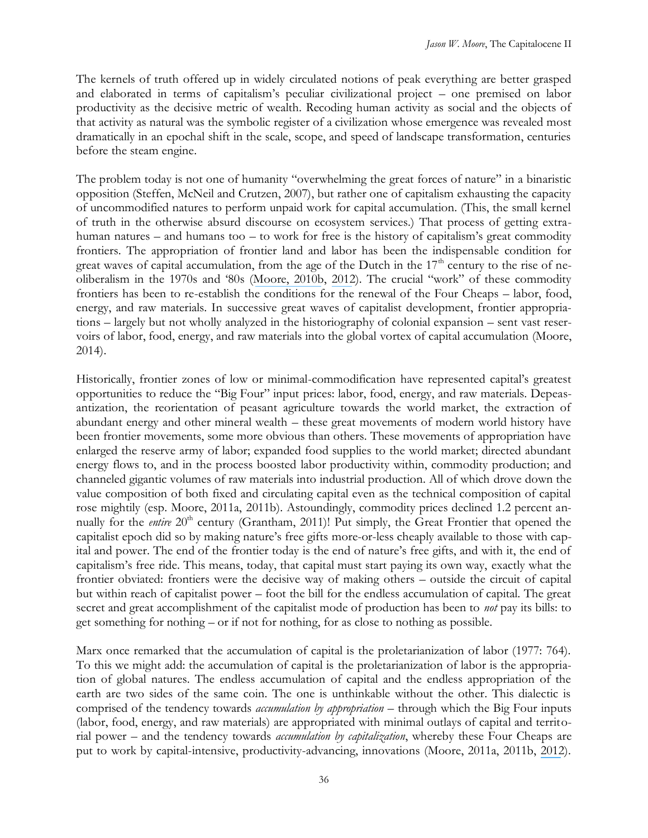The kernels of truth offered up in widely circulated notions of peak everything are better grasped and elaborated in terms of capitalism's peculiar civilizational project – one premised on labor productivity as the decisive metric of wealth. Recoding human activity as social and the objects of that activity as natural was the symbolic register of a civilization whose emergence was revealed most dramatically in an epochal shift in the scale, scope, and speed of landscape transformation, centuries before the steam engine.

The problem today is not one of humanity "overwhelming the great forces of nature" in a binaristic opposition (Steffen, McNeil and Crutzen, 2007), but rather one of capitalism exhausting the capacity of uncommodified natures to perform unpaid work for capital accumulation. (This, the small kernel of truth in the otherwise absurd discourse on ecosystem services.) That process of getting extrahuman natures – and humans too – to work for free is the history of capitalism's great commodity frontiers. The appropriation of frontier land and labor has been the indispensable condition for great waves of capital accumulation, from the age of the Dutch in the  $17<sup>th</sup>$  century to the rise of neoliberalism in the 1970s and '80s ([Moore, 2010b](https://www.researchgate.net/publication/227679852_Amsterdam_Is_Standing_on_Norway_Part_II_The_Global_North_Atlantic_in_the_Ecological_Revolution_of_the_Long_Seventeenth_Century?el=1_x_8&enrichId=rgreq-46f53ebb51901b2260ca349cb2451b6c-XXX&enrichSource=Y292ZXJQYWdlOzI2NDQ1NzI4MTtBUzoxMjY1NDMxNjY3MDk3NjBAMTQwNzE4MTY1MDM3NA==), [2012](https://www.researchgate.net/publication/236660320_Cheap_Food_Bad_Money_Food_Frontiers_and_Financialization_in_the_Rise_and_Demise_of_Neoliberalism?el=1_x_8&enrichId=rgreq-46f53ebb51901b2260ca349cb2451b6c-XXX&enrichSource=Y292ZXJQYWdlOzI2NDQ1NzI4MTtBUzoxMjY1NDMxNjY3MDk3NjBAMTQwNzE4MTY1MDM3NA==)). The crucial "work" of these commodity frontiers has been to re-establish the conditions for the renewal of the Four Cheaps – labor, food, energy, and raw materials. In successive great waves of capitalist development, frontier appropriations – largely but not wholly analyzed in the historiography of colonial expansion – sent vast reservoirs of labor, food, energy, and raw materials into the global vortex of capital accumulation (Moore, 2014).

Historically, frontier zones of low or minimal-commodification have represented capital's greatest opportunities to reduce the "Big Four" input prices: labor, food, energy, and raw materials. Depeasantization, the reorientation of peasant agriculture towards the world market, the extraction of abundant energy and other mineral wealth – these great movements of modern world history have been frontier movements, some more obvious than others. These movements of appropriation have enlarged the reserve army of labor; expanded food supplies to the world market; directed abundant energy flows to, and in the process boosted labor productivity within, commodity production; and channeled gigantic volumes of raw materials into industrial production. All of which drove down the value composition of both fixed and circulating capital even as the technical composition of capital rose mightily (esp. Moore, 2011a, 2011b). Astoundingly, commodity prices declined 1.2 percent annually for the *entire* 20<sup>th</sup> century (Grantham, 2011)! Put simply, the Great Frontier that opened the capitalist epoch did so by making nature's free gifts more-or-less cheaply available to those with capital and power. The end of the frontier today is the end of nature's free gifts, and with it, the end of capitalism's free ride. This means, today, that capital must start paying its own way, exactly what the frontier obviated: frontiers were the decisive way of making others – outside the circuit of capital but within reach of capitalist power – foot the bill for the endless accumulation of capital. The great secret and great accomplishment of the capitalist mode of production has been to *not* pay its bills: to get something for nothing – or if not for nothing, for as close to nothing as possible.

Marx once remarked that the accumulation of capital is the proletarianization of labor (1977: 764). To this we might add: the accumulation of capital is the proletarianization of labor is the appropriation of global natures. The endless accumulation of capital and the endless appropriation of the earth are two sides of the same coin. The one is unthinkable without the other. This dialectic is comprised of the tendency towards *accumulation by appropriation* – through which the Big Four inputs (labor, food, energy, and raw materials) are appropriated with minimal outlays of capital and territorial power – and the tendency towards *accumulation by capitalization*, whereby these Four Cheaps are put to work by capital-intensive, productivity-advancing, innovations (Moore, 2011a, 2011b, [2012](https://www.researchgate.net/publication/236660320_Cheap_Food_Bad_Money_Food_Frontiers_and_Financialization_in_the_Rise_and_Demise_of_Neoliberalism?el=1_x_8&enrichId=rgreq-46f53ebb51901b2260ca349cb2451b6c-XXX&enrichSource=Y292ZXJQYWdlOzI2NDQ1NzI4MTtBUzoxMjY1NDMxNjY3MDk3NjBAMTQwNzE4MTY1MDM3NA==)).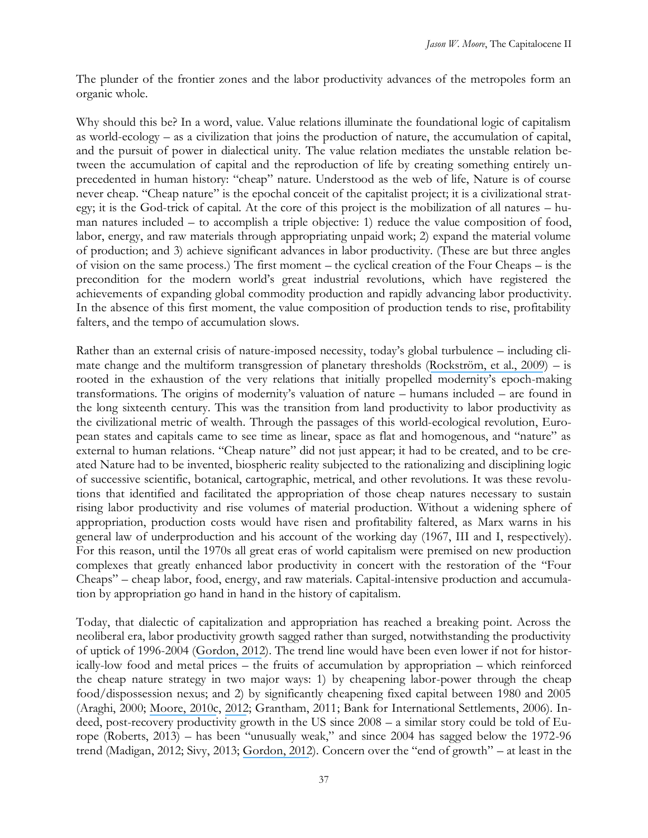The plunder of the frontier zones and the labor productivity advances of the metropoles form an organic whole.

Why should this be? In a word, value. Value relations illuminate the foundational logic of capitalism as world-ecology – as a civilization that joins the production of nature, the accumulation of capital, and the pursuit of power in dialectical unity. The value relation mediates the unstable relation between the accumulation of capital and the reproduction of life by creating something entirely unprecedented in human history: "cheap" nature. Understood as the web of life, Nature is of course never cheap. "Cheap nature" is the epochal conceit of the capitalist project; it is a civilizational strategy; it is the God-trick of capital. At the core of this project is the mobilization of all natures – human natures included – to accomplish a triple objective: 1) reduce the value composition of food, labor, energy, and raw materials through appropriating unpaid work; 2) expand the material volume of production; and 3) achieve significant advances in labor productivity. (These are but three angles of vision on the same process.) The first moment – the cyclical creation of the Four Cheaps – is the precondition for the modern world's great industrial revolutions, which have registered the achievements of expanding global commodity production and rapidly advancing labor productivity. In the absence of this first moment, the value composition of production tends to rise, profitability falters, and the tempo of accumulation slows.

Rather than an external crisis of nature-imposed necessity, today's global turbulence – including climate change and the multiform transgression of planetary thresholds ([Rockström, et al., 2009](https://www.researchgate.net/publication/259689568_Planetary_Boundaries?el=1_x_8&enrichId=rgreq-46f53ebb51901b2260ca349cb2451b6c-XXX&enrichSource=Y292ZXJQYWdlOzI2NDQ1NzI4MTtBUzoxMjY1NDMxNjY3MDk3NjBAMTQwNzE4MTY1MDM3NA==)) – is rooted in the exhaustion of the very relations that initially propelled modernity's epoch-making transformations. The origins of modernity's valuation of nature – humans included – are found in the long sixteenth century. This was the transition from land productivity to labor productivity as the civilizational metric of wealth. Through the passages of this world-ecological revolution, European states and capitals came to see time as linear, space as flat and homogenous, and "nature" as external to human relations. "Cheap nature" did not just appear; it had to be created, and to be created Nature had to be invented, biospheric reality subjected to the rationalizing and disciplining logic of successive scientific, botanical, cartographic, metrical, and other revolutions. It was these revolutions that identified and facilitated the appropriation of those cheap natures necessary to sustain rising labor productivity and rise volumes of material production. Without a widening sphere of appropriation, production costs would have risen and profitability faltered, as Marx warns in his general law of underproduction and his account of the working day (1967, III and I, respectively). For this reason, until the 1970s all great eras of world capitalism were premised on new production complexes that greatly enhanced labor productivity in concert with the restoration of the "Four Cheaps" – cheap labor, food, energy, and raw materials. Capital-intensive production and accumulation by appropriation go hand in hand in the history of capitalism.

Today, that dialectic of capitalization and appropriation has reached a breaking point. Across the neoliberal era, labor productivity growth sagged rather than surged, notwithstanding the productivity of uptick of 1996-2004 ([Gordon, 2012](https://www.researchgate.net/publication/254435372_Is_US_Economic_Growth_Over_Faltering_Innovation_Confronts_The_Six_Headwinds?el=1_x_8&enrichId=rgreq-46f53ebb51901b2260ca349cb2451b6c-XXX&enrichSource=Y292ZXJQYWdlOzI2NDQ1NzI4MTtBUzoxMjY1NDMxNjY3MDk3NjBAMTQwNzE4MTY1MDM3NA==)). The trend line would have been even lower if not for historically-low food and metal prices – the fruits of accumulation by appropriation – which reinforced the cheap nature strategy in two major ways: 1) by cheapening labor-power through the cheap food/dispossession nexus; and 2) by significantly cheapening fixed capital between 1980 and 2005 (Araghi, 2000; [Moore, 2010c](https://www.researchgate.net/publication/227493884_The_End_of_the_Road_Agricultural_Revolutions_in_the_Capitalist_World-Ecology_1450-2010?el=1_x_8&enrichId=rgreq-46f53ebb51901b2260ca349cb2451b6c-XXX&enrichSource=Y292ZXJQYWdlOzI2NDQ1NzI4MTtBUzoxMjY1NDMxNjY3MDk3NjBAMTQwNzE4MTY1MDM3NA==), [2012](https://www.researchgate.net/publication/236660320_Cheap_Food_Bad_Money_Food_Frontiers_and_Financialization_in_the_Rise_and_Demise_of_Neoliberalism?el=1_x_8&enrichId=rgreq-46f53ebb51901b2260ca349cb2451b6c-XXX&enrichSource=Y292ZXJQYWdlOzI2NDQ1NzI4MTtBUzoxMjY1NDMxNjY3MDk3NjBAMTQwNzE4MTY1MDM3NA==); Grantham, 2011; Bank for International Settlements, 2006). Indeed, post-recovery productivity growth in the US since 2008 – a similar story could be told of Europe (Roberts, 2013) – has been "unusually weak," and since 2004 has sagged below the 1972-96 trend (Madigan, 2012; Sivy, 2013; [Gordon, 2012](https://www.researchgate.net/publication/254435372_Is_US_Economic_Growth_Over_Faltering_Innovation_Confronts_The_Six_Headwinds?el=1_x_8&enrichId=rgreq-46f53ebb51901b2260ca349cb2451b6c-XXX&enrichSource=Y292ZXJQYWdlOzI2NDQ1NzI4MTtBUzoxMjY1NDMxNjY3MDk3NjBAMTQwNzE4MTY1MDM3NA==)). Concern over the "end of growth" – at least in the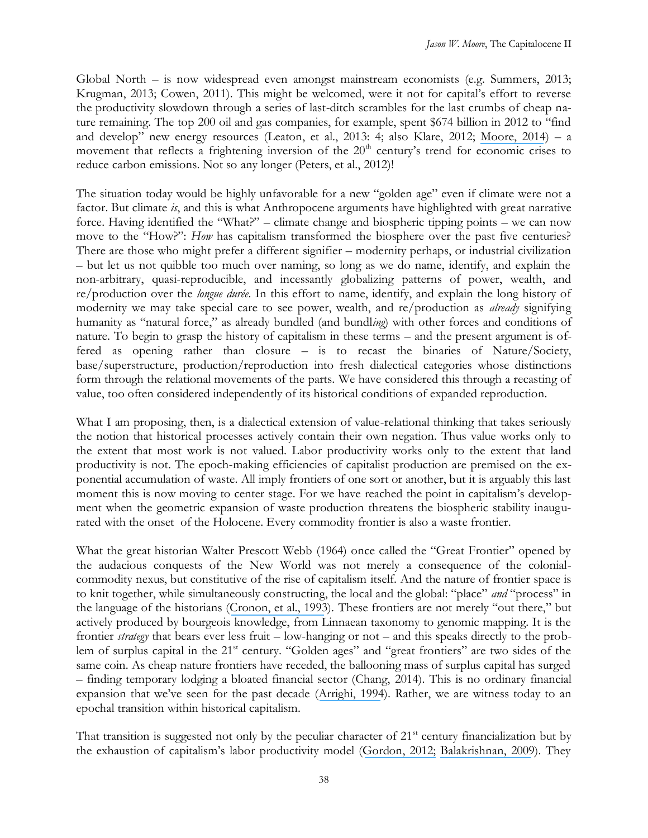Global North – is now widespread even amongst mainstream economists (e.g. Summers, 2013; Krugman, 2013; Cowen, 2011). This might be welcomed, were it not for capital's effort to reverse the productivity slowdown through a series of last-ditch scrambles for the last crumbs of cheap nature remaining. The top 200 oil and gas companies, for example, spent \$674 billion in 2012 to "find and develop" new energy resources (Leaton, et al., 2013: 4; also Klare, 2012; [Moore, 2014](https://www.researchgate.net/publication/264707683_The_End_of_Cheap_Nature_or_How_I_Learned_to_Stop_Worrying_about_)) – a movement that reflects a frightening inversion of the  $20<sup>th</sup>$  century's trend for economic crises to reduce carbon emissions. Not so any longer (Peters, et al., 2012)!

The situation today would be highly unfavorable for a new "golden age" even if climate were not a factor. But climate *is*, and this is what Anthropocene arguments have highlighted with great narrative force. Having identified the "What?" – climate change and biospheric tipping points – we can now move to the "How?": *How* has capitalism transformed the biosphere over the past five centuries? There are those who might prefer a different signifier – modernity perhaps, or industrial civilization – but let us not quibble too much over naming, so long as we do name, identify, and explain the non-arbitrary, quasi-reproducible, and incessantly globalizing patterns of power, wealth, and re/production over the *longue durée*. In this effort to name, identify, and explain the long history of modernity we may take special care to see power, wealth, and re/production as *already* signifying humanity as "natural force," as already bundled (and bundl*ing*) with other forces and conditions of nature. To begin to grasp the history of capitalism in these terms – and the present argument is offered as opening rather than closure – is to recast the binaries of Nature/Society, base/superstructure, production/reproduction into fresh dialectical categories whose distinctions form through the relational movements of the parts. We have considered this through a recasting of value, too often considered independently of its historical conditions of expanded reproduction.

What I am proposing, then, is a dialectical extension of value-relational thinking that takes seriously the notion that historical processes actively contain their own negation. Thus value works only to the extent that most work is not valued. Labor productivity works only to the extent that land productivity is not. The epoch-making efficiencies of capitalist production are premised on the exponential accumulation of waste. All imply frontiers of one sort or another, but it is arguably this last moment this is now moving to center stage. For we have reached the point in capitalism's development when the geometric expansion of waste production threatens the biospheric stability inaugurated with the onset of the Holocene. Every commodity frontier is also a waste frontier.

What the great historian Walter Prescott Webb (1964) once called the "Great Frontier" opened by the audacious conquests of the New World was not merely a consequence of the colonialcommodity nexus, but constitutive of the rise of capitalism itself. And the nature of frontier space is to knit together, while simultaneously constructing, the local and the global: "place" *and* "process" in the language of the historians ([Cronon, et al., 1993](https://www.researchgate.net/publication/269881032_Under_An_Open_Sky_Rethinking_America)). These frontiers are not merely "out there," but actively produced by bourgeois knowledge, from Linnaean taxonomy to genomic mapping. It is the frontier *strategy* that bears ever less fruit – low-hanging or not – and this speaks directly to the problem of surplus capital in the 21<sup>st</sup> century. "Golden ages" and "great frontiers" are two sides of the same coin. As cheap nature frontiers have receded, the ballooning mass of surplus capital has surged – finding temporary lodging a bloated financial sector (Chang, 2014). This is no ordinary financial expansion that we've seen for the past decade ([Arrighi, 1994](https://www.researchgate.net/publication/238129571_The_Long_Twentieth_Century?el=1_x_8&enrichId=rgreq-46f53ebb51901b2260ca349cb2451b6c-XXX&enrichSource=Y292ZXJQYWdlOzI2NDQ1NzI4MTtBUzoxMjY1NDMxNjY3MDk3NjBAMTQwNzE4MTY1MDM3NA==)). Rather, we are witness today to an epochal transition within historical capitalism.

That transition is suggested not only by the peculiar character of  $21<sup>st</sup>$  century financialization but by the exhaustion of capitalism's labor productivity model ([Gordon, 2012;](https://www.researchgate.net/publication/254435372_Is_US_Economic_Growth_Over_Faltering_Innovation_Confronts_The_Six_Headwinds?el=1_x_8&enrichId=rgreq-46f53ebb51901b2260ca349cb2451b6c-XXX&enrichSource=Y292ZXJQYWdlOzI2NDQ1NzI4MTtBUzoxMjY1NDMxNjY3MDk3NjBAMTQwNzE4MTY1MDM3NA==) [Balakrishnan, 2009](https://www.researchgate.net/publication/291489010_Speculations_on_the_stationary_state?el=1_x_8&enrichId=rgreq-46f53ebb51901b2260ca349cb2451b6c-XXX&enrichSource=Y292ZXJQYWdlOzI2NDQ1NzI4MTtBUzoxMjY1NDMxNjY3MDk3NjBAMTQwNzE4MTY1MDM3NA==)). They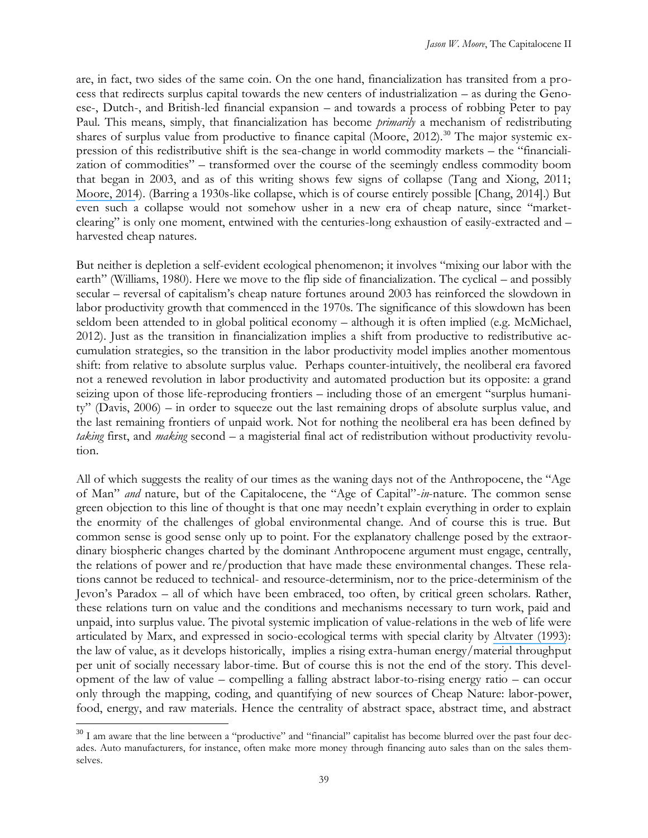are, in fact, two sides of the same coin. On the one hand, financialization has transited from a process that redirects surplus capital towards the new centers of industrialization – as during the Genoese-, Dutch-, and British-led financial expansion – and towards a process of robbing Peter to pay Paul. This means, simply, that financialization has become *primarily* a mechanism of redistributing shares of surplus value from productive to finance capital (Moore, 2012).<sup>30</sup> The major systemic expression of this redistributive shift is the sea-change in world commodity markets – the "financialization of commodities" – transformed over the course of the seemingly endless commodity boom that began in 2003, and as of this writing shows few signs of collapse (Tang and Xiong, 2011; [Moore, 2014](https://www.researchgate.net/publication/264707683_The_End_of_Cheap_Nature_or_How_I_Learned_to_Stop_Worrying_about_)). (Barring a 1930s-like collapse, which is of course entirely possible [Chang, 2014].) But even such a collapse would not somehow usher in a new era of cheap nature, since "marketclearing" is only one moment, entwined with the centuries-long exhaustion of easily-extracted and – harvested cheap natures.

But neither is depletion a self-evident ecological phenomenon; it involves "mixing our labor with the earth" (Williams, 1980). Here we move to the flip side of financialization. The cyclical – and possibly secular – reversal of capitalism's cheap nature fortunes around 2003 has reinforced the slowdown in labor productivity growth that commenced in the 1970s. The significance of this slowdown has been seldom been attended to in global political economy – although it is often implied (e.g. McMichael, 2012). Just as the transition in financialization implies a shift from productive to redistributive accumulation strategies, so the transition in the labor productivity model implies another momentous shift: from relative to absolute surplus value. Perhaps counter-intuitively, the neoliberal era favored not a renewed revolution in labor productivity and automated production but its opposite: a grand seizing upon of those life-reproducing frontiers – including those of an emergent "surplus humanity" (Davis, 2006) – in order to squeeze out the last remaining drops of absolute surplus value, and the last remaining frontiers of unpaid work. Not for nothing the neoliberal era has been defined by *taking* first, and *making* second – a magisterial final act of redistribution without productivity revolution.

All of which suggests the reality of our times as the waning days not of the Anthropocene, the "Age of Man" *and* nature, but of the Capitalocene, the "Age of Capital"-*in*-nature. The common sense green objection to this line of thought is that one may needn't explain everything in order to explain the enormity of the challenges of global environmental change. And of course this is true. But common sense is good sense only up to point. For the explanatory challenge posed by the extraordinary biospheric changes charted by the dominant Anthropocene argument must engage, centrally, the relations of power and re/production that have made these environmental changes. These relations cannot be reduced to technical- and resource-determinism, nor to the price-determinism of the Jevon's Paradox – all of which have been embraced, too often, by critical green scholars. Rather, these relations turn on value and the conditions and mechanisms necessary to turn work, paid and unpaid, into surplus value. The pivotal systemic implication of value-relations in the web of life were articulated by Marx, and expressed in socio-ecological terms with special clarity by [Altvater \(1993\)](https://www.researchgate.net/publication/247888391_The_Future_of_the_Market?el=1_x_8&enrichId=rgreq-46f53ebb51901b2260ca349cb2451b6c-XXX&enrichSource=Y292ZXJQYWdlOzI2NDQ1NzI4MTtBUzoxMjY1NDMxNjY3MDk3NjBAMTQwNzE4MTY1MDM3NA==): the law of value, as it develops historically, implies a rising extra-human energy/material throughput per unit of socially necessary labor-time. But of course this is not the end of the story. This development of the law of value – compelling a falling abstract labor-to-rising energy ratio – can occur only through the mapping, coding, and quantifying of new sources of Cheap Nature: labor-power, food, energy, and raw materials. Hence the centrality of abstract space, abstract time, and abstract

 $30$  I am aware that the line between a "productive" and "financial" capitalist has become blurred over the past four decades. Auto manufacturers, for instance, often make more money through financing auto sales than on the sales themselves.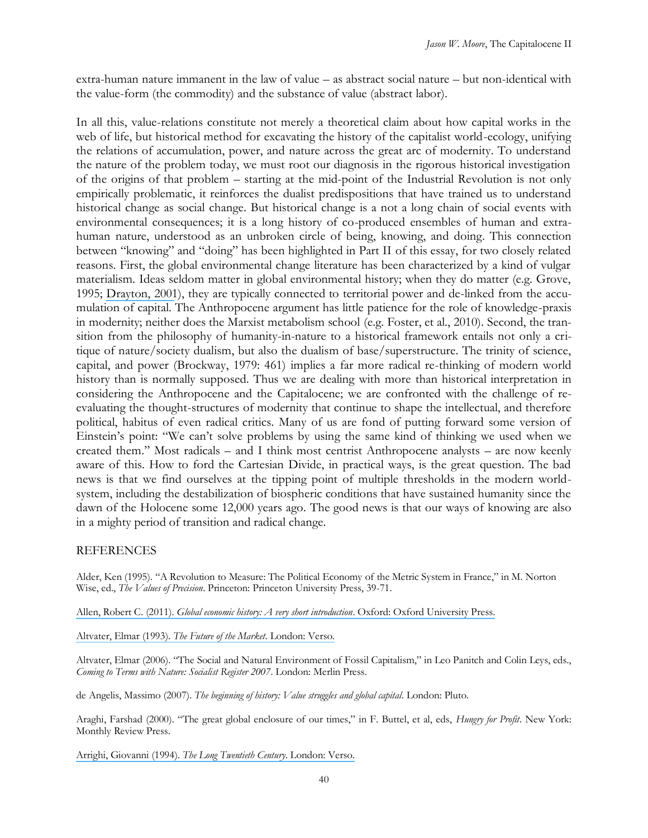extra-human nature immanent in the law of value – as abstract social nature – but non-identical with the value-form (the commodity) and the substance of value (abstract labor).

In all this, value-relations constitute not merely a theoretical claim about how capital works in the web of life, but historical method for excavating the history of the capitalist world-ecology, unifying the relations of accumulation, power, and nature across the great arc of modernity. To understand the nature of the problem today, we must root our diagnosis in the rigorous historical investigation of the origins of that problem – starting at the mid-point of the Industrial Revolution is not only empirically problematic, it reinforces the dualist predispositions that have trained us to understand historical change as social change. But historical change is a not a long chain of social events with environmental consequences; it is a long history of co-produced ensembles of human and extrahuman nature, understood as an unbroken circle of being, knowing, and doing. This connection between "knowing" and "doing" has been highlighted in Part II of this essay, for two closely related reasons. First, the global environmental change literature has been characterized by a kind of vulgar materialism. Ideas seldom matter in global environmental history; when they do matter (e.g. Grove, 1995; [Drayton, 2001](https://www.researchgate.net/publication/270326615_Nature)), they are typically connected to territorial power and de-linked from the accumulation of capital. The Anthropocene argument has little patience for the role of knowledge-praxis in modernity; neither does the Marxist metabolism school (e.g. Foster, et al., 2010). Second, the transition from the philosophy of humanity-in-nature to a historical framework entails not only a critique of nature/society dualism, but also the dualism of base/superstructure. The trinity of science, capital, and power (Brockway, 1979: 461) implies a far more radical re-thinking of modern world history than is normally supposed. Thus we are dealing with more than historical interpretation in considering the Anthropocene and the Capitalocene; we are confronted with the challenge of reevaluating the thought-structures of modernity that continue to shape the intellectual, and therefore political, habitus of even radical critics. Many of us are fond of putting forward some version of Einstein's point: "We can't solve problems by using the same kind of thinking we used when we created them." Most radicals – and I think most centrist Anthropocene analysts – are now keenly aware of this. How to ford the Cartesian Divide, in practical ways, is the great question. The bad news is that we find ourselves at the tipping point of multiple thresholds in the modern worldsystem, including the destabilization of biospheric conditions that have sustained humanity since the dawn of the Holocene some 12,000 years ago. The good news is that our ways of knowing are also in a mighty period of transition and radical change.

#### **REFERENCES**

Alder, Ken (1995). "A Revolution to Measure: The Political Economy of the Metric System in France," in M. Norton Wise, ed., *The Values of Precision*. Princeton: Princeton University Press, 39-71.

Allen, Robert C. (2011). *[Global economic history: A very short introduction](https://www.researchgate.net/publication/227468238_Global_Economic_History_A_Very_Short_Introduction?el=1_x_8&enrichId=rgreq-46f53ebb51901b2260ca349cb2451b6c-XXX&enrichSource=Y292ZXJQYWdlOzI2NDQ1NzI4MTtBUzoxMjY1NDMxNjY3MDk3NjBAMTQwNzE4MTY1MDM3NA==)*. Oxford: Oxford University Press.

[Altvater, Elmar \(1993\).](https://www.researchgate.net/publication/247888391_The_Future_of_the_Market?el=1_x_8&enrichId=rgreq-46f53ebb51901b2260ca349cb2451b6c-XXX&enrichSource=Y292ZXJQYWdlOzI2NDQ1NzI4MTtBUzoxMjY1NDMxNjY3MDk3NjBAMTQwNzE4MTY1MDM3NA==) *The Future of the Market*. London: Verso.

Altvater, Elmar (2006). "The Social and Natural Environment of Fossil Capitalism," in Leo Panitch and Colin Leys, eds., *Coming to Terms with Nature: Socialist Register 2007*. London: Merlin Press.

de Angelis, Massimo (2007). *The beginning of history: Value struggles and global capital*. London: Pluto.

Araghi, Farshad (2000). "The great global enclosure of our times," in F. Buttel, et al, eds, *Hungry for Profit*. New York: Monthly Review Press.

[Arrighi, Giovanni \(1994\).](https://www.researchgate.net/publication/238129571_The_Long_Twentieth_Century?el=1_x_8&enrichId=rgreq-46f53ebb51901b2260ca349cb2451b6c-XXX&enrichSource=Y292ZXJQYWdlOzI2NDQ1NzI4MTtBUzoxMjY1NDMxNjY3MDk3NjBAMTQwNzE4MTY1MDM3NA==) *The Long Twentieth Century*. London: Verso.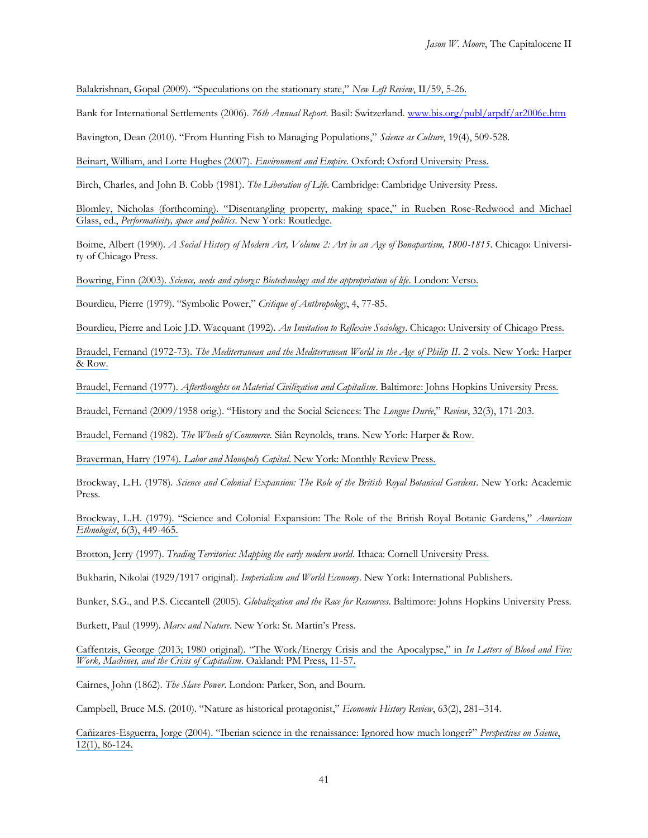[Balakrishnan, Gopal \(2009\). "Speculations on the stationary state,"](https://www.researchgate.net/publication/291489010_Speculations_on_the_stationary_state?el=1_x_8&enrichId=rgreq-46f53ebb51901b2260ca349cb2451b6c-XXX&enrichSource=Y292ZXJQYWdlOzI2NDQ1NzI4MTtBUzoxMjY1NDMxNjY3MDk3NjBAMTQwNzE4MTY1MDM3NA==) *New Left Review*, II/59, 5-26.

Bank for International Settlements (2006). *76th Annual Report*. Basil: Switzerland. [www.bis.org/publ/arpdf/ar2006e.htm](http://www.bis.org/publ/arpdf/ar2006e.htm)

Bavington, Dean (2010). "From Hunting Fish to Managing Populations," *Science as Culture*, 19(4), 509-528.

[Beinart, William, and Lotte Hughes \(2007\).](https://www.researchgate.net/publication/null?el=1_x_8&enrichId=rgreq-46f53ebb51901b2260ca349cb2451b6c-XXX&enrichSource=Y292ZXJQYWdlOzI2NDQ1NzI4MTtBUzoxMjY1NDMxNjY3MDk3NjBAMTQwNzE4MTY1MDM3NA==) *Environment and Empire*. Oxford: Oxford University Press.

Birch, Charles, and John B. Cobb (1981). *The Liberation of Life*. Cambridge: Cambridge University Press.

[Blomley, Nicholas \(forthcoming\). "Disentangling property, making space," in Rueben Rose](https://www.researchgate.net/publication/256033385_Disentangling_Property_Making_Space?el=1_x_8&enrichId=rgreq-46f53ebb51901b2260ca349cb2451b6c-XXX&enrichSource=Y292ZXJQYWdlOzI2NDQ1NzI4MTtBUzoxMjY1NDMxNjY3MDk3NjBAMTQwNzE4MTY1MDM3NA==)-Redwood and Michael Glass, ed., *[Performativity, space and politics](https://www.researchgate.net/publication/256033385_Disentangling_Property_Making_Space?el=1_x_8&enrichId=rgreq-46f53ebb51901b2260ca349cb2451b6c-XXX&enrichSource=Y292ZXJQYWdlOzI2NDQ1NzI4MTtBUzoxMjY1NDMxNjY3MDk3NjBAMTQwNzE4MTY1MDM3NA==)*. New York: Routledge.

Boime, Albert (1990). *A Social History of Modern Art, Volume 2: Art in an Age of Bonapartism, 1800-1815*. Chicago: University of Chicago Press.

Bowring, Finn (2003). *[Science, seeds and cyborgs: Biotechnology and the appropriation of life](https://www.researchgate.net/publication/null?el=1_x_8&enrichId=rgreq-46f53ebb51901b2260ca349cb2451b6c-XXX&enrichSource=Y292ZXJQYWdlOzI2NDQ1NzI4MTtBUzoxMjY1NDMxNjY3MDk3NjBAMTQwNzE4MTY1MDM3NA==)*. London: Verso.

Bourdieu, Pierre (1979). "Symbolic Power," *Critique of Anthropology*, 4, 77-85.

[Bourdieu, Pierre and Loic J.D. Wacquant \(1992\).](https://www.researchgate.net/publication/null?el=1_x_8&enrichId=rgreq-46f53ebb51901b2260ca349cb2451b6c-XXX&enrichSource=Y292ZXJQYWdlOzI2NDQ1NzI4MTtBUzoxMjY1NDMxNjY3MDk3NjBAMTQwNzE4MTY1MDM3NA==) *An Invitation to Reflexive Sociology*. Chicago: University of Chicago Press.

Braudel, Fernand (1972-73). *[The Mediterranean and the Mediterranean World in the Age of Philip II](https://www.researchgate.net/publication/261249681_The_Mediterranean_and_the_Mediterranean_World_in_the_Age_of_Philip_II_Vol_II?el=1_x_8&enrichId=rgreq-46f53ebb51901b2260ca349cb2451b6c-XXX&enrichSource=Y292ZXJQYWdlOzI2NDQ1NzI4MTtBUzoxMjY1NDMxNjY3MDk3NjBAMTQwNzE4MTY1MDM3NA==)*. 2 vols. New York: Harper [& Row.](https://www.researchgate.net/publication/261249681_The_Mediterranean_and_the_Mediterranean_World_in_the_Age_of_Philip_II_Vol_II?el=1_x_8&enrichId=rgreq-46f53ebb51901b2260ca349cb2451b6c-XXX&enrichSource=Y292ZXJQYWdlOzI2NDQ1NzI4MTtBUzoxMjY1NDMxNjY3MDk3NjBAMTQwNzE4MTY1MDM3NA==)

Braudel, Fernand (1977). *[Afterthoughts on Material Civilization and Capitalism](https://www.researchgate.net/publication/null?el=1_x_8&enrichId=rgreq-46f53ebb51901b2260ca349cb2451b6c-XXX&enrichSource=Y292ZXJQYWdlOzI2NDQ1NzI4MTtBUzoxMjY1NDMxNjY3MDk3NjBAMTQwNzE4MTY1MDM3NA==)*. Baltimore: Johns Hopkins University Press.

[Braudel, Fernand \(2009/1958 orig.\). "History and the Social Sciences: The](https://www.researchgate.net/publication/292540404_History_and_the_social_sciences_the_longue_duree?el=1_x_8&enrichId=rgreq-46f53ebb51901b2260ca349cb2451b6c-XXX&enrichSource=Y292ZXJQYWdlOzI2NDQ1NzI4MTtBUzoxMjY1NDMxNjY3MDk3NjBAMTQwNzE4MTY1MDM3NA==) *Longue Durée*," *Review*, 32(3), 171-203.

Braudel, Fernand (1982). *The Wheels of Commerce.* [Siân Reynolds, trans. New York: Harper & Row.](https://www.researchgate.net/publication/248065713_The_Wheels_of_Commerce?el=1_x_8&enrichId=rgreq-46f53ebb51901b2260ca349cb2451b6c-XXX&enrichSource=Y292ZXJQYWdlOzI2NDQ1NzI4MTtBUzoxMjY1NDMxNjY3MDk3NjBAMTQwNzE4MTY1MDM3NA==)

Braverman, Harry (1974). *Labor and Monopoly Capital*[. New York: Monthly Review Press.](https://www.researchgate.net/publication/240080970_Labor_and_Monopoly_Capital?el=1_x_8&enrichId=rgreq-46f53ebb51901b2260ca349cb2451b6c-XXX&enrichSource=Y292ZXJQYWdlOzI2NDQ1NzI4MTtBUzoxMjY1NDMxNjY3MDk3NjBAMTQwNzE4MTY1MDM3NA==) 

Brockway, L.H. (1978). *Science and Colonial Expansion: The Role of the British Royal Botanical Gardens*. New York: Academic Press.

Brockway, L.[H. \(1979\). "Science and Colonial Expansion: The Role of the British Royal Botanic Gardens,"](https://www.researchgate.net/publication/227661734_Science_and_Colonial_Expansion_The_Role_of_the_British_Royal_Botanic_Gardens?el=1_x_8&enrichId=rgreq-46f53ebb51901b2260ca349cb2451b6c-XXX&enrichSource=Y292ZXJQYWdlOzI2NDQ1NzI4MTtBUzoxMjY1NDMxNjY3MDk3NjBAMTQwNzE4MTY1MDM3NA==) *American Ethnologist*[, 6\(3\), 449-465.](https://www.researchgate.net/publication/227661734_Science_and_Colonial_Expansion_The_Role_of_the_British_Royal_Botanic_Gardens?el=1_x_8&enrichId=rgreq-46f53ebb51901b2260ca349cb2451b6c-XXX&enrichSource=Y292ZXJQYWdlOzI2NDQ1NzI4MTtBUzoxMjY1NDMxNjY3MDk3NjBAMTQwNzE4MTY1MDM3NA==)

Brotton, Jerry (1997). *[Trading Territories: Mapping the early modern world](https://www.researchgate.net/publication/null?el=1_x_8&enrichId=rgreq-46f53ebb51901b2260ca349cb2451b6c-XXX&enrichSource=Y292ZXJQYWdlOzI2NDQ1NzI4MTtBUzoxMjY1NDMxNjY3MDk3NjBAMTQwNzE4MTY1MDM3NA==)*. Ithaca: Cornell University Press.

Bukharin, Nikolai (1929/1917 original). *Imperialism and World Economy*. New York: International Publishers.

Bunker, S.G., and P.S. Ciccantell (2005). *Globalization and the Race for Resources*. Baltimore: Johns Hopkins University Press.

Burkett, Paul (1999). *Marx and Nature*. New York: St. Martin's Press.

[Caffentzis, George \(2013; 1980 original\). "](https://www.researchgate.net/publication/255672714_14_THE_WORKENERGY_CRISIS_AND_THE_APOCALYPSE?el=1_x_8&enrichId=rgreq-46f53ebb51901b2260ca349cb2451b6c-XXX&enrichSource=Y292ZXJQYWdlOzI2NDQ1NzI4MTtBUzoxMjY1NDMxNjY3MDk3NjBAMTQwNzE4MTY1MDM3NA==)The Work/Energy Crisis and the Apocalypse," in *In Letters of Blood and Fire: [Work, Machines, and the Crisis of Capitalism](https://www.researchgate.net/publication/255672714_14_THE_WORKENERGY_CRISIS_AND_THE_APOCALYPSE?el=1_x_8&enrichId=rgreq-46f53ebb51901b2260ca349cb2451b6c-XXX&enrichSource=Y292ZXJQYWdlOzI2NDQ1NzI4MTtBUzoxMjY1NDMxNjY3MDk3NjBAMTQwNzE4MTY1MDM3NA==)*. Oakland: PM Press, 11-57.

Cairnes, John (1862). *The Slave Power*. London: Parker, Son, and Bourn.

Campbell, Bruce M.S. (2010). "Nature as historical protagonist," *Economic History Review*, 63(2), 281–314.

Cañizares-[Esguerra, Jorge \(2004\). "Iberian science in the renaissance: Ignored how much longer?"](https://www.researchgate.net/publication/249563535_) *Perspectives on Science*, [12\(1\), 86-124.](https://www.researchgate.net/publication/249563535_)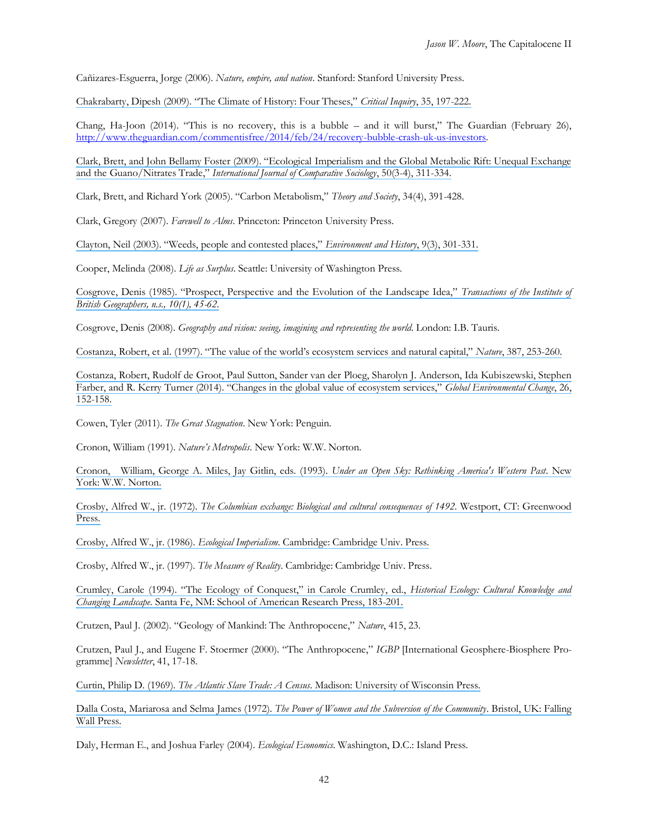Cañizares-Esguerra, Jorge (2006). *Nature, empire, and nation*. Stanford: Stanford University Press.

[Chakrabarty, Dipesh \(2009\). "The Climate of History: Four Theses,"](https://www.researchgate.net/publication/249105854_The_Climate_of_History_Four_Theses?el=1_x_8&enrichId=rgreq-46f53ebb51901b2260ca349cb2451b6c-XXX&enrichSource=Y292ZXJQYWdlOzI2NDQ1NzI4MTtBUzoxMjY1NDMxNjY3MDk3NjBAMTQwNzE4MTY1MDM3NA==) *Critical Inquiry*, 35, 197-222.

Chang, Ha-Joon (2014). "This is no recovery, this is a bubble – and it will burst," The Guardian (February 26), [http://www.theguardian.com/commentisfree/2014/feb/24/recovery-bubble-crash-uk-us-investors.](http://www.theguardian.com/commentisfree/2014/feb/24/recovery-bubble-crash-uk-us-investors)

Clark, Brett, and John Bellamy Foster (2009). "Ecological [Imperialism and the Global Metabolic Rift: Unequal Exchange](https://www.researchgate.net/publication/249815756_Ecological_Imperialism_and_the_Global_Metabolic_RiftUnequal_Exchange_and_the_GuanoNitrates_Trade?el=1_x_8&enrichId=rgreq-46f53ebb51901b2260ca349cb2451b6c-XXX&enrichSource=Y292ZXJQYWdlOzI2NDQ1NzI4MTtBUzoxMjY1NDMxNjY3MDk3NjBAMTQwNzE4MTY1MDM3NA==)  and the Guano/Nitrates Trade," *[International Journal of Comparative Sociology](https://www.researchgate.net/publication/249815756_Ecological_Imperialism_and_the_Global_Metabolic_RiftUnequal_Exchange_and_the_GuanoNitrates_Trade?el=1_x_8&enrichId=rgreq-46f53ebb51901b2260ca349cb2451b6c-XXX&enrichSource=Y292ZXJQYWdlOzI2NDQ1NzI4MTtBUzoxMjY1NDMxNjY3MDk3NjBAMTQwNzE4MTY1MDM3NA==)*, 50(3-4), 311-334.

Clark, Brett, and Richard York (2005). "Carbon Metabolism," *Theory and Society*, 34(4), 391-428.

Clark, Gregory (2007). *Farewell to Alms*. Princeton: Princeton University Press.

[Clayton, Neil \(2003\). "Weeds, people and contested places,"](https://www.researchgate.net/publication/233541680_Weeds_People_and_Contested_Places?el=1_x_8&enrichId=rgreq-46f53ebb51901b2260ca349cb2451b6c-XXX&enrichSource=Y292ZXJQYWdlOzI2NDQ1NzI4MTtBUzoxMjY1NDMxNjY3MDk3NjBAMTQwNzE4MTY1MDM3NA==) *Environment and History*, 9(3), 301-331.

Cooper, Melinda (2008). *Life as Surplus*. Seattle: University of Washington Press.

[Cosgrove, Denis \(1985\). "Prospect, Perspective and the Evolution of the Landscape Idea,"](https://www.researchgate.net/publication/271814115_Prospect_Perspective_and_the_Evolution_of_the_Landscape_Idea?el=1_x_8&enrichId=rgreq-46f53ebb51901b2260ca349cb2451b6c-XXX&enrichSource=Y292ZXJQYWdlOzI2NDQ1NzI4MTtBUzoxMjY1NDMxNjY3MDk3NjBAMTQwNzE4MTY1MDM3NA==) *Transactions of the Institute of [British Geographers, n.s., 10\(1\), 45-62.](https://www.researchgate.net/publication/271814115_Prospect_Perspective_and_the_Evolution_of_the_Landscape_Idea?el=1_x_8&enrichId=rgreq-46f53ebb51901b2260ca349cb2451b6c-XXX&enrichSource=Y292ZXJQYWdlOzI2NDQ1NzI4MTtBUzoxMjY1NDMxNjY3MDk3NjBAMTQwNzE4MTY1MDM3NA==)*

Cosgrove, Denis (2008). *Geography and vision: seeing, imagining and representing the world*. London: I.B. Tauris.

Costanza, Robert, et al. [\(1997\). "The value of the world's ecosystem services and natural capital,"](https://www.researchgate.net/publication/284503481_The_value_of_the_world) *Nature*, 387, 253-260.

[Costanza, Robert, Rudolf de Groot, Paul Sutton, Sander van der Ploeg, Sharolyn J. Anderson, Ida Kubiszewski, Stephen](https://www.researchgate.net/publication/262489570_Changes_in_the_global_value_of_ecosystem_services?el=1_x_8&enrichId=rgreq-46f53ebb51901b2260ca349cb2451b6c-XXX&enrichSource=Y292ZXJQYWdlOzI2NDQ1NzI4MTtBUzoxMjY1NDMxNjY3MDk3NjBAMTQwNzE4MTY1MDM3NA==) [Farber, and R. Kerry Turner \(2014\). "Changes in the global value of ecosystem services,"](https://www.researchgate.net/publication/262489570_Changes_in_the_global_value_of_ecosystem_services?el=1_x_8&enrichId=rgreq-46f53ebb51901b2260ca349cb2451b6c-XXX&enrichSource=Y292ZXJQYWdlOzI2NDQ1NzI4MTtBUzoxMjY1NDMxNjY3MDk3NjBAMTQwNzE4MTY1MDM3NA==) *Global Environmental Change*, 26, [152-158.](https://www.researchgate.net/publication/262489570_Changes_in_the_global_value_of_ecosystem_services?el=1_x_8&enrichId=rgreq-46f53ebb51901b2260ca349cb2451b6c-XXX&enrichSource=Y292ZXJQYWdlOzI2NDQ1NzI4MTtBUzoxMjY1NDMxNjY3MDk3NjBAMTQwNzE4MTY1MDM3NA==)

Cowen, Tyler (2011). *The Great Stagnation*. New York: Penguin.

Cronon, William (1991). *Nature's Metropolis*. New York: W.W. Norton.

[Cronon, William, George A. Miles, Jay Gitlin, eds. \(1993\).](https://www.researchgate.net/publication/269881032_Under_An_Open_Sky_Rethinking_America) *Under an Open Sky: Rethinking America's Western Past*. New [York: W.W. Norton.](https://www.researchgate.net/publication/269881032_Under_An_Open_Sky_Rethinking_America)

Crosby, Alfred W., jr. (1972). *[The Columbian exchange: Biological and cultural consequences of 1492](https://www.researchgate.net/publication/247812619_The_Columbian_Exchange_Biological_and_Cultural_Consequences_of_1492?el=1_x_8&enrichId=rgreq-46f53ebb51901b2260ca349cb2451b6c-XXX&enrichSource=Y292ZXJQYWdlOzI2NDQ1NzI4MTtBUzoxMjY1NDMxNjY3MDk3NjBAMTQwNzE4MTY1MDM3NA==)*. Westport, CT: Greenwood [Press.](https://www.researchgate.net/publication/247812619_The_Columbian_Exchange_Biological_and_Cultural_Consequences_of_1492?el=1_x_8&enrichId=rgreq-46f53ebb51901b2260ca349cb2451b6c-XXX&enrichSource=Y292ZXJQYWdlOzI2NDQ1NzI4MTtBUzoxMjY1NDMxNjY3MDk3NjBAMTQwNzE4MTY1MDM3NA==)

Crosby, Alfred W., jr. (1986). *Ecological Imperialism*[. Cambridge: Cambridge Univ. Press.](https://www.researchgate.net/publication/269520237_Ecological_Imperialism?el=1_x_8&enrichId=rgreq-46f53ebb51901b2260ca349cb2451b6c-XXX&enrichSource=Y292ZXJQYWdlOzI2NDQ1NzI4MTtBUzoxMjY1NDMxNjY3MDk3NjBAMTQwNzE4MTY1MDM3NA==)

Crosby, Alfred W., jr. (1997). *The Measure of Reality*. Cambridge: Cambridge Univ. Press.

[Crumley, Carole \(1994\). "The Ecology of Conquest," in Carole Crumley, ed.,](https://www.researchgate.net/publication/null?el=1_x_8&enrichId=rgreq-46f53ebb51901b2260ca349cb2451b6c-XXX&enrichSource=Y292ZXJQYWdlOzI2NDQ1NzI4MTtBUzoxMjY1NDMxNjY3MDk3NjBAMTQwNzE4MTY1MDM3NA==) *Historical Ecology: Cultural Knowledge and Changing Landscape*[. Santa Fe, NM: School of American Research Press, 183-201.](https://www.researchgate.net/publication/null?el=1_x_8&enrichId=rgreq-46f53ebb51901b2260ca349cb2451b6c-XXX&enrichSource=Y292ZXJQYWdlOzI2NDQ1NzI4MTtBUzoxMjY1NDMxNjY3MDk3NjBAMTQwNzE4MTY1MDM3NA==)

Crutzen, Paul J. (2002). "Geology of Mankind: The Anthropocene," *Nature*, 415, 23.

Crutzen, Paul J., and Eugene F. Stoermer (2000). "The Anthropocene," *IGBP* [International Geosphere-Biosphere Programme] *Newsletter*, 41, 17-18.

Curtin, Philip D. (1969). *The Atlantic Slave Trade: A Census*[. Madison: University of Wisconsin Press.](https://www.researchgate.net/publication/269977384_The_Atlantic_Slave_Trade_A_Census?el=1_x_8&enrichId=rgreq-46f53ebb51901b2260ca349cb2451b6c-XXX&enrichSource=Y292ZXJQYWdlOzI2NDQ1NzI4MTtBUzoxMjY1NDMxNjY3MDk3NjBAMTQwNzE4MTY1MDM3NA==)

Dalla Costa, Mariarosa and Selma James (1972). *[The Power of Women and the Subversion of the Community](https://www.researchgate.net/publication/265045020_The_Power_of_Women_and_the_Subversion_of_Community?el=1_x_8&enrichId=rgreq-46f53ebb51901b2260ca349cb2451b6c-XXX&enrichSource=Y292ZXJQYWdlOzI2NDQ1NzI4MTtBUzoxMjY1NDMxNjY3MDk3NjBAMTQwNzE4MTY1MDM3NA==)*. Bristol, UK: Falling [Wall Press.](https://www.researchgate.net/publication/265045020_The_Power_of_Women_and_the_Subversion_of_Community?el=1_x_8&enrichId=rgreq-46f53ebb51901b2260ca349cb2451b6c-XXX&enrichSource=Y292ZXJQYWdlOzI2NDQ1NzI4MTtBUzoxMjY1NDMxNjY3MDk3NjBAMTQwNzE4MTY1MDM3NA==) 

Daly, Herman E., and Joshua Farley (2004). *Ecological Economics*. Washington, D.C.: Island Press.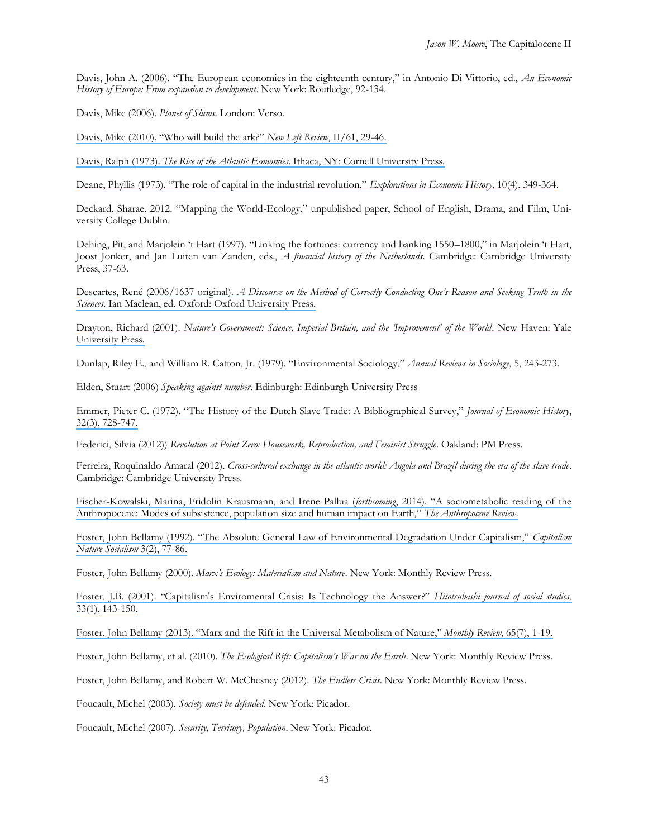Davis, John A. (2006). "The European economies in the eighteenth century," in Antonio Di Vittorio, ed., *An Economic History of Europe: From expansion to development*. New York: Routledge, 92-134.

Davis, Mike (2006). *Planet of Slums*. London: Verso.

[Davis, Mike \(2010\). "Who will build the ark?"](https://www.researchgate.net/publication/289177162_Who_will_build_the_ark?el=1_x_8&enrichId=rgreq-46f53ebb51901b2260ca349cb2451b6c-XXX&enrichSource=Y292ZXJQYWdlOzI2NDQ1NzI4MTtBUzoxMjY1NDMxNjY3MDk3NjBAMTQwNzE4MTY1MDM3NA==) *New Left Review*, II/61, 29-46.

Davis, Ralph (1973). *The Rise of the Atlantic Economies*[. Ithaca, NY: Cornell University Press.](https://www.researchgate.net/publication/270437227_The_Rise_of_the_Atlantic_Economies?el=1_x_8&enrichId=rgreq-46f53ebb51901b2260ca349cb2451b6c-XXX&enrichSource=Y292ZXJQYWdlOzI2NDQ1NzI4MTtBUzoxMjY1NDMxNjY3MDk3NjBAMTQwNzE4MTY1MDM3NA==)

[Deane, Phyllis \(1973\). "The role of capital in the industrial revolution,"](https://www.researchgate.net/publication/null?el=1_x_8&enrichId=rgreq-46f53ebb51901b2260ca349cb2451b6c-XXX&enrichSource=Y292ZXJQYWdlOzI2NDQ1NzI4MTtBUzoxMjY1NDMxNjY3MDk3NjBAMTQwNzE4MTY1MDM3NA==) *Explorations in Economic History*, 10(4), 349-364.

Deckard, Sharae. 2012. "Mapping the World-Ecology," unpublished paper, School of English, Drama, and Film, University College Dublin.

Dehing, Pit, and Marjolein 't Hart (1997). "Linking the fortunes: currency and banking 1550–1800," in Marjolein 't Hart, Joost Jonker, and Jan Luiten van Zanden, eds., *A financial history of the Netherlands*. Cambridge: Cambridge University Press, 37-63.

Descartes, René (2006/1637 original). *[A Discourse on the Method of Correctly Conducting](https://www.researchgate.net/publication/null?el=1_x_8&enrichId=rgreq-46f53ebb51901b2260ca349cb2451b6c-XXX&enrichSource=Y292ZXJQYWdlOzI2NDQ1NzI4MTtBUzoxMjY1NDMxNjY3MDk3NjBAMTQwNzE4MTY1MDM3NA==) One's Reason and Seeking Truth in the Sciences*[. Ian Maclean, ed. Oxford: Oxford University Press.](https://www.researchgate.net/publication/null?el=1_x_8&enrichId=rgreq-46f53ebb51901b2260ca349cb2451b6c-XXX&enrichSource=Y292ZXJQYWdlOzI2NDQ1NzI4MTtBUzoxMjY1NDMxNjY3MDk3NjBAMTQwNzE4MTY1MDM3NA==)

Drayton, Richard (2001). *[Nature's Government: Science, Imperial Britain, and the 'Improvement' of the World](https://www.researchgate.net/publication/270326615_Nature)*. New Haven: Yale [University Press.](https://www.researchgate.net/publication/270326615_Nature)

Dunlap, Riley E., and William R. Catton, Jr. (1979). "Environmental Sociology," *Annual Reviews in Sociology*, 5, 243-273.

Elden, Stuart (2006) *Speaking against number*. Edinburgh: Edinburgh University Press

[Emmer, Pieter C. \(1972\). "The History of the Dutch Slave Trade: A Bibliographical Survey,"](https://www.researchgate.net/publication/227398144_The_History_of_the_Dutch_Slave_Trade_A_Bibliographical_Survey?el=1_x_8&enrichId=rgreq-46f53ebb51901b2260ca349cb2451b6c-XXX&enrichSource=Y292ZXJQYWdlOzI2NDQ1NzI4MTtBUzoxMjY1NDMxNjY3MDk3NjBAMTQwNzE4MTY1MDM3NA==) *Journal of Economic History*, [32\(3\), 728-747.](https://www.researchgate.net/publication/227398144_The_History_of_the_Dutch_Slave_Trade_A_Bibliographical_Survey?el=1_x_8&enrichId=rgreq-46f53ebb51901b2260ca349cb2451b6c-XXX&enrichSource=Y292ZXJQYWdlOzI2NDQ1NzI4MTtBUzoxMjY1NDMxNjY3MDk3NjBAMTQwNzE4MTY1MDM3NA==)

Federici, Silvia (2012)) *Revolution at Point Zero: Housework, Reproduction, and Feminist Struggle*. Oakland: PM Press.

Ferreira, Roquinaldo Amaral (2012). *Cross-cultural exchange in the atlantic world: Angola and Brazil during the era of the slave trade*. Cambridge: Cambridge University Press.

[Fischer-Kowalski, Marina, Fridolin Krausmann, and Irene Pallua \(](https://www.researchgate.net/publication/260367992_A_sociometabolic_reading_of_the_Anthropocene_Modes_of_subsistence_population_size_and_human_impact_on_Earth?el=1_x_8&enrichId=rgreq-46f53ebb51901b2260ca349cb2451b6c-XXX&enrichSource=Y292ZXJQYWdlOzI2NDQ1NzI4MTtBUzoxMjY1NDMxNjY3MDk3NjBAMTQwNzE4MTY1MDM3NA==)*forthcoming*, 2014). "A sociometabolic reading of the Anthropocene: Modes of subsistence, pop[ulation size and human impact on Earth,"](https://www.researchgate.net/publication/260367992_A_sociometabolic_reading_of_the_Anthropocene_Modes_of_subsistence_population_size_and_human_impact_on_Earth?el=1_x_8&enrichId=rgreq-46f53ebb51901b2260ca349cb2451b6c-XXX&enrichSource=Y292ZXJQYWdlOzI2NDQ1NzI4MTtBUzoxMjY1NDMxNjY3MDk3NjBAMTQwNzE4MTY1MDM3NA==) *The Anthropocene Review*.

Foster, J[ohn Bellamy \(1992\). "The Absolute General Law of Environmental Degradation Under Capitalism,"](https://www.researchgate.net/publication/249018531_The_Absolute_General_Law_of_Environmental_Degradation_Under_Capitalism?el=1_x_8&enrichId=rgreq-46f53ebb51901b2260ca349cb2451b6c-XXX&enrichSource=Y292ZXJQYWdlOzI2NDQ1NzI4MTtBUzoxMjY1NDMxNjY3MDk3NjBAMTQwNzE4MTY1MDM3NA==) *Capitalism [Nature Socialism](https://www.researchgate.net/publication/249018531_The_Absolute_General_Law_of_Environmental_Degradation_Under_Capitalism?el=1_x_8&enrichId=rgreq-46f53ebb51901b2260ca349cb2451b6c-XXX&enrichSource=Y292ZXJQYWdlOzI2NDQ1NzI4MTtBUzoxMjY1NDMxNjY3MDk3NjBAMTQwNzE4MTY1MDM3NA==)* 3(2), 77-86.

Foster, John Bellamy (2000). *Marx's Ecology: Materialism and Nature*[. New York: Monthly Review Press.](https://www.researchgate.net/publication/null?el=1_x_8&enrichId=rgreq-46f53ebb51901b2260ca349cb2451b6c-XXX&enrichSource=Y292ZXJQYWdlOzI2NDQ1NzI4MTtBUzoxMjY1NDMxNjY3MDk3NjBAMTQwNzE4MTY1MDM3NA==)

Foster, J.B. [\(2001\). "Capitalism's Enviromental Crisis: Is Technology the Answer?"](https://www.researchgate.net/publication/275600116_Capitalism) *Hitotsubashi journal of social studies*, [33\(1\), 143-150.](https://www.researchgate.net/publication/275600116_Capitalism)

[Foster, John Bellamy \(2013\). "Marx and the Rift in the Uni](https://www.researchgate.net/publication/271215967_Marx_and_the_Rift_in_the_Universal_Metabolism_of_Nature?el=1_x_8&enrichId=rgreq-46f53ebb51901b2260ca349cb2451b6c-XXX&enrichSource=Y292ZXJQYWdlOzI2NDQ1NzI4MTtBUzoxMjY1NDMxNjY3MDk3NjBAMTQwNzE4MTY1MDM3NA==)versal Metabolism of Nature," *Monthly Review*, 65(7), 1-19.

Foster, John Bellamy, et al. (2010). *The Ecological Rift: Capitalism's War on the Earth*. New York: Monthly Review Press.

Foster, John Bellamy, and Robert W. McChesney (2012). *The Endless Crisis*. New York: Monthly Review Press.

Foucault, Michel (2003). *Society must be defended*. New York: Picador.

Foucault, Michel (2007). *Security, Territory, Population*. New York: Picador.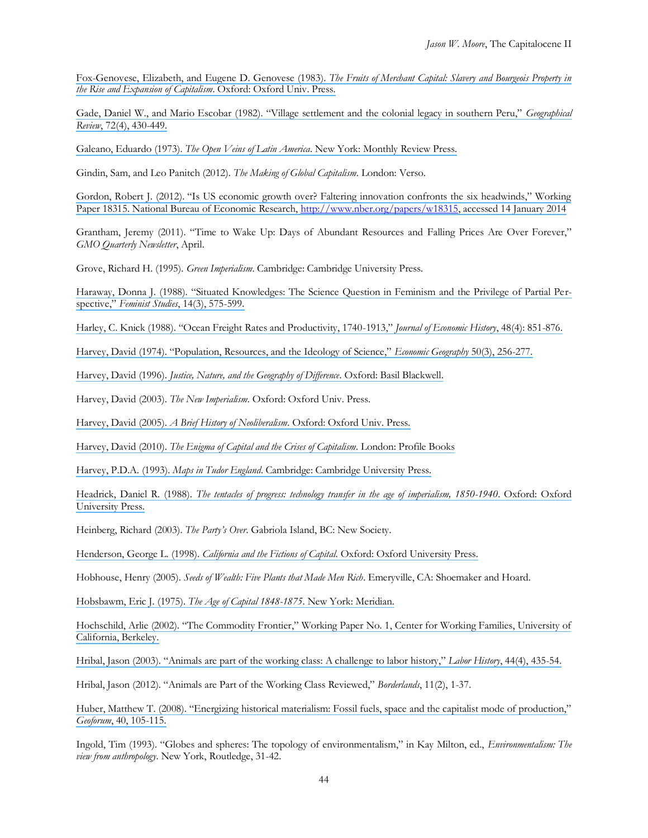[Fox-Genovese, Elizabeth, and Eugene D. Genovese \(1983\).](https://www.researchgate.net/publication/269953051_Fruits_of_Merchant_Capital_Slavery_and_Bourgeois_Property_Relations_in_the_Rise_and_Expansion_of_Capitalism?el=1_x_8&enrichId=rgreq-46f53ebb51901b2260ca349cb2451b6c-XXX&enrichSource=Y292ZXJQYWdlOzI2NDQ1NzI4MTtBUzoxMjY1NDMxNjY3MDk3NjBAMTQwNzE4MTY1MDM3NA==) *The Fruits of Merchant Capital: Slavery and Bourgeois Property in [the Rise and Expansion of Capitalism](https://www.researchgate.net/publication/269953051_Fruits_of_Merchant_Capital_Slavery_and_Bourgeois_Property_Relations_in_the_Rise_and_Expansion_of_Capitalism?el=1_x_8&enrichId=rgreq-46f53ebb51901b2260ca349cb2451b6c-XXX&enrichSource=Y292ZXJQYWdlOzI2NDQ1NzI4MTtBUzoxMjY1NDMxNjY3MDk3NjBAMTQwNzE4MTY1MDM3NA==)*. Oxford: Oxford Univ. Press.

[Gade, Daniel W., and Mario Escobar \(1982\). "Village settlement and the colonial legacy in southern Peru,"](https://www.researchgate.net/publication/273241796_Village_Settlement_and_the_Colonial_Legacy_in_Southern_Peru?el=1_x_8&enrichId=rgreq-46f53ebb51901b2260ca349cb2451b6c-XXX&enrichSource=Y292ZXJQYWdlOzI2NDQ1NzI4MTtBUzoxMjY1NDMxNjY3MDk3NjBAMTQwNzE4MTY1MDM3NA==) *Geographical Review*[, 72\(4\), 430-449.](https://www.researchgate.net/publication/273241796_Village_Settlement_and_the_Colonial_Legacy_in_Southern_Peru?el=1_x_8&enrichId=rgreq-46f53ebb51901b2260ca349cb2451b6c-XXX&enrichSource=Y292ZXJQYWdlOzI2NDQ1NzI4MTtBUzoxMjY1NDMxNjY3MDk3NjBAMTQwNzE4MTY1MDM3NA==)

Galeano, Eduardo (1973). *The Open Veins of Latin America*[. New York: Monthly Review Press.](https://www.researchgate.net/publication/274285315_Open_Veins_of_Latin_America?el=1_x_8&enrichId=rgreq-46f53ebb51901b2260ca349cb2451b6c-XXX&enrichSource=Y292ZXJQYWdlOzI2NDQ1NzI4MTtBUzoxMjY1NDMxNjY3MDk3NjBAMTQwNzE4MTY1MDM3NA==)

Gindin, Sam, and Leo Panitch (2012). *The Making of Global Capitalism*. London: Verso.

Gordon, Robert J. (2012). ["Is US economic growth over? Faltering innovation confronts the six headwinds," Working](https://www.researchgate.net/publication/254435372_Is_US_Economic_Growth_Over_Faltering_Innovation_Confronts_The_Six_Headwinds?el=1_x_8&enrichId=rgreq-46f53ebb51901b2260ca349cb2451b6c-XXX&enrichSource=Y292ZXJQYWdlOzI2NDQ1NzI4MTtBUzoxMjY1NDMxNjY3MDk3NjBAMTQwNzE4MTY1MDM3NA==)  [Paper 18315. National Bureau of Economic Research,](https://www.researchgate.net/publication/254435372_Is_US_Economic_Growth_Over_Faltering_Innovation_Confronts_The_Six_Headwinds?el=1_x_8&enrichId=rgreq-46f53ebb51901b2260ca349cb2451b6c-XXX&enrichSource=Y292ZXJQYWdlOzI2NDQ1NzI4MTtBUzoxMjY1NDMxNjY3MDk3NjBAMTQwNzE4MTY1MDM3NA==) <http://www.nber.org/papers/w18315>[, accessed 14 January 2014](https://www.researchgate.net/publication/254435372_Is_US_Economic_Growth_Over_Faltering_Innovation_Confronts_The_Six_Headwinds?el=1_x_8&enrichId=rgreq-46f53ebb51901b2260ca349cb2451b6c-XXX&enrichSource=Y292ZXJQYWdlOzI2NDQ1NzI4MTtBUzoxMjY1NDMxNjY3MDk3NjBAMTQwNzE4MTY1MDM3NA==)

Grantham, Jeremy (2011). "Time to Wake Up: Days of Abundant Resources and Falling Prices Are Over Forever," *GMO Quarterly Newsletter*, April.

Grove, Richard H. (1995). *Green Imperialism*. Cambridge: Cambridge University Press.

Haraway, Donna J. (1988). ["Situated Knowledges: The Science Question in Feminism and the Privilege of Partial Pe](https://www.researchgate.net/publication/240916911_Situated_Knowledges_The_Science_Question_in_Feminism_and_The_Privilege_of_Partial_Perspective?el=1_x_8&enrichId=rgreq-46f53ebb51901b2260ca349cb2451b6c-XXX&enrichSource=Y292ZXJQYWdlOzI2NDQ1NzI4MTtBUzoxMjY1NDMxNjY3MDk3NjBAMTQwNzE4MTY1MDM3NA==)rspective," *Feminist Studies*[, 14\(3\), 575-599.](https://www.researchgate.net/publication/240916911_Situated_Knowledges_The_Science_Question_in_Feminism_and_The_Privilege_of_Partial_Perspective?el=1_x_8&enrichId=rgreq-46f53ebb51901b2260ca349cb2451b6c-XXX&enrichSource=Y292ZXJQYWdlOzI2NDQ1NzI4MTtBUzoxMjY1NDMxNjY3MDk3NjBAMTQwNzE4MTY1MDM3NA==)

[Harley, C. Knick \(1988\). "Ocean Freight Rates and Productivity, 1740](https://www.researchgate.net/publication/240143960_Ocean_Freight_Rates_and_Productivity_1740-1913?el=1_x_8&enrichId=rgreq-46f53ebb51901b2260ca349cb2451b6c-XXX&enrichSource=Y292ZXJQYWdlOzI2NDQ1NzI4MTtBUzoxMjY1NDMxNjY3MDk3NjBAMTQwNzE4MTY1MDM3NA==)-1913," *Journal of Economic History*, 48(4): 851-876.

H[arvey, David \(1974\). "Population, Resources, and the Ideology of Science,"](https://www.researchgate.net/publication/275937664_Population_Resources_and_the_Ideology_Of_Science?el=1_x_8&enrichId=rgreq-46f53ebb51901b2260ca349cb2451b6c-XXX&enrichSource=Y292ZXJQYWdlOzI2NDQ1NzI4MTtBUzoxMjY1NDMxNjY3MDk3NjBAMTQwNzE4MTY1MDM3NA==) *Economic Geography* 50(3), 256-277.

Harvey, David (1996). *[Justice, Nature, and the Geography of Difference](https://www.researchgate.net/publication/235674372_Justice_Nature_The_Geography_of_Difference?el=1_x_8&enrichId=rgreq-46f53ebb51901b2260ca349cb2451b6c-XXX&enrichSource=Y292ZXJQYWdlOzI2NDQ1NzI4MTtBUzoxMjY1NDMxNjY3MDk3NjBAMTQwNzE4MTY1MDM3NA==)*. Oxford: Basil Blackwell.

Harvey, David (2003). *The New Imperialism*. Oxford: Oxford Univ. Press.

Harvey, David (2005). *A Brief History of Neoliberalism*[. Oxford: Oxford Univ. Press.](https://www.researchgate.net/publication/null?el=1_x_8&enrichId=rgreq-46f53ebb51901b2260ca349cb2451b6c-XXX&enrichSource=Y292ZXJQYWdlOzI2NDQ1NzI4MTtBUzoxMjY1NDMxNjY3MDk3NjBAMTQwNzE4MTY1MDM3NA==)

Harvey, David (2010). *[The Enigma of Capital and the Crises of Capitalism](https://www.researchgate.net/publication/null?el=1_x_8&enrichId=rgreq-46f53ebb51901b2260ca349cb2451b6c-XXX&enrichSource=Y292ZXJQYWdlOzI2NDQ1NzI4MTtBUzoxMjY1NDMxNjY3MDk3NjBAMTQwNzE4MTY1MDM3NA==)*. London: Profile Books

Harvey, P.D.A. (1993). *Maps in Tudor England*[. Cambridge: Cambridge University Press.](https://www.researchgate.net/publication/274793211_Maps_in_Tudor_England?el=1_x_8&enrichId=rgreq-46f53ebb51901b2260ca349cb2451b6c-XXX&enrichSource=Y292ZXJQYWdlOzI2NDQ1NzI4MTtBUzoxMjY1NDMxNjY3MDk3NjBAMTQwNzE4MTY1MDM3NA==)

Headrick, Daniel R. (1988). *[The tentacles of progress: technology transfer in the age of imperialism, 1850-1940](https://www.researchgate.net/publication/238354504_The_Tentacles_of_Progress_Technology_Transfer_in_the_Age_of_Imperialism?el=1_x_8&enrichId=rgreq-46f53ebb51901b2260ca349cb2451b6c-XXX&enrichSource=Y292ZXJQYWdlOzI2NDQ1NzI4MTtBUzoxMjY1NDMxNjY3MDk3NjBAMTQwNzE4MTY1MDM3NA==)*. Oxford: Oxford [University Press.](https://www.researchgate.net/publication/238354504_The_Tentacles_of_Progress_Technology_Transfer_in_the_Age_of_Imperialism?el=1_x_8&enrichId=rgreq-46f53ebb51901b2260ca349cb2451b6c-XXX&enrichSource=Y292ZXJQYWdlOzI2NDQ1NzI4MTtBUzoxMjY1NDMxNjY3MDk3NjBAMTQwNzE4MTY1MDM3NA==) 

Heinberg, Richard (2003). *The Party's Over*. Gabriola Island, BC: New Society.

Henderson, George L. (1998). *California and the Fictions of Capital*[. Oxford: Oxford University Press.](https://www.researchgate.net/publication/274851215_California_the_Fictions_of_Capital?el=1_x_8&enrichId=rgreq-46f53ebb51901b2260ca349cb2451b6c-XXX&enrichSource=Y292ZXJQYWdlOzI2NDQ1NzI4MTtBUzoxMjY1NDMxNjY3MDk3NjBAMTQwNzE4MTY1MDM3NA==)

Hobhouse, Henry (2005). *Seeds of Wealth: Five Plants that Made Men Rich*. Emeryville, CA: Shoemaker and Hoard.

Hobsbawm, Eric J. (1975). *[The Age of Capital 1848-1875](https://www.researchgate.net/publication/null?el=1_x_8&enrichId=rgreq-46f53ebb51901b2260ca349cb2451b6c-XXX&enrichSource=Y292ZXJQYWdlOzI2NDQ1NzI4MTtBUzoxMjY1NDMxNjY3MDk3NjBAMTQwNzE4MTY1MDM3NA==)*. New York: Meridian.

Hochschild, Arlie (2002). "The Commodity Frontier," [Working Paper No. 1, Center for Working Families, University of](https://www.researchgate.net/publication/null?el=1_x_8&enrichId=rgreq-46f53ebb51901b2260ca349cb2451b6c-XXX&enrichSource=Y292ZXJQYWdlOzI2NDQ1NzI4MTtBUzoxMjY1NDMxNjY3MDk3NjBAMTQwNzE4MTY1MDM3NA==)  [California, Berkeley.](https://www.researchgate.net/publication/null?el=1_x_8&enrichId=rgreq-46f53ebb51901b2260ca349cb2451b6c-XXX&enrichSource=Y292ZXJQYWdlOzI2NDQ1NzI4MTtBUzoxMjY1NDMxNjY3MDk3NjBAMTQwNzE4MTY1MDM3NA==)

Hribal, Jason (2003). ["Animals are part of the working class: A challenge to labor history,"](https://www.researchgate.net/publication/237316225_Animals_are_Part_of_the_Working_Class_A_Challenge_to_Labor_History?el=1_x_8&enrichId=rgreq-46f53ebb51901b2260ca349cb2451b6c-XXX&enrichSource=Y292ZXJQYWdlOzI2NDQ1NzI4MTtBUzoxMjY1NDMxNjY3MDk3NjBAMTQwNzE4MTY1MDM3NA==) *Labor History*, 44(4), 435-54.

Hribal, Jason (2012). "Animals are Part of the Working Class Reviewed," *Borderlands*, 11(2), 1-37.

[Huber, Matthew T. \(2008\). "Energizing historical materialism: Fossil fuels, space and the capitalist mode of production,"](https://www.researchgate.net/publication/248434116_Energizing_Historical_Materialism_Fossil_Fuels_Space_and_the_Capitalist_Mode_of_Production?el=1_x_8&enrichId=rgreq-46f53ebb51901b2260ca349cb2451b6c-XXX&enrichSource=Y292ZXJQYWdlOzI2NDQ1NzI4MTtBUzoxMjY1NDMxNjY3MDk3NjBAMTQwNzE4MTY1MDM3NA==) *Geoforum*[, 40, 105-115.](https://www.researchgate.net/publication/248434116_Energizing_Historical_Materialism_Fossil_Fuels_Space_and_the_Capitalist_Mode_of_Production?el=1_x_8&enrichId=rgreq-46f53ebb51901b2260ca349cb2451b6c-XXX&enrichSource=Y292ZXJQYWdlOzI2NDQ1NzI4MTtBUzoxMjY1NDMxNjY3MDk3NjBAMTQwNzE4MTY1MDM3NA==)

Ingold, Tim (1993). "Globes and spheres: The topology of environmentalism," in Kay Milton, ed., *Environmentalism: The view from anthropology*. New York, Routledge, 31-42.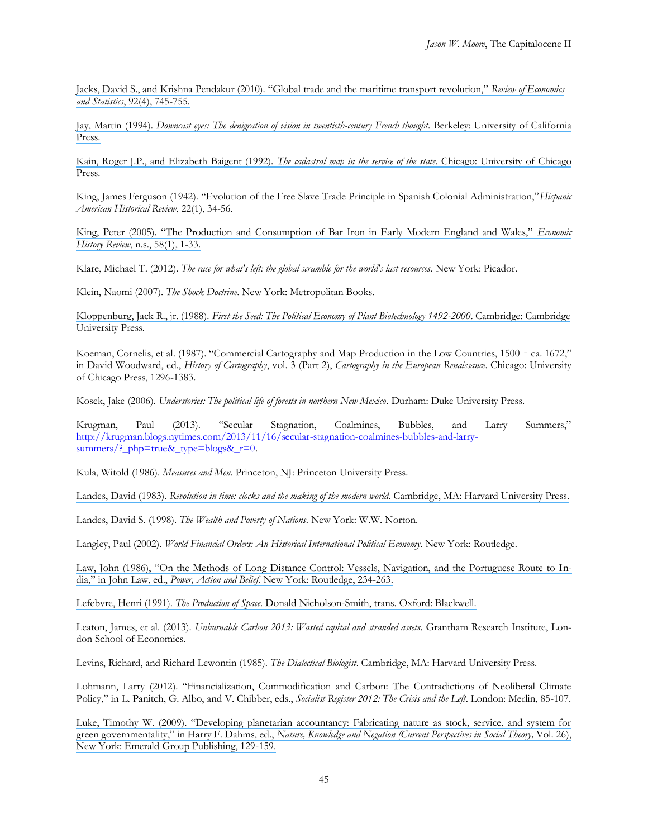[Jacks, David S., and Krishna Pendakur \(2010\). "Global trade and the maritime transport revolution,"](https://www.researchgate.net/publication/null?el=1_x_8&enrichId=rgreq-46f53ebb51901b2260ca349cb2451b6c-XXX&enrichSource=Y292ZXJQYWdlOzI2NDQ1NzI4MTtBUzoxMjY1NDMxNjY3MDk3NjBAMTQwNzE4MTY1MDM3NA==) *Review of Economics and Statistics*, [92\(4\), 745-755.](https://www.researchgate.net/publication/null?el=1_x_8&enrichId=rgreq-46f53ebb51901b2260ca349cb2451b6c-XXX&enrichSource=Y292ZXJQYWdlOzI2NDQ1NzI4MTtBUzoxMjY1NDMxNjY3MDk3NjBAMTQwNzE4MTY1MDM3NA==)

Jay, Martin (1994). *[Downcast eyes: The denigration of vision in twentieth-century French thought](https://www.researchgate.net/publication/235674224_Downcast_Eyes_The_Denigration_of_Vision_in_Twentieth-Century_French_Thought?el=1_x_8&enrichId=rgreq-46f53ebb51901b2260ca349cb2451b6c-XXX&enrichSource=Y292ZXJQYWdlOzI2NDQ1NzI4MTtBUzoxMjY1NDMxNjY3MDk3NjBAMTQwNzE4MTY1MDM3NA==)*. Berkeley: University of California [Press.](https://www.researchgate.net/publication/235674224_Downcast_Eyes_The_Denigration_of_Vision_in_Twentieth-Century_French_Thought?el=1_x_8&enrichId=rgreq-46f53ebb51901b2260ca349cb2451b6c-XXX&enrichSource=Y292ZXJQYWdlOzI2NDQ1NzI4MTtBUzoxMjY1NDMxNjY3MDk3NjBAMTQwNzE4MTY1MDM3NA==)

[Kain, Roger J.P., and Elizabeth Baigent \(1992\).](https://www.researchgate.net/publication/247799135_The_Cadastral_Map_in_the_Service_of_the_State?el=1_x_8&enrichId=rgreq-46f53ebb51901b2260ca349cb2451b6c-XXX&enrichSource=Y292ZXJQYWdlOzI2NDQ1NzI4MTtBUzoxMjY1NDMxNjY3MDk3NjBAMTQwNzE4MTY1MDM3NA==) *The cadastral map in the service of the state*. Chicago: University of Chicago [Press.](https://www.researchgate.net/publication/247799135_The_Cadastral_Map_in_the_Service_of_the_State?el=1_x_8&enrichId=rgreq-46f53ebb51901b2260ca349cb2451b6c-XXX&enrichSource=Y292ZXJQYWdlOzI2NDQ1NzI4MTtBUzoxMjY1NDMxNjY3MDk3NjBAMTQwNzE4MTY1MDM3NA==)

King, James Ferguson (1942). "Evolution of the Free Slave Trade Principle in Spanish Colonial Administration,"*Hispanic American Historical Review*, 22(1), 34-56.

[King, Peter \(2005\). "The Production and Consumption of Bar Iron in Early Modern England and Wales,"](https://www.researchgate.net/publication/null?el=1_x_8&enrichId=rgreq-46f53ebb51901b2260ca349cb2451b6c-XXX&enrichSource=Y292ZXJQYWdlOzI2NDQ1NzI4MTtBUzoxMjY1NDMxNjY3MDk3NjBAMTQwNzE4MTY1MDM3NA==) *Economic History Review*[, n.s., 58\(1\), 1-33.](https://www.researchgate.net/publication/null?el=1_x_8&enrichId=rgreq-46f53ebb51901b2260ca349cb2451b6c-XXX&enrichSource=Y292ZXJQYWdlOzI2NDQ1NzI4MTtBUzoxMjY1NDMxNjY3MDk3NjBAMTQwNzE4MTY1MDM3NA==)

Klare, Michael T. (2012). *The race for what's left: the global scramble for the world's last resources*. New York: Picador.

Klein, Naomi (2007). *The Shock Doctrine*. New York: Metropolitan Books.

Kloppenburg, Jack R., jr. (1988). *[First the Seed: The Political Economy of Plant Biotechnology 1492-2000](https://www.researchgate.net/publication/270009520_First_the_Seed_The_Political_Economy_of_Plant_Biotechnology_1492-2000?el=1_x_8&enrichId=rgreq-46f53ebb51901b2260ca349cb2451b6c-XXX&enrichSource=Y292ZXJQYWdlOzI2NDQ1NzI4MTtBUzoxMjY1NDMxNjY3MDk3NjBAMTQwNzE4MTY1MDM3NA==)*. Cambridge: Cambridge [University Press.](https://www.researchgate.net/publication/270009520_First_the_Seed_The_Political_Economy_of_Plant_Biotechnology_1492-2000?el=1_x_8&enrichId=rgreq-46f53ebb51901b2260ca349cb2451b6c-XXX&enrichSource=Y292ZXJQYWdlOzI2NDQ1NzI4MTtBUzoxMjY1NDMxNjY3MDk3NjBAMTQwNzE4MTY1MDM3NA==) 

Koeman, Cornelis, et al. (1987). "Commercial Cartography and Map Production in the Low Countries, 1500 – ca. 1672," in David Woodward, ed., *History of Cartography*, vol. 3 (Part 2), *Cartography in the European Renaissance*. Chicago: University of Chicago Press, 1296-1383.

Kosek, Jake (2006). *[Understories: The political life of forests in northern New Mexico](https://www.researchgate.net/publication/null?el=1_x_8&enrichId=rgreq-46f53ebb51901b2260ca349cb2451b6c-XXX&enrichSource=Y292ZXJQYWdlOzI2NDQ1NzI4MTtBUzoxMjY1NDMxNjY3MDk3NjBAMTQwNzE4MTY1MDM3NA==)*. Durham: Duke University Press.

Krugman, Paul (2013). "Secular Stagnation, Coalmines, Bubbles, and Larry Summers," [http://krugman.blogs.nytimes.com/2013/11/16/secular-stagnation-coalmines-bubbles-and-larry](http://krugman.blogs.nytimes.com/2013/11/16/secular-stagnation-coalmines-bubbles-and-larry-summers/?_php=true&_type=blogs&_r=0)summers/?  $php = true$ & type=blogs& $r=0$ .

Kula, Witold (1986). *Measures and Men*. Princeton, NJ: Princeton University Press.

Landes, David (1983). *[Revolution in time: clocks and the making of the modern world](https://www.researchgate.net/publication/259256977_Revolution_in_Time_Clocks_and_the_Making_of_the_Modern_World?el=1_x_8&enrichId=rgreq-46f53ebb51901b2260ca349cb2451b6c-XXX&enrichSource=Y292ZXJQYWdlOzI2NDQ1NzI4MTtBUzoxMjY1NDMxNjY3MDk3NjBAMTQwNzE4MTY1MDM3NA==)*. Cambridge, MA: Harvard University Press.

Landes, David S. (1998). *[The Wealth and Poverty of Nations](https://www.researchgate.net/publication/null?el=1_x_8&enrichId=rgreq-46f53ebb51901b2260ca349cb2451b6c-XXX&enrichSource=Y292ZXJQYWdlOzI2NDQ1NzI4MTtBUzoxMjY1NDMxNjY3MDk3NjBAMTQwNzE4MTY1MDM3NA==)*. New York: W.W. Norton.

Langley, Paul (2002). *[World Financial Orders: An Historical International Political Economy](https://www.researchgate.net/publication/null?el=1_x_8&enrichId=rgreq-46f53ebb51901b2260ca349cb2451b6c-XXX&enrichSource=Y292ZXJQYWdlOzI2NDQ1NzI4MTtBUzoxMjY1NDMxNjY3MDk3NjBAMTQwNzE4MTY1MDM3NA==)*. New York: Routledge.

[Law, John \(1986\), "On the Methods of Long Distance Control: Vessels, Navigation, and the Portuguese Route to I](https://www.researchgate.net/publication/251831833_On_the_Methods_of_Long_Distance_Control_Vessels_Navigation_and_the_Portuguese_Route_to_India?el=1_x_8&enrichId=rgreq-46f53ebb51901b2260ca349cb2451b6c-XXX&enrichSource=Y292ZXJQYWdlOzI2NDQ1NzI4MTtBUzoxMjY1NDMxNjY3MDk3NjBAMTQwNzE4MTY1MDM3NA==)ndia," in John Law, ed., *Power, Action and Belief.* [New York: Routledge, 234-263.](https://www.researchgate.net/publication/251831833_On_the_Methods_of_Long_Distance_Control_Vessels_Navigation_and_the_Portuguese_Route_to_India?el=1_x_8&enrichId=rgreq-46f53ebb51901b2260ca349cb2451b6c-XXX&enrichSource=Y292ZXJQYWdlOzI2NDQ1NzI4MTtBUzoxMjY1NDMxNjY3MDk3NjBAMTQwNzE4MTY1MDM3NA==)

Lefebvre, Henri (1991). *The Production of Space*[. Donald Nicholson-Smith, trans. Oxford: Blackwell.](https://www.researchgate.net/publication/235358791_The_Production_of_Space?el=1_x_8&enrichId=rgreq-46f53ebb51901b2260ca349cb2451b6c-XXX&enrichSource=Y292ZXJQYWdlOzI2NDQ1NzI4MTtBUzoxMjY1NDMxNjY3MDk3NjBAMTQwNzE4MTY1MDM3NA==)

Leaton, James, et al. (2013). *Unburnable Carbon 2013: Wasted capital and stranded assets*. Grantham Research Institute, London School of Economics.

[Levins, Richard, and Richard Lewontin \(1985\).](https://www.researchgate.net/publication/270404098_The_Dialectial_Biologist?el=1_x_8&enrichId=rgreq-46f53ebb51901b2260ca349cb2451b6c-XXX&enrichSource=Y292ZXJQYWdlOzI2NDQ1NzI4MTtBUzoxMjY1NDMxNjY3MDk3NjBAMTQwNzE4MTY1MDM3NA==) *The Dialectical Biologist*. Cambridge, MA: Harvard University Press.

Lohmann, Larry (2012). "Financialization, Commodification and Carbon: The Contradictions of Neoliberal Climate Policy," in L. Panitch, G. Albo, and V. Chibber, eds., *Socialist Register 2012: The Crisis and the Left*. London: Merlin, 85-107.

[Luke, Timothy W. \(2009\). "Developing planetarian accountancy: Fabricating nature as stock, service, and system for](https://www.researchgate.net/publication/235315318_Developing_planetarian_accountancy_Fabricating_nature_as_stock_service_and_system_for_green_governmentality?el=1_x_8&enrichId=rgreq-46f53ebb51901b2260ca349cb2451b6c-XXX&enrichSource=Y292ZXJQYWdlOzI2NDQ1NzI4MTtBUzoxMjY1NDMxNjY3MDk3NjBAMTQwNzE4MTY1MDM3NA==)  [green governmentality," in Harry F. Dahms, ed.,](https://www.researchgate.net/publication/235315318_Developing_planetarian_accountancy_Fabricating_nature_as_stock_service_and_system_for_green_governmentality?el=1_x_8&enrichId=rgreq-46f53ebb51901b2260ca349cb2451b6c-XXX&enrichSource=Y292ZXJQYWdlOzI2NDQ1NzI4MTtBUzoxMjY1NDMxNjY3MDk3NjBAMTQwNzE4MTY1MDM3NA==) *Nature, Knowledge and Negation (Current Perspectives in Social Theory,* Vol. 26), [New York: Emerald Group Publishing, 129-159.](https://www.researchgate.net/publication/235315318_Developing_planetarian_accountancy_Fabricating_nature_as_stock_service_and_system_for_green_governmentality?el=1_x_8&enrichId=rgreq-46f53ebb51901b2260ca349cb2451b6c-XXX&enrichSource=Y292ZXJQYWdlOzI2NDQ1NzI4MTtBUzoxMjY1NDMxNjY3MDk3NjBAMTQwNzE4MTY1MDM3NA==)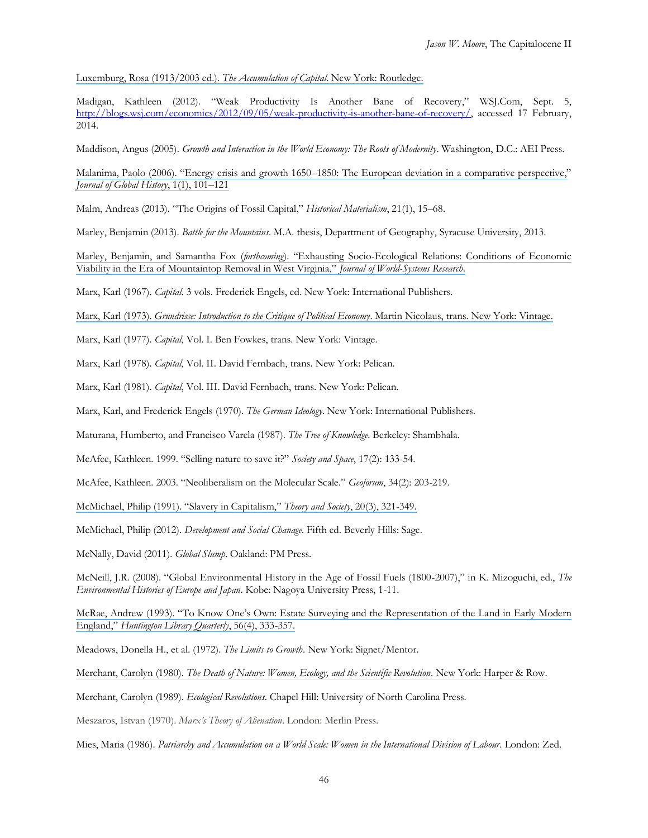[Luxemburg, Rosa \(1913/2003 ed.\).](https://www.researchgate.net/publication/null?el=1_x_8&enrichId=rgreq-46f53ebb51901b2260ca349cb2451b6c-XXX&enrichSource=Y292ZXJQYWdlOzI2NDQ1NzI4MTtBUzoxMjY1NDMxNjY3MDk3NjBAMTQwNzE4MTY1MDM3NA==) *The Accumulation of Capital*. New York: Routledge.

Madigan, Kathleen (2012). "Weak Productivity Is Another Bane of Recovery," WSJ.Com, Sept. 5, [http://blogs.wsj.com/economics/2012/09/05/weak-productivity-is-another-bane-of-recovery/,](http://blogs.wsj.com/economics/2012/09/05/weak-productivity-is-another-bane-of-recovery/) accessed 17 February, 2014.

Maddison, Angus (2005). *Growth and Interaction in the World Economy: The Roots of Modernity*. Washington, D.C.: AEI Press.

[Malanima, Paolo \(2006\). "Energy crisis and growth 1650–1850: The European deviation in a comparative perspective,"](https://www.researchgate.net/publication/null?el=1_x_8&enrichId=rgreq-46f53ebb51901b2260ca349cb2451b6c-XXX&enrichSource=Y292ZXJQYWdlOzI2NDQ1NzI4MTtBUzoxMjY1NDMxNjY3MDk3NjBAMTQwNzE4MTY1MDM3NA==) *[Journal of Global History](https://www.researchgate.net/publication/null?el=1_x_8&enrichId=rgreq-46f53ebb51901b2260ca349cb2451b6c-XXX&enrichSource=Y292ZXJQYWdlOzI2NDQ1NzI4MTtBUzoxMjY1NDMxNjY3MDk3NjBAMTQwNzE4MTY1MDM3NA==)*, 1(1), 101–121

Malm, Andreas (2013). "The Origins of Fossil Capital," *Historical Materialism*, 21(1), 15–68.

Marley, Benjamin (2013). *Battle for the Mountains*. M.A. thesis, Department of Geography, Syracuse University, 2013.

Marley, Benjamin, and Samantha Fox (*forthcoming*). "Exhausting Socio[-Ecological Relations: Conditions of Economic](https://www.researchgate.net/publication/284060699_Exhausting_socio-ecological_relations_conditions_of_economic_viability_in_the_era_of_mountaintop_removal_in_West_Virginia?el=1_x_8&enrichId=rgreq-46f53ebb51901b2260ca349cb2451b6c-XXX&enrichSource=Y292ZXJQYWdlOzI2NDQ1NzI4MTtBUzoxMjY1NDMxNjY3MDk3NjBAMTQwNzE4MTY1MDM3NA==)  [Viability in the Era of Mountaintop Removal in West Virginia,"](https://www.researchgate.net/publication/284060699_Exhausting_socio-ecological_relations_conditions_of_economic_viability_in_the_era_of_mountaintop_removal_in_West_Virginia?el=1_x_8&enrichId=rgreq-46f53ebb51901b2260ca349cb2451b6c-XXX&enrichSource=Y292ZXJQYWdlOzI2NDQ1NzI4MTtBUzoxMjY1NDMxNjY3MDk3NjBAMTQwNzE4MTY1MDM3NA==) *Journal of World-Systems Research*.

Marx, Karl (1967). *Capital*. 3 vols. Frederick Engels, ed. New York: International Publishers.

Marx, Karl (1973). *[Grundrisse: Introduction to the Critique of Political Economy](https://www.researchgate.net/publication/246348785_Grundrisse_an_outline_of_the_critique_of_political_economy?el=1_x_8&enrichId=rgreq-46f53ebb51901b2260ca349cb2451b6c-XXX&enrichSource=Y292ZXJQYWdlOzI2NDQ1NzI4MTtBUzoxMjY1NDMxNjY3MDk3NjBAMTQwNzE4MTY1MDM3NA==)*. Martin Nicolaus, trans. New York: Vintage.

Marx, Karl (1977). *Capital*, Vol. I. Ben Fowkes, trans. New York: Vintage.

Marx, Karl (1978). *Capital*, Vol. II. David Fernbach, trans. New York: Pelican.

Marx, Karl (1981). *Capital*, Vol. III. David Fernbach, trans. New York: Pelican.

Marx, Karl, and Frederick Engels (1970). *The German Ideology*. New York: International Publishers.

Maturana, Humberto, and Francisco Varela (1987). *The Tree of Knowledge*. Berkeley: Shambhala.

McAfee, Kathleen. 1999. "Selling nature to save it?" *Society and Space*, 17(2): 133-54.

McAfee, Kathleen. 2003. "Neoliberalism on the Molecular Scale." *Geoforum*, 34(2): 203-219.

McMichael, Phili[p \(1991\). "Slavery in Capitalism,"](https://www.researchgate.net/publication/null?el=1_x_8&enrichId=rgreq-46f53ebb51901b2260ca349cb2451b6c-XXX&enrichSource=Y292ZXJQYWdlOzI2NDQ1NzI4MTtBUzoxMjY1NDMxNjY3MDk3NjBAMTQwNzE4MTY1MDM3NA==) *Theory and Society*, 20(3), 321-349.

McMichael, Philip (2012). *Development and Social Chanage*. Fifth ed. Beverly Hills: Sage.

McNally, David (2011). *Global Slump*. Oakland: PM Press.

McNeill, J.R. (2008). "Global Environmental History in the Age of Fossil Fuels (1800-2007)," in K. Mizoguchi, ed., *The Environmental Histories of Europe and Japan*. Kobe: Nagoya University Press, 1-11.

[McRae, Andrew \(1993\). "To Know One's Own: Estate Surveying and the Representation of the La](https://www.researchgate.net/publication/null?el=1_x_8&enrichId=rgreq-46f53ebb51901b2260ca349cb2451b6c-XXX&enrichSource=Y292ZXJQYWdlOzI2NDQ1NzI4MTtBUzoxMjY1NDMxNjY3MDk3NjBAMTQwNzE4MTY1MDM3NA==)nd in Early Modern England," *[Huntington Library Quarterly](https://www.researchgate.net/publication/null?el=1_x_8&enrichId=rgreq-46f53ebb51901b2260ca349cb2451b6c-XXX&enrichSource=Y292ZXJQYWdlOzI2NDQ1NzI4MTtBUzoxMjY1NDMxNjY3MDk3NjBAMTQwNzE4MTY1MDM3NA==)*, 56(4), 333-357.

Meadows, Donella H., et al. (1972). *The Limits to Growth*. New York: Signet/Mentor.

Merchant, Carolyn (1980). *[The Death of Nature: Women, Ecology, and the Scientific Revolution](https://www.researchgate.net/publication/264799590_The_Death_of_Nature_Women_Ecology_and_the_Scientific_Revolution?el=1_x_8&enrichId=rgreq-46f53ebb51901b2260ca349cb2451b6c-XXX&enrichSource=Y292ZXJQYWdlOzI2NDQ1NzI4MTtBUzoxMjY1NDMxNjY3MDk3NjBAMTQwNzE4MTY1MDM3NA==)*. New York: Harper & Row.

Merchant, Carolyn (1989). *Ecological Revolutions*. Chapel Hill: University of North Carolina Press.

Meszaros, Istvan (1970). *Marx's Theory of Alienation*. London: Merlin Press.

Mies, Maria (1986). *Patriarchy and Accumulation on a World Scale: Women in the International Division of Labour*. London: Zed.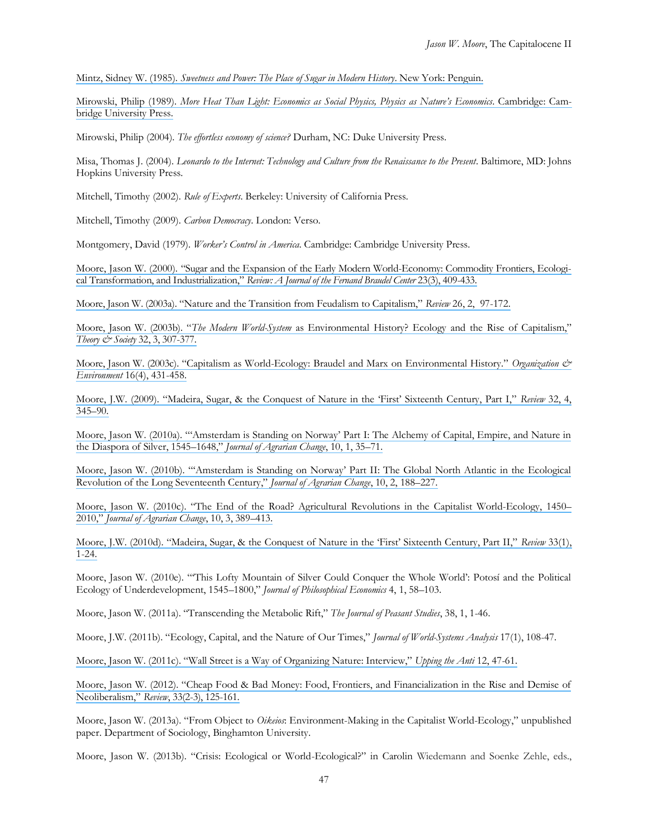Mintz, Sidney W. (1985). *[Sweetness and Power: The Place of Sugar in Modern History](https://www.researchgate.net/publication/269496229_Sweetness_and_Power_The_Place_of_Sugar_in_Modern_History?el=1_x_8&enrichId=rgreq-46f53ebb51901b2260ca349cb2451b6c-XXX&enrichSource=Y292ZXJQYWdlOzI2NDQ1NzI4MTtBUzoxMjY1NDMxNjY3MDk3NjBAMTQwNzE4MTY1MDM3NA==)*. New York: Penguin.

Mirowski, Philip (1989). *[More Heat Than Light: Economics as Social Physics, Ph](https://www.researchgate.net/publication/235361188_More_Heat_Than_Light_Economics_As_Social_Physics_Physics_As_Nature)ysics as Nature's Economics*. Cambridge: Cam[bridge University Press.](https://www.researchgate.net/publication/235361188_More_Heat_Than_Light_Economics_As_Social_Physics_Physics_As_Nature) 

Mirowski, Philip (2004). *The effortless economy of science?* Durham, NC: Duke University Press.

Misa, Thomas J. (2004). *Leonardo to the Internet: Technology and Culture from the Renaissance to the Present*. Baltimore, MD: Johns Hopkins University Press.

Mitchell, Timothy (2002). *Rule of Experts*. Berkeley: University of California Press.

Mitchell, Timothy (2009). *Carbon Democracy*. London: Verso.

Montgomery, David (1979). *Worker's Control in America*. Cambridge: Cambridge University Press.

Moore, Jason W. (2000). ["Sugar and the Expansion of the Early Modern World](https://www.researchgate.net/publication/236661518_Sugar_and_the_Expansion_of_the_Early_Modern_World-Economy_Commodity_Frontiers_Ecological_Transformation_and_Industrialization?el=1_x_8&enrichId=rgreq-46f53ebb51901b2260ca349cb2451b6c-XXX&enrichSource=Y292ZXJQYWdlOzI2NDQ1NzI4MTtBUzoxMjY1NDMxNjY3MDk3NjBAMTQwNzE4MTY1MDM3NA==)-Economy: Commodity Frontiers, Ecological Transformation, and Industrialization," *[Review: A Journal of the Fernand Braudel Center](https://www.researchgate.net/publication/236661518_Sugar_and_the_Expansion_of_the_Early_Modern_World-Economy_Commodity_Frontiers_Ecological_Transformation_and_Industrialization?el=1_x_8&enrichId=rgreq-46f53ebb51901b2260ca349cb2451b6c-XXX&enrichSource=Y292ZXJQYWdlOzI2NDQ1NzI4MTtBUzoxMjY1NDMxNjY3MDk3NjBAMTQwNzE4MTY1MDM3NA==)* 23(3), 409-433.

Moore, Jason W. (2003a). ["Nature and the Transition from Feudalism to Capitalism,"](https://www.researchgate.net/publication/236687638_Nature_and_the_Transition_from_Feudalism_to_Capitalism?el=1_x_8&enrichId=rgreq-46f53ebb51901b2260ca349cb2451b6c-XXX&enrichSource=Y292ZXJQYWdlOzI2NDQ1NzI4MTtBUzoxMjY1NDMxNjY3MDk3NjBAMTQwNzE4MTY1MDM3NA==) *Review* 26, 2, 97-172.

Moore, Jason W. (2003b). "*The Modern World-System* [as Environmental History? Ecology](https://www.researchgate.net/publication/null?el=1_x_8&enrichId=rgreq-46f53ebb51901b2260ca349cb2451b6c-XXX&enrichSource=Y292ZXJQYWdlOzI2NDQ1NzI4MTtBUzoxMjY1NDMxNjY3MDk3NjBAMTQwNzE4MTY1MDM3NA==) and the Rise of Capitalism," *[Theory & Society](https://www.researchgate.net/publication/null?el=1_x_8&enrichId=rgreq-46f53ebb51901b2260ca349cb2451b6c-XXX&enrichSource=Y292ZXJQYWdlOzI2NDQ1NzI4MTtBUzoxMjY1NDMxNjY3MDk3NjBAMTQwNzE4MTY1MDM3NA==)* 32, 3, 307-377.

Moore, Jason W. (2003c). "Capitalism as World-[Ecology: Braudel and Marx on Environmental History."](https://www.researchgate.net/publication/236661842_Capitalism_as_World-Ecology_Braudel_and_Marx_on_Environmental_History?el=1_x_8&enrichId=rgreq-46f53ebb51901b2260ca349cb2451b6c-XXX&enrichSource=Y292ZXJQYWdlOzI2NDQ1NzI4MTtBUzoxMjY1NDMxNjY3MDk3NjBAMTQwNzE4MTY1MDM3NA==) *Organization & Environment* [16\(4\), 431-458.](https://www.researchgate.net/publication/236661842_Capitalism_as_World-Ecology_Braudel_and_Marx_on_Environmental_History?el=1_x_8&enrichId=rgreq-46f53ebb51901b2260ca349cb2451b6c-XXX&enrichSource=Y292ZXJQYWdlOzI2NDQ1NzI4MTtBUzoxMjY1NDMxNjY3MDk3NjBAMTQwNzE4MTY1MDM3NA==)

Moore, J.W. (2009). "Madeira, Sugar, & [the Conquest of Nature in the 'First' Sixteenth Century, Part I,"](https://www.researchgate.net/publication/236661352_Madeira_Sugar_the_Conquest_of_Nature_in_the_) *Review* 32, 4, [345](https://www.researchgate.net/publication/236661352_Madeira_Sugar_the_Conquest_of_Nature_in_the_)–90.

[Moore, Jason W. \(2010a\). "'Amsterdam is Standing on Norway' Part I: The Alchemy of Capital, Empire, and Nature in](https://www.researchgate.net/publication/228984853_)  [the Diaspora of Silver, 1545](https://www.researchgate.net/publication/228984853_)–1648," *Journal of Agrarian Change*, 10, 1, 35–71.

[Moore, Jason W. \(2010b\). "'Amsterdam is Standing on Norway' Part II: The Global North Atlantic in the Ecological](https://www.researchgate.net/publication/227679852_Amsterdam_Is_Standing_on_Norway_Part_II_The_Global_North_Atlantic_in_the_Ecological_Revolution_of_the_Long_Seventeenth_Century?el=1_x_8&enrichId=rgreq-46f53ebb51901b2260ca349cb2451b6c-XXX&enrichSource=Y292ZXJQYWdlOzI2NDQ1NzI4MTtBUzoxMjY1NDMxNjY3MDk3NjBAMTQwNzE4MTY1MDM3NA==)  [Revolution of the Long Seventeenth Century,"](https://www.researchgate.net/publication/227679852_Amsterdam_Is_Standing_on_Norway_Part_II_The_Global_North_Atlantic_in_the_Ecological_Revolution_of_the_Long_Seventeenth_Century?el=1_x_8&enrichId=rgreq-46f53ebb51901b2260ca349cb2451b6c-XXX&enrichSource=Y292ZXJQYWdlOzI2NDQ1NzI4MTtBUzoxMjY1NDMxNjY3MDk3NjBAMTQwNzE4MTY1MDM3NA==) *Journal of Agrarian Change*, 10, 2, 188–227.

Moore, Jason W. (2010c). "[The End of the Road? Agricultural Revolutions in the Capitalist World-Ecology, 1450](https://www.researchgate.net/publication/227493884_The_End_of_the_Road_Agricultural_Revolutions_in_the_Capitalist_World-Ecology_1450-2010?el=1_x_8&enrichId=rgreq-46f53ebb51901b2260ca349cb2451b6c-XXX&enrichSource=Y292ZXJQYWdlOzI2NDQ1NzI4MTtBUzoxMjY1NDMxNjY3MDk3NjBAMTQwNzE4MTY1MDM3NA==)– 2010," *[Journal of Agrarian Change](https://www.researchgate.net/publication/227493884_The_End_of_the_Road_Agricultural_Revolutions_in_the_Capitalist_World-Ecology_1450-2010?el=1_x_8&enrichId=rgreq-46f53ebb51901b2260ca349cb2451b6c-XXX&enrichSource=Y292ZXJQYWdlOzI2NDQ1NzI4MTtBUzoxMjY1NDMxNjY3MDk3NjBAMTQwNzE4MTY1MDM3NA==)*, 10, 3, 389–413.

Moore, J.W. (2010d). ["Madeira, Sugar, & the Conquest of Nature in the 'First' Sixteenth Century, Part II,"](https://www.researchgate.net/publication/279551805_Madeira_sugar_and_the_conquest_of_nature_in_the_first_sixteenth_century_Part_II_From_regional_crisis_to_commodity_frontier_1506-1530?el=1_x_8&enrichId=rgreq-46f53ebb51901b2260ca349cb2451b6c-XXX&enrichSource=Y292ZXJQYWdlOzI2NDQ1NzI4MTtBUzoxMjY1NDMxNjY3MDk3NjBAMTQwNzE4MTY1MDM3NA==) *Review* 33(1), [1-24.](https://www.researchgate.net/publication/279551805_Madeira_sugar_and_the_conquest_of_nature_in_the_first_sixteenth_century_Part_II_From_regional_crisis_to_commodity_frontier_1506-1530?el=1_x_8&enrichId=rgreq-46f53ebb51901b2260ca349cb2451b6c-XXX&enrichSource=Y292ZXJQYWdlOzI2NDQ1NzI4MTtBUzoxMjY1NDMxNjY3MDk3NjBAMTQwNzE4MTY1MDM3NA==)

Moore, Jason W. (2010e). "'This Lofty Mountain of Silver Could Conquer the Whole World': Potosí and the Political Ecology of Underdevelopment, 1545–1800," *Journal of Philosophical Economics* 4, 1, 58–103.

Moore, Jason W. (2011a). "Transcending the Metabolic Rift," *The Journal of Peasant Studies*, 38, 1, 1-46.

Moore, J.W. (2011b). "Ecology, Capital, and the Nature of Our Times," *Journal of World-Systems Analysis* 17(1), 108-47.

Moore, Jason W. ([2011c\). "Wall Street is a Way of Organizing Nature: Interview,"](https://www.researchgate.net/publication/236661360_Wall_Street_Is_a_Way_of_Organizing_Nature_An_Interview_with_Jason_Moore?el=1_x_8&enrichId=rgreq-46f53ebb51901b2260ca349cb2451b6c-XXX&enrichSource=Y292ZXJQYWdlOzI2NDQ1NzI4MTtBUzoxMjY1NDMxNjY3MDk3NjBAMTQwNzE4MTY1MDM3NA==) *Upping the Anti* 12, 47-61.

[Moore, Jason W. \(2012\). "Cheap Food & Bad Money: Food, Frontiers, and Financialization in the Rise and Demise of](https://www.researchgate.net/publication/236660320_Cheap_Food_Bad_Money_Food_Frontiers_and_Financialization_in_the_Rise_and_Demise_of_Neoliberalism?el=1_x_8&enrichId=rgreq-46f53ebb51901b2260ca349cb2451b6c-XXX&enrichSource=Y292ZXJQYWdlOzI2NDQ1NzI4MTtBUzoxMjY1NDMxNjY3MDk3NjBAMTQwNzE4MTY1MDM3NA==) [Neoliberalism,"](https://www.researchgate.net/publication/236660320_Cheap_Food_Bad_Money_Food_Frontiers_and_Financialization_in_the_Rise_and_Demise_of_Neoliberalism?el=1_x_8&enrichId=rgreq-46f53ebb51901b2260ca349cb2451b6c-XXX&enrichSource=Y292ZXJQYWdlOzI2NDQ1NzI4MTtBUzoxMjY1NDMxNjY3MDk3NjBAMTQwNzE4MTY1MDM3NA==) *Review*, 33(2-3), 125-161.

Moore, Jason W. (2013a). "From Object to *Oikeios*: Environment-Making in the Capitalist World-Ecology," unpublished paper. Department of Sociology, Binghamton University.

Moore, Jason W. (2013b). "Crisis: Ecological or World-Ecological?" in Carolin Wiedemann and Soenke Zehle, eds.,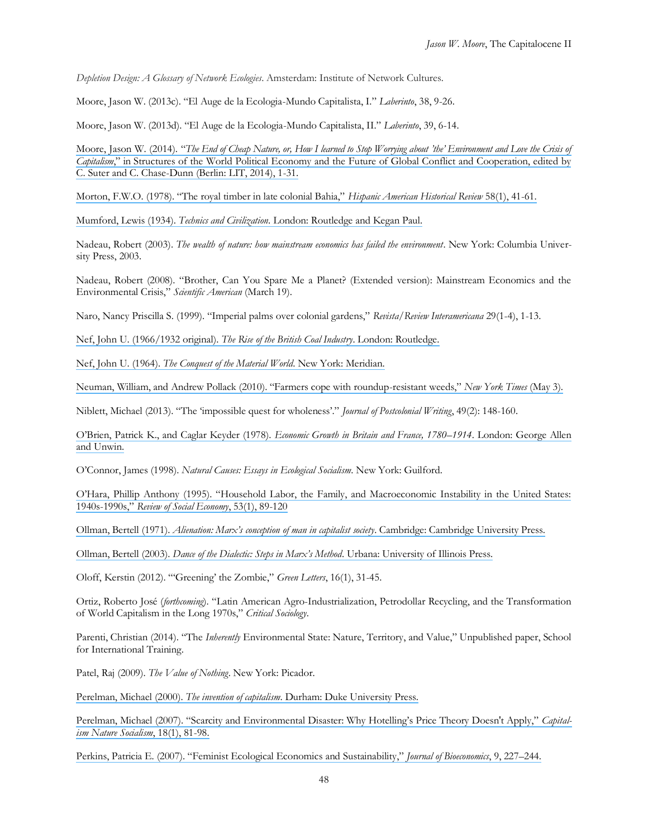*Depletion Design: A Glossary of Network Ecologies*. Amsterdam: Institute of Network Cultures.

Moore, Jason W. (2013c). "El Auge de la Ecologia-Mundo Capitalista, I." *Laberinto*, 38, 9-26.

Moore, Jason W. (2013d). "El Auge de la Ecologia-Mundo Capitalista, II." *Laberinto*, 39, 6-14.

Moore, Jason W. (2014). "*[The End of Cheap Nature, or, How I learned to Stop Worrying about 'the' Environment and Love the Crisis of](https://www.researchgate.net/publication/264707683_The_End_of_Cheap_Nature_or_How_I_Learned_to_Stop_Worrying_about_)  Capitalism*," in [Structures of the World Political Economy and the Future of Global Conflict and Cooperation, edited by](https://www.researchgate.net/publication/264707683_The_End_of_Cheap_Nature_or_How_I_Learned_to_Stop_Worrying_about_) [C. Suter and C. Chase-Dunn \(Berlin: LIT, 2014\), 1-31.](https://www.researchgate.net/publication/264707683_The_End_of_Cheap_Nature_or_How_I_Learned_to_Stop_Worrying_about_)

[Morton, F.W.O. \(1978\). "The royal timber in late colonial Bahia,"](https://www.researchgate.net/publication/291978032_The_Royal_Timber_in_Late_Colonial_Bahia?el=1_x_8&enrichId=rgreq-46f53ebb51901b2260ca349cb2451b6c-XXX&enrichSource=Y292ZXJQYWdlOzI2NDQ1NzI4MTtBUzoxMjY1NDMxNjY3MDk3NjBAMTQwNzE4MTY1MDM3NA==) *Hispanic American Historical Review* 58(1), 41-61.

Mumford, Lewis (1934). *Technics and Civilization*[. London: Routledge and Kegan Paul.](https://www.researchgate.net/publication/null?el=1_x_8&enrichId=rgreq-46f53ebb51901b2260ca349cb2451b6c-XXX&enrichSource=Y292ZXJQYWdlOzI2NDQ1NzI4MTtBUzoxMjY1NDMxNjY3MDk3NjBAMTQwNzE4MTY1MDM3NA==)

Nadeau, Robert (2003). *The wealth of nature: how mainstream economics has failed the environment*. New York: Columbia University Press, 2003.

Nadeau, Robert (2008). "Brother, Can You Spare Me a Planet? (Extended version): Mainstream Economics and the Environmental Crisis," *Scientific American* (March 19).

Naro, Nancy Priscilla S. (1999). "Imperial palms over colonial gardens," *Revista/Review Interamericana* 29(1-4), 1-13.

[Nef, John U. \(1966/1932 original\).](https://www.researchgate.net/publication/240571499_The_Rise_of_the_British_Coal_Industry?el=1_x_8&enrichId=rgreq-46f53ebb51901b2260ca349cb2451b6c-XXX&enrichSource=Y292ZXJQYWdlOzI2NDQ1NzI4MTtBUzoxMjY1NDMxNjY3MDk3NjBAMTQwNzE4MTY1MDM3NA==) *The Rise of the British Coal Industry*. London: Routledge.

Nef, John U. (1964). *[The Conquest of the Material World](https://www.researchgate.net/publication/249198297_The_Conquest_of_the_Material_World?el=1_x_8&enrichId=rgreq-46f53ebb51901b2260ca349cb2451b6c-XXX&enrichSource=Y292ZXJQYWdlOzI2NDQ1NzI4MTtBUzoxMjY1NDMxNjY3MDk3NjBAMTQwNzE4MTY1MDM3NA==)*. New York: Meridian.

[Neuman, William, and Andrew Pollack \(2010\). "Farmers cope with roundup](https://www.researchgate.net/publication/265243314_Farmers_Cope_With_Roundup-Resistant_Weeds?el=1_x_8&enrichId=rgreq-46f53ebb51901b2260ca349cb2451b6c-XXX&enrichSource=Y292ZXJQYWdlOzI2NDQ1NzI4MTtBUzoxMjY1NDMxNjY3MDk3NjBAMTQwNzE4MTY1MDM3NA==)-resistant weeds," *New York Times* (May 3).

Niblett, Michael (2013). "The 'impossible quest for wholeness'." *Journal of Postcolonial Writing*, 49(2): 148-160.

O'Brien, Patrick K., and Caglar Keyder (1978). *[Economic Growth in Britain and France, 1780](https://www.researchgate.net/publication/239957140_Economic_Growth_In_Britain_And_France?el=1_x_8&enrichId=rgreq-46f53ebb51901b2260ca349cb2451b6c-XXX&enrichSource=Y292ZXJQYWdlOzI2NDQ1NzI4MTtBUzoxMjY1NDMxNjY3MDk3NjBAMTQwNzE4MTY1MDM3NA==)–1914*. London: George Allen [and Unwin.](https://www.researchgate.net/publication/239957140_Economic_Growth_In_Britain_And_France?el=1_x_8&enrichId=rgreq-46f53ebb51901b2260ca349cb2451b6c-XXX&enrichSource=Y292ZXJQYWdlOzI2NDQ1NzI4MTtBUzoxMjY1NDMxNjY3MDk3NjBAMTQwNzE4MTY1MDM3NA==)

O'Connor, James (1998). *Natural Causes: Essays in Ecological Socialism*. New York: Guilford.

[O'Hara, Phillip Anthony \(1995\). "Household Labor, the Family, and Macroeconomic Instability in the United States:](https://www.researchgate.net/publication/null?el=1_x_8&enrichId=rgreq-46f53ebb51901b2260ca349cb2451b6c-XXX&enrichSource=Y292ZXJQYWdlOzI2NDQ1NzI4MTtBUzoxMjY1NDMxNjY3MDk3NjBAMTQwNzE4MTY1MDM3NA==)  1940s-1990s," *[Review of Social Economy](https://www.researchgate.net/publication/null?el=1_x_8&enrichId=rgreq-46f53ebb51901b2260ca349cb2451b6c-XXX&enrichSource=Y292ZXJQYWdlOzI2NDQ1NzI4MTtBUzoxMjY1NDMxNjY3MDk3NjBAMTQwNzE4MTY1MDM3NA==)*, 53(1), 89-120

Ollman, Bertell (1971). *Alienation: Marx's conception of man in capitalist society*[. Cambridge: Cambridge University Press.](https://www.researchgate.net/publication/270307773_Alienation_Marx)

Ollman, Bertell (2003). *[Dance of the Dialectic: Steps in Marx's Method](https://www.researchgate.net/publication/271215949_Dance_of_the_Dialectic_Steps_in_Marx)*. Urbana: University of Illinois Press.

Oloff, Kerstin (2012). "'Greening' the Zombie," *Green Letters*, 16(1), 31-45.

Ortiz, Roberto José (*forthcoming*). "Latin American Agro-Industrialization, Petrodollar Recycling, and the Transformation of World Capitalism in the Long 1970s," *Critical Sociology*.

Parenti, Christian (2014). "The *Inherently* Environmental State: Nature, Territory, and Value," Unpublished paper, School for International Training.

Patel, Raj (2009). *The Value of Nothing*. New York: Picador.

Perelman, Michael (2000). *The invention of capitalism*[. Durham: Duke University Press.](https://www.researchgate.net/publication/265099518_The_Invention_of_Capitalism?el=1_x_8&enrichId=rgreq-46f53ebb51901b2260ca349cb2451b6c-XXX&enrichSource=Y292ZXJQYWdlOzI2NDQ1NzI4MTtBUzoxMjY1NDMxNjY3MDk3NjBAMTQwNzE4MTY1MDM3NA==)

Perelman, [Michael \(2007\). "Scarcity and Environmental Disaster: Why Hotelling's Price Theory Doesn't Apply,"](https://www.researchgate.net/publication/249017910_Scarcity_and_Environmental_Disaster_Why_Hotelling) *Capital[ism Nature Socialism](https://www.researchgate.net/publication/249017910_Scarcity_and_Environmental_Disaster_Why_Hotelling)*, 18(1), 81-98.

[Perkins, Patricia E. \(2007\). "Feminist Ecological Economics and Sustainability,"](https://www.researchgate.net/publication/null?el=1_x_8&enrichId=rgreq-46f53ebb51901b2260ca349cb2451b6c-XXX&enrichSource=Y292ZXJQYWdlOzI2NDQ1NzI4MTtBUzoxMjY1NDMxNjY3MDk3NjBAMTQwNzE4MTY1MDM3NA==) *Journal of Bioeconomics*, 9, 227–244.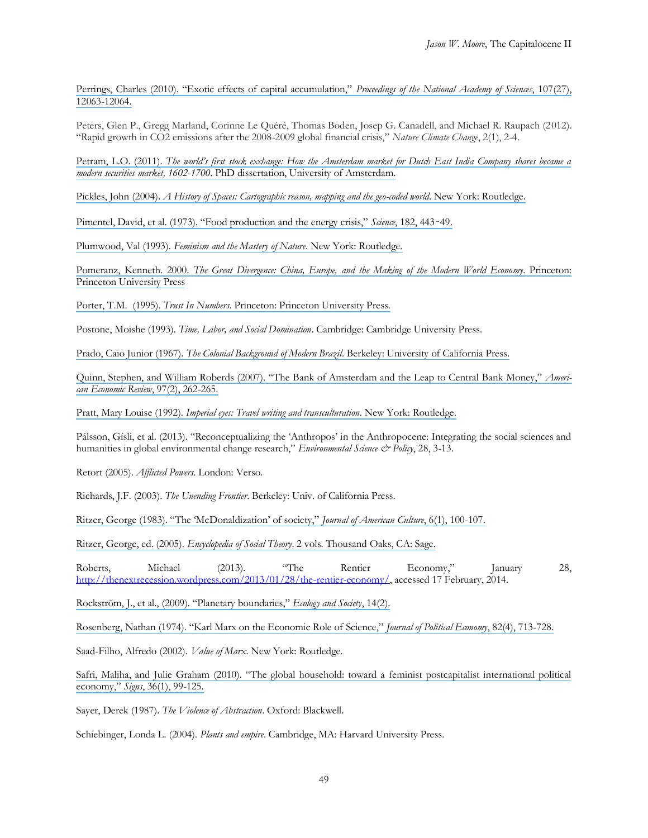[Perrings, Charles \(2010\). "Exotic effects of capital accumulation,"](https://www.researchgate.net/publication/null?el=1_x_8&enrichId=rgreq-46f53ebb51901b2260ca349cb2451b6c-XXX&enrichSource=Y292ZXJQYWdlOzI2NDQ1NzI4MTtBUzoxMjY1NDMxNjY3MDk3NjBAMTQwNzE4MTY1MDM3NA==) *Proceedings of the National Academy of Sciences*, 107(27), [12063-12064.](https://www.researchgate.net/publication/null?el=1_x_8&enrichId=rgreq-46f53ebb51901b2260ca349cb2451b6c-XXX&enrichSource=Y292ZXJQYWdlOzI2NDQ1NzI4MTtBUzoxMjY1NDMxNjY3MDk3NjBAMTQwNzE4MTY1MDM3NA==)

Peters, Glen P., Gregg Marland, Corinne Le Quéré, Thomas Boden, Josep G. Canadell, and Michael R. Raupach (2012). "Rapid growth in CO2 emissions after the 2008-2009 global financial crisis," *Nature Climate Change*, 2(1), 2-4.

Petram, L.O. (2011). *[The world's first stock exchange: How the Amsterdam market for Dutch East India Company shares became a](https://www.researchgate.net/publication/241873431_The_world)  modern securities market, 1602-1700*[. PhD dissertation, University of Amsterdam.](https://www.researchgate.net/publication/241873431_The_world) 

Pickles, John (2004). *[A History of Spaces: Cartographic reason, mapping and the geo-coded world](https://www.researchgate.net/publication/266373822_A_History_of_Spaces_Cartographic_Reason_Mapping_and_the_Geo-Coded_World?el=1_x_8&enrichId=rgreq-46f53ebb51901b2260ca349cb2451b6c-XXX&enrichSource=Y292ZXJQYWdlOzI2NDQ1NzI4MTtBUzoxMjY1NDMxNjY3MDk3NjBAMTQwNzE4MTY1MDM3NA==)*. New York: Routledge.

Pimentel, David, et al[. \(1973\). "Food production and the energy crisis,"](https://www.researchgate.net/publication/null?el=1_x_8&enrichId=rgreq-46f53ebb51901b2260ca349cb2451b6c-XXX&enrichSource=Y292ZXJQYWdlOzI2NDQ1NzI4MTtBUzoxMjY1NDMxNjY3MDk3NjBAMTQwNzE4MTY1MDM3NA==) *Science*, 182, 443–49.

Plumwood, Val (1993). *[Feminism and the Mastery of Nature](https://www.researchgate.net/publication/246178551_Feminism_and_the_Masters_of_Nature?el=1_x_8&enrichId=rgreq-46f53ebb51901b2260ca349cb2451b6c-XXX&enrichSource=Y292ZXJQYWdlOzI2NDQ1NzI4MTtBUzoxMjY1NDMxNjY3MDk3NjBAMTQwNzE4MTY1MDM3NA==)*. New York: Routledge.

Pomeranz, Kenneth. 2000. *[The Great Divergence: China, Europe, and the Making of the Modern World Economy](https://www.researchgate.net/publication/228046546_The_Great_Divergence_China_Europe_and_the_Making_of_the_Modern_World_Economy?el=1_x_8&enrichId=rgreq-46f53ebb51901b2260ca349cb2451b6c-XXX&enrichSource=Y292ZXJQYWdlOzI2NDQ1NzI4MTtBUzoxMjY1NDMxNjY3MDk3NjBAMTQwNzE4MTY1MDM3NA==)*. Princeton: [Princeton University Press](https://www.researchgate.net/publication/228046546_The_Great_Divergence_China_Europe_and_the_Making_of_the_Modern_World_Economy?el=1_x_8&enrichId=rgreq-46f53ebb51901b2260ca349cb2451b6c-XXX&enrichSource=Y292ZXJQYWdlOzI2NDQ1NzI4MTtBUzoxMjY1NDMxNjY3MDk3NjBAMTQwNzE4MTY1MDM3NA==)

Porter, T.M. (1995). *Trust In Numbers*[. Princeton: Princeton University Press.](https://www.researchgate.net/publication/228046546_The_Great_Divergence_China_Europe_and_the_Making_of_the_Modern_World_Economy?el=1_x_8&enrichId=rgreq-46f53ebb51901b2260ca349cb2451b6c-XXX&enrichSource=Y292ZXJQYWdlOzI2NDQ1NzI4MTtBUzoxMjY1NDMxNjY3MDk3NjBAMTQwNzE4MTY1MDM3NA==)

Postone, Moishe (1993). *Time, Labor, and Social Domination*. Cambridge: Cambridge University Press.

Prado, Caio Junior (1967). *The Colonial Background of Modern Brazil*[. Berkeley: University of California Press.](https://www.researchgate.net/publication/null?el=1_x_8&enrichId=rgreq-46f53ebb51901b2260ca349cb2451b6c-XXX&enrichSource=Y292ZXJQYWdlOzI2NDQ1NzI4MTtBUzoxMjY1NDMxNjY3MDk3NjBAMTQwNzE4MTY1MDM3NA==)

[Quinn, Stephen, and William Roberds \(2007\). "The Bank of Amsterdam and the Leap to Central Bank Money,"](https://www.researchgate.net/publication/null?el=1_x_8&enrichId=rgreq-46f53ebb51901b2260ca349cb2451b6c-XXX&enrichSource=Y292ZXJQYWdlOzI2NDQ1NzI4MTtBUzoxMjY1NDMxNjY3MDk3NjBAMTQwNzE4MTY1MDM3NA==) *Ameri[can Economic Review](https://www.researchgate.net/publication/null?el=1_x_8&enrichId=rgreq-46f53ebb51901b2260ca349cb2451b6c-XXX&enrichSource=Y292ZXJQYWdlOzI2NDQ1NzI4MTtBUzoxMjY1NDMxNjY3MDk3NjBAMTQwNzE4MTY1MDM3NA==)*, 97(2), 262-265.

Pratt, Mary Louise (1992). *[Imperial eyes: Travel writing and transculturation](https://www.researchgate.net/publication/null?el=1_x_8&enrichId=rgreq-46f53ebb51901b2260ca349cb2451b6c-XXX&enrichSource=Y292ZXJQYWdlOzI2NDQ1NzI4MTtBUzoxMjY1NDMxNjY3MDk3NjBAMTQwNzE4MTY1MDM3NA==)*. New York: Routledge.

Pálsson, Gísli, et al. (2013). "Reconceptualizing the 'Anthropos' in the Anthropocene: Integrating the social sciences and humanities in global environmental change research," *Environmental Science & Policy*, 28, 3-13.

Retort (2005). *Afflicted Powers*. London: Verso.

Richards, J.F. (2003). *The Unending Frontier*. Berkeley: Univ. of California Press.

[Ritzer, George \(1983\). "The 'McDonaldization' of society,"](https://www.researchgate.net/publication/227981832_The_McDonaldization_of_Society?el=1_x_8&enrichId=rgreq-46f53ebb51901b2260ca349cb2451b6c-XXX&enrichSource=Y292ZXJQYWdlOzI2NDQ1NzI4MTtBUzoxMjY1NDMxNjY3MDk3NjBAMTQwNzE4MTY1MDM3NA==) *Journal of American Culture*, 6(1), 100-107.

Ritzer, George, ed. (2005). *Encyclopedia of Social Theory*[. 2 vols. Thousand Oaks, CA: Sage.](https://www.researchgate.net/publication/null?el=1_x_8&enrichId=rgreq-46f53ebb51901b2260ca349cb2451b6c-XXX&enrichSource=Y292ZXJQYWdlOzI2NDQ1NzI4MTtBUzoxMjY1NDMxNjY3MDk3NjBAMTQwNzE4MTY1MDM3NA==) 

Roberts, Michael (2013). "The Rentier Economy," January 28, [http://thenextrecession.wordpress.com/2013/01/28/the-rentier-economy/,](http://thenextrecession.wordpress.com/2013/01/28/the-rentier-economy/) accessed 17 February, 2014.

Rockström, J., et al., [\(2009\). "Planetary boundaries,"](https://www.researchgate.net/publication/259689568_Planetary_Boundaries?el=1_x_8&enrichId=rgreq-46f53ebb51901b2260ca349cb2451b6c-XXX&enrichSource=Y292ZXJQYWdlOzI2NDQ1NzI4MTtBUzoxMjY1NDMxNjY3MDk3NjBAMTQwNzE4MTY1MDM3NA==) *Ecology and Society*, 14(2).

[Rosenberg, Nathan \(1974\). "Karl Marx on the Economic Role of Science,"](https://www.researchgate.net/publication/null?el=1_x_8&enrichId=rgreq-46f53ebb51901b2260ca349cb2451b6c-XXX&enrichSource=Y292ZXJQYWdlOzI2NDQ1NzI4MTtBUzoxMjY1NDMxNjY3MDk3NjBAMTQwNzE4MTY1MDM3NA==) *Journal of Political Economy*, 82(4), 713-728.

Saad-Filho, Alfredo (2002). *Value of Marx*. New York: Routledge.

[Safri, Maliha, and Julie Graham \(2010\). "The global household: toward a feminist postcapitalist international political](https://www.researchgate.net/publication/null?el=1_x_8&enrichId=rgreq-46f53ebb51901b2260ca349cb2451b6c-XXX&enrichSource=Y292ZXJQYWdlOzI2NDQ1NzI4MTtBUzoxMjY1NDMxNjY3MDk3NjBAMTQwNzE4MTY1MDM3NA==)  [economy,"](https://www.researchgate.net/publication/null?el=1_x_8&enrichId=rgreq-46f53ebb51901b2260ca349cb2451b6c-XXX&enrichSource=Y292ZXJQYWdlOzI2NDQ1NzI4MTtBUzoxMjY1NDMxNjY3MDk3NjBAMTQwNzE4MTY1MDM3NA==) *Signs*, 36(1), 99-125.

Sayer, Derek (1987). *The Violence of Abstraction*. Oxford: Blackwell.

Schiebinger, Londa L. (2004). *Plants and empire*. Cambridge, MA: Harvard University Press.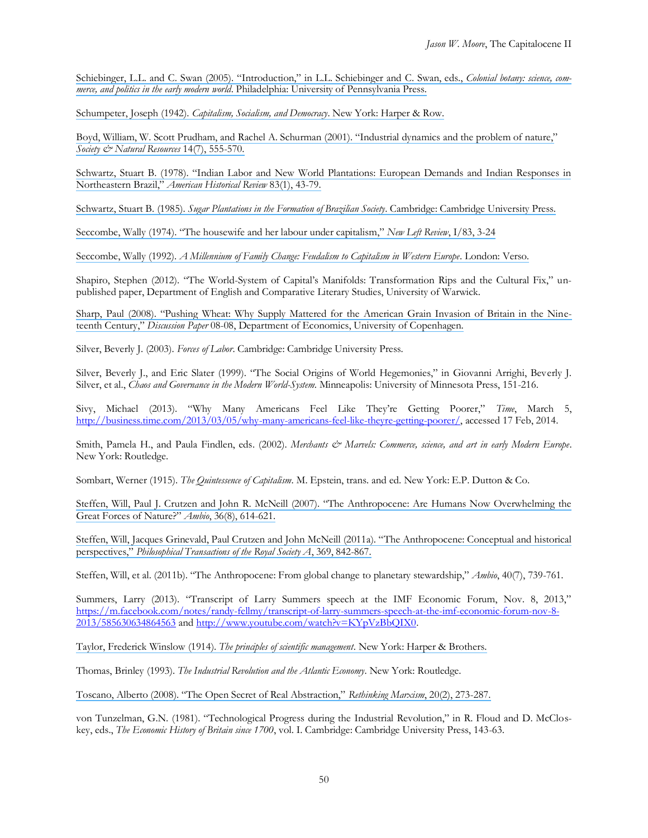Schiebinger, L.L. and C. [Swan \(2005\). "Introduction," in](https://www.researchgate.net/publication/null?el=1_x_8&enrichId=rgreq-46f53ebb51901b2260ca349cb2451b6c-XXX&enrichSource=Y292ZXJQYWdlOzI2NDQ1NzI4MTtBUzoxMjY1NDMxNjY3MDk3NjBAMTQwNzE4MTY1MDM3NA==) L.L. Schiebinger and C. Swan, eds., *Colonial botany: science, commerce, and politics in the early modern world*[. Philadelphia: University of Pennsylvania Press.](https://www.researchgate.net/publication/null?el=1_x_8&enrichId=rgreq-46f53ebb51901b2260ca349cb2451b6c-XXX&enrichSource=Y292ZXJQYWdlOzI2NDQ1NzI4MTtBUzoxMjY1NDMxNjY3MDk3NjBAMTQwNzE4MTY1MDM3NA==)

Schumpeter, Joseph (1942). *[Capitalism, Socialism, and Democracy](https://www.researchgate.net/publication/null?el=1_x_8&enrichId=rgreq-46f53ebb51901b2260ca349cb2451b6c-XXX&enrichSource=Y292ZXJQYWdlOzI2NDQ1NzI4MTtBUzoxMjY1NDMxNjY3MDk3NjBAMTQwNzE4MTY1MDM3NA==)*. New York: Harper & Row.

Boyd, William, W. Scott [Prudham, and Rachel A. Schurman \(2001\). "Industrial dynamics and the problem of nature,"](https://www.researchgate.net/publication/248984770_Industrial_Dynamics_and_the_Problem_of_Nature?el=1_x_8&enrichId=rgreq-46f53ebb51901b2260ca349cb2451b6c-XXX&enrichSource=Y292ZXJQYWdlOzI2NDQ1NzI4MTtBUzoxMjY1NDMxNjY3MDk3NjBAMTQwNzE4MTY1MDM3NA==) *[Society & Natural Resources](https://www.researchgate.net/publication/248984770_Industrial_Dynamics_and_the_Problem_of_Nature?el=1_x_8&enrichId=rgreq-46f53ebb51901b2260ca349cb2451b6c-XXX&enrichSource=Y292ZXJQYWdlOzI2NDQ1NzI4MTtBUzoxMjY1NDMxNjY3MDk3NjBAMTQwNzE4MTY1MDM3NA==)* 14(7), 555-570.

[Schwartz, Stuart B. \(1978\). "Indian Labor and New World Plantations: European Demands and Indian Responses in](https://www.researchgate.net/publication/249205658_Indian_Labor_and_New_World_Plantations_European_Demands_and_Indian_Responses_in_Northeastern_Brazil?el=1_x_8&enrichId=rgreq-46f53ebb51901b2260ca349cb2451b6c-XXX&enrichSource=Y292ZXJQYWdlOzI2NDQ1NzI4MTtBUzoxMjY1NDMxNjY3MDk3NjBAMTQwNzE4MTY1MDM3NA==)  Northeastern Brazil," *[American Historical Review](https://www.researchgate.net/publication/249205658_Indian_Labor_and_New_World_Plantations_European_Demands_and_Indian_Responses_in_Northeastern_Brazil?el=1_x_8&enrichId=rgreq-46f53ebb51901b2260ca349cb2451b6c-XXX&enrichSource=Y292ZXJQYWdlOzI2NDQ1NzI4MTtBUzoxMjY1NDMxNjY3MDk3NjBAMTQwNzE4MTY1MDM3NA==)* 83(1), 43-79.

Schwartz, Stuart B. (1985). *Sugar Plantations in the Formation of Brazilian Society*[. Cambridge: Cambridge University Press.](https://www.researchgate.net/publication/269881047_Sugar_Plantations_in_the_Formation_of_Brazilian_Society_Bahia_1550-1835?el=1_x_8&enrichId=rgreq-46f53ebb51901b2260ca349cb2451b6c-XXX&enrichSource=Y292ZXJQYWdlOzI2NDQ1NzI4MTtBUzoxMjY1NDMxNjY3MDk3NjBAMTQwNzE4MTY1MDM3NA==)

Seccombe, Wally (1974). "[The housewife and her labour under capitalism](https://www.researchgate.net/publication/288893823_The_housewife_and_her_labour_under_capitalism?el=1_x_8&enrichId=rgreq-46f53ebb51901b2260ca349cb2451b6c-XXX&enrichSource=Y292ZXJQYWdlOzI2NDQ1NzI4MTtBUzoxMjY1NDMxNjY3MDk3NjBAMTQwNzE4MTY1MDM3NA==)," *New Left Review*, I/83, 3-24

Seccombe, Wally (1992). *[A Millennium of Family Change: Feudalism to Capitalism in Western Europe](https://www.researchgate.net/publication/249210722_A_Millennium_of_Family_Change_Feudalism_to_Capitalism_in_Northwestern_Europe?el=1_x_8&enrichId=rgreq-46f53ebb51901b2260ca349cb2451b6c-XXX&enrichSource=Y292ZXJQYWdlOzI2NDQ1NzI4MTtBUzoxMjY1NDMxNjY3MDk3NjBAMTQwNzE4MTY1MDM3NA==)*. London: Verso.

Shapiro, Stephen (2012). "The World-System of Capital's Manifolds: Transformation Rips and the Cultural Fix," unpublished paper, Department of English and Comparative Literary Studies, University of Warwick.

[Sharp, Paul \(2008\). "Pushing Wheat: Why Supply Mattered for the American Grain Invasion of Britain in the Nin](https://www.researchgate.net/publication/null?el=1_x_8&enrichId=rgreq-46f53ebb51901b2260ca349cb2451b6c-XXX&enrichSource=Y292ZXJQYWdlOzI2NDQ1NzI4MTtBUzoxMjY1NDMxNjY3MDk3NjBAMTQwNzE4MTY1MDM3NA==)eteenth Century," *Discussion Paper* [08-08, Department of Economics, University of Copenhagen.](https://www.researchgate.net/publication/null?el=1_x_8&enrichId=rgreq-46f53ebb51901b2260ca349cb2451b6c-XXX&enrichSource=Y292ZXJQYWdlOzI2NDQ1NzI4MTtBUzoxMjY1NDMxNjY3MDk3NjBAMTQwNzE4MTY1MDM3NA==)

Silver, Beverly J. (2003). *Forces of Labor*. Cambridge: Cambridge University Press.

Silver, Beverly J., and Eric Slater (1999). "The Social Origins of World Hegemonies," in Giovanni Arrighi, Beverly J. Silver, et al., *Chaos and Governance in the Modern World-System*. Minneapolis: University of Minnesota Press, 151-216.

Sivy, Michael (2013). "Why Many Americans Feel Like They're Getting Poorer," *Time*, March 5, [http://business.time.com/2013/03/05/why-many-americans-feel-like-theyre-getting-poorer/,](http://business.time.com/2013/03/05/why-many-americans-feel-like-theyre-getting-poorer/) accessed 17 Feb, 2014.

Smith, Pamela H., and Paula Findlen, eds. (2002). *Merchants & Marvels: Commerce, science, and art in early Modern Europe*. New York: Routledge.

Sombart, Werner (1915). *The Quintessence of Capitalism*. M. Epstein, trans. and ed. New York: E.P. Dutton & Co.

Steffen, Will, Paul J. Crutzen and John [R. McNeill \(2007\). "The Anthropocene: Are Humans Now Overwhelming the](https://www.researchgate.net/publication/null?el=1_x_8&enrichId=rgreq-46f53ebb51901b2260ca349cb2451b6c-XXX&enrichSource=Y292ZXJQYWdlOzI2NDQ1NzI4MTtBUzoxMjY1NDMxNjY3MDk3NjBAMTQwNzE4MTY1MDM3NA==)  [Great Forces of Nature?"](https://www.researchgate.net/publication/null?el=1_x_8&enrichId=rgreq-46f53ebb51901b2260ca349cb2451b6c-XXX&enrichSource=Y292ZXJQYWdlOzI2NDQ1NzI4MTtBUzoxMjY1NDMxNjY3MDk3NjBAMTQwNzE4MTY1MDM3NA==) *Ambio*, 36(8), 614-621.

[Steffen, Will, Jacques Grinevald, Paul Crutzen and John McNeill \(2011a\). "](https://www.researchgate.net/publication/null?el=1_x_8&enrichId=rgreq-46f53ebb51901b2260ca349cb2451b6c-XXX&enrichSource=Y292ZXJQYWdlOzI2NDQ1NzI4MTtBUzoxMjY1NDMxNjY3MDk3NjBAMTQwNzE4MTY1MDM3NA==)The Anthropocene: Conceptual and historical perspectives," *[Philosophical Transactions of the Royal Society A](https://www.researchgate.net/publication/null?el=1_x_8&enrichId=rgreq-46f53ebb51901b2260ca349cb2451b6c-XXX&enrichSource=Y292ZXJQYWdlOzI2NDQ1NzI4MTtBUzoxMjY1NDMxNjY3MDk3NjBAMTQwNzE4MTY1MDM3NA==)*, 369, 842-867.

Steffen, Will, et al. (2011b). "The Anthropocene: From global change to planetary stewardship," *Ambio*, 40(7), 739-761.

Summers, Larry (2013). "Transcript of Larry Summers speech at the IMF Economic Forum, Nov. 8, 2013," [https://m.facebook.com/notes/randy-fellmy/transcript-of-larry-summers-speech-at-the-imf-economic-forum-nov-8-](https://m.facebook.com/notes/randy-fellmy/transcript-of-larry-summers-speech-at-the-imf-economic-forum-nov-8-2013/585630634864563) [2013/585630634864563](https://m.facebook.com/notes/randy-fellmy/transcript-of-larry-summers-speech-at-the-imf-economic-forum-nov-8-2013/585630634864563) and [http://www.youtube.com/watch?v=KYpVzBbQIX0.](http://www.youtube.com/watch?v=KYpVzBbQIX0)

[Taylor, Frederick Winslow \(1914\).](https://www.researchgate.net/publication/null?el=1_x_8&enrichId=rgreq-46f53ebb51901b2260ca349cb2451b6c-XXX&enrichSource=Y292ZXJQYWdlOzI2NDQ1NzI4MTtBUzoxMjY1NDMxNjY3MDk3NjBAMTQwNzE4MTY1MDM3NA==) *The principles of scientific management*. New York: Harper & Brothers.

Thomas, Brinley (1993). *The Industrial Revolution and the Atlantic Economy*. New York: Routledge.

[Toscano, Alberto \(2008\). "The Open Secret of Real Abstraction,"](https://www.researchgate.net/publication/null?el=1_x_8&enrichId=rgreq-46f53ebb51901b2260ca349cb2451b6c-XXX&enrichSource=Y292ZXJQYWdlOzI2NDQ1NzI4MTtBUzoxMjY1NDMxNjY3MDk3NjBAMTQwNzE4MTY1MDM3NA==) *Rethinking Marxism*, 20(2), 273-287.

von Tunzelman, G.N. (1981). "Technological Progress during the Industrial Revolution," in R. Floud and D. McCloskey, eds., *The Economic History of Britain since 1700*, vol. I. Cambridge: Cambridge University Press, 143-63.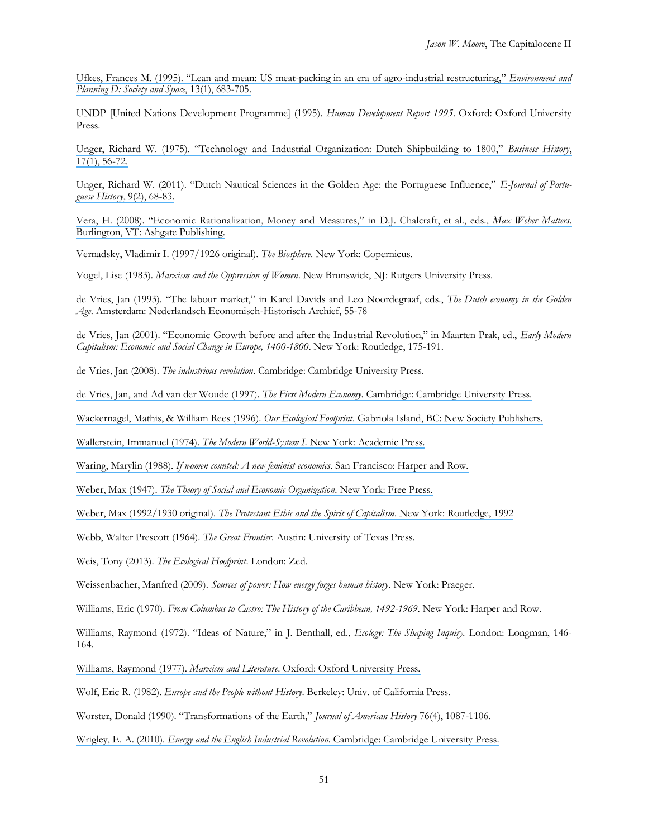[Ufkes, Frances M. \(1995\). "Lean and mean: US meat](https://www.researchgate.net/publication/238395686_Lean_and_mean_US_meat-packing_in_an_era_of_agro-industrial_restructuring?el=1_x_8&enrichId=rgreq-46f53ebb51901b2260ca349cb2451b6c-XXX&enrichSource=Y292ZXJQYWdlOzI2NDQ1NzI4MTtBUzoxMjY1NDMxNjY3MDk3NjBAMTQwNzE4MTY1MDM3NA==)-packing in an era of agro-industrial restructuring," *Environment and [Planning D: Society and Space](https://www.researchgate.net/publication/238395686_Lean_and_mean_US_meat-packing_in_an_era_of_agro-industrial_restructuring?el=1_x_8&enrichId=rgreq-46f53ebb51901b2260ca349cb2451b6c-XXX&enrichSource=Y292ZXJQYWdlOzI2NDQ1NzI4MTtBUzoxMjY1NDMxNjY3MDk3NjBAMTQwNzE4MTY1MDM3NA==)*, 13(1), 683-705.

UNDP [United Nations Development Programme] (1995). *Human Development Report 1995*. Oxford: Oxford University Press.

[Unger, Richard W. \(1975\). "Technology and Industrial Organization: Dutch Shipbuilding to 1800,"](https://www.researchgate.net/publication/232831289_Technology_and_Industrial_Organization_Dutch_Shipbuilding_to_1800?el=1_x_8&enrichId=rgreq-46f53ebb51901b2260ca349cb2451b6c-XXX&enrichSource=Y292ZXJQYWdlOzI2NDQ1NzI4MTtBUzoxMjY1NDMxNjY3MDk3NjBAMTQwNzE4MTY1MDM3NA==) *Business History*, [17\(1\), 56-72.](https://www.researchgate.net/publication/232831289_Technology_and_Industrial_Organization_Dutch_Shipbuilding_to_1800?el=1_x_8&enrichId=rgreq-46f53ebb51901b2260ca349cb2451b6c-XXX&enrichSource=Y292ZXJQYWdlOzI2NDQ1NzI4MTtBUzoxMjY1NDMxNjY3MDk3NjBAMTQwNzE4MTY1MDM3NA==)

[Unger, Richard W. \(2011\). "Dutch Nautical Sciences in the Golden Age: the Portuguese Influence,"](https://www.researchgate.net/publication/290284638_Dutch_nautical_sciences_in_the_golden_age_The_portuguese_influence?el=1_x_8&enrichId=rgreq-46f53ebb51901b2260ca349cb2451b6c-XXX&enrichSource=Y292ZXJQYWdlOzI2NDQ1NzI4MTtBUzoxMjY1NDMxNjY3MDk3NjBAMTQwNzE4MTY1MDM3NA==) *E-Journal of Portuguese History*[, 9\(2\), 68-83.](https://www.researchgate.net/publication/290284638_Dutch_nautical_sciences_in_the_golden_age_The_portuguese_influence?el=1_x_8&enrichId=rgreq-46f53ebb51901b2260ca349cb2451b6c-XXX&enrichSource=Y292ZXJQYWdlOzI2NDQ1NzI4MTtBUzoxMjY1NDMxNjY3MDk3NjBAMTQwNzE4MTY1MDM3NA==)

Vera, H. (2008). "Eco[nomic Rationalization, Money an](https://www.researchgate.net/publication/285616328_Economic_rationalization_money_and_measures_A_weberian_perspective?el=1_x_8&enrichId=rgreq-46f53ebb51901b2260ca349cb2451b6c-XXX&enrichSource=Y292ZXJQYWdlOzI2NDQ1NzI4MTtBUzoxMjY1NDMxNjY3MDk3NjBAMTQwNzE4MTY1MDM3NA==)d Measures," in D.J. Chalcraft, et al., eds., *Max Weber Matters*. [Burlington, VT: Ashgate Publishing.](https://www.researchgate.net/publication/285616328_Economic_rationalization_money_and_measures_A_weberian_perspective?el=1_x_8&enrichId=rgreq-46f53ebb51901b2260ca349cb2451b6c-XXX&enrichSource=Y292ZXJQYWdlOzI2NDQ1NzI4MTtBUzoxMjY1NDMxNjY3MDk3NjBAMTQwNzE4MTY1MDM3NA==)

Vernadsky, Vladimir I. (1997/1926 original). *The Biosphere*. New York: Copernicus.

Vogel, Lise (1983). *Marxism and the Oppression of Women*. New Brunswick, NJ: Rutgers University Press.

de Vries, Jan (1993). "The labour market," in Karel Davids and Leo Noordegraaf, eds., *The Dutch economy in the Golden Age*. Amsterdam: Nederlandsch Economisch-Historisch Archief, 55-78

de Vries, Jan (2001). "Economic Growth before and after the Industrial Revolution," in Maarten Prak, ed., *Early Modern Capitalism: Economic and Social Change in Europe, 1400-1800*. New York: Routledge, 175-191.

de Vries, Jan (2008). *The industrious revolution*[. Cambridge: Cambridge University Press.](https://www.researchgate.net/publication/null?el=1_x_8&enrichId=rgreq-46f53ebb51901b2260ca349cb2451b6c-XXX&enrichSource=Y292ZXJQYWdlOzI2NDQ1NzI4MTtBUzoxMjY1NDMxNjY3MDk3NjBAMTQwNzE4MTY1MDM3NA==)

[de Vries, Jan, and Ad van der Woude \(1997\).](https://www.researchgate.net/publication/null?el=1_x_8&enrichId=rgreq-46f53ebb51901b2260ca349cb2451b6c-XXX&enrichSource=Y292ZXJQYWdlOzI2NDQ1NzI4MTtBUzoxMjY1NDMxNjY3MDk3NjBAMTQwNzE4MTY1MDM3NA==) *The First Modern Economy*. Cambridge: Cambridge University Press.

Wackernagel, Mathis, & William Rees (1996). *Our Ecological Footprint*[. Gabriola Island, BC: New Society Publishers.](https://www.researchgate.net/publication/246388201_How_big_is_our_ecological_footprint?el=1_x_8&enrichId=rgreq-46f53ebb51901b2260ca349cb2451b6c-XXX&enrichSource=Y292ZXJQYWdlOzI2NDQ1NzI4MTtBUzoxMjY1NDMxNjY3MDk3NjBAMTQwNzE4MTY1MDM3NA==)

[Wallerstein, Immanuel \(1974\).](https://www.researchgate.net/publication/298993117_Islam_in_the_modern_world-system?el=1_x_8&enrichId=rgreq-46f53ebb51901b2260ca349cb2451b6c-XXX&enrichSource=Y292ZXJQYWdlOzI2NDQ1NzI4MTtBUzoxMjY1NDMxNjY3MDk3NjBAMTQwNzE4MTY1MDM3NA==) *The Modern World-System I*. New York: Academic Press.

Waring, Marylin (1988). *[If women counted: A new feminist economics](https://www.researchgate.net/publication/246415059_If_Women_Counted-a_New_Feminist_Economics?el=1_x_8&enrichId=rgreq-46f53ebb51901b2260ca349cb2451b6c-XXX&enrichSource=Y292ZXJQYWdlOzI2NDQ1NzI4MTtBUzoxMjY1NDMxNjY3MDk3NjBAMTQwNzE4MTY1MDM3NA==)*. San Francisco: Harper and Row.

Weber, Max (1947). *[The Theory of Social and Economic Organization](https://www.researchgate.net/publication/null?el=1_x_8&enrichId=rgreq-46f53ebb51901b2260ca349cb2451b6c-XXX&enrichSource=Y292ZXJQYWdlOzI2NDQ1NzI4MTtBUzoxMjY1NDMxNjY3MDk3NjBAMTQwNzE4MTY1MDM3NA==)*. New York: Free Press.

Weber, Max (1992/1930 original). *[The Protestant Ethic and the Spirit of Capitalism](https://www.researchgate.net/publication/244944812_The_Protestant_Ethic_and_The_Spirit_of_Capitalism?el=1_x_8&enrichId=rgreq-46f53ebb51901b2260ca349cb2451b6c-XXX&enrichSource=Y292ZXJQYWdlOzI2NDQ1NzI4MTtBUzoxMjY1NDMxNjY3MDk3NjBAMTQwNzE4MTY1MDM3NA==)*. New York: Routledge, 1992

Webb, Walter Prescott (1964). *The Great Frontier*. Austin: University of Texas Press.

Weis, Tony (2013). *The Ecological Hoofprint*. London: Zed.

Weissenbacher, Manfred (2009). *Sources of power: How energy forges human history*. New York: Praeger.

Williams, Eric (1970). *[From Columbus to Castro: The History of the Caribbean, 1492-1969](https://www.researchgate.net/publication/249202707_From_Columbus_to_Castro_The_History_of_the_Caribbean_1492-1969?el=1_x_8&enrichId=rgreq-46f53ebb51901b2260ca349cb2451b6c-XXX&enrichSource=Y292ZXJQYWdlOzI2NDQ1NzI4MTtBUzoxMjY1NDMxNjY3MDk3NjBAMTQwNzE4MTY1MDM3NA==)*. New York: Harper and Row.

Williams, Raymond (1972). "Ideas of Nature," in J. Benthall, ed., *Ecology: The Shaping Inquiry.* London: Longman, 146- 164.

Williams, Raymond (1977). *Marxism and Literature*[. Oxford: Oxford University Press.](https://www.researchgate.net/publication/275711069_Marxism_and_Literature?el=1_x_8&enrichId=rgreq-46f53ebb51901b2260ca349cb2451b6c-XXX&enrichSource=Y292ZXJQYWdlOzI2NDQ1NzI4MTtBUzoxMjY1NDMxNjY3MDk3NjBAMTQwNzE4MTY1MDM3NA==)

Wolf, Eric R. (1982). *Europe and the People without History*[. Berkeley: Univ. of California Press.](https://www.researchgate.net/publication/282004166_Europe_and_the_People_Without_History?el=1_x_8&enrichId=rgreq-46f53ebb51901b2260ca349cb2451b6c-XXX&enrichSource=Y292ZXJQYWdlOzI2NDQ1NzI4MTtBUzoxMjY1NDMxNjY3MDk3NjBAMTQwNzE4MTY1MDM3NA==)

Worster, Donald (1990). "Transformations of the Earth," *Journal of American History* 76(4), 1087-1106.

Wrigley, E. A. (2010). *Energy and the English Industrial Revolution.* [Cambridge: Cambridge University Press.](https://www.researchgate.net/publication/235381159_Energy_and_the_English_Industrial_Revolution?el=1_x_8&enrichId=rgreq-46f53ebb51901b2260ca349cb2451b6c-XXX&enrichSource=Y292ZXJQYWdlOzI2NDQ1NzI4MTtBUzoxMjY1NDMxNjY3MDk3NjBAMTQwNzE4MTY1MDM3NA==)